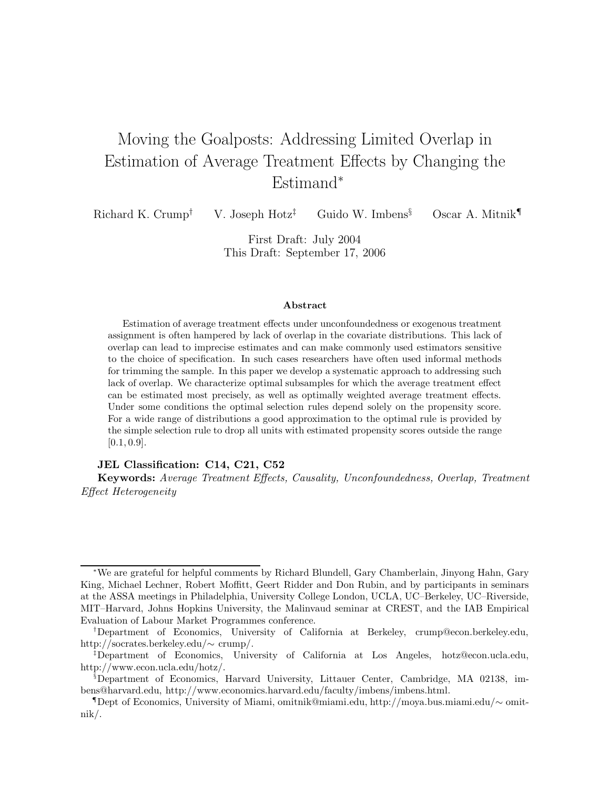# Moving the Goalposts: Addressing Limited Overlap in Estimation of Average Treatment Effects by Changing the Estimand<sup>∗</sup>

Richard K. Crump<sup>†</sup> V. Joseph Hotz<sup>‡</sup> Guido W. Imbens<sup>§</sup> Oscar A. Mitnik<sup>¶</sup>

First Draft: July 2004 This Draft: September 17, 2006

#### **Abstract**

Estimation of average treatment effects under unconfoundedness or exogenous treatment assignment is often hampered by lack of overlap in the covariate distributions. This lack of overlap can lead to imprecise estimates and can make commonly used estimators sensitive to the choice of specification. In such cases researchers have often used informal methods for trimming the sample. In this paper we develop a systematic approach to addressing such lack of overlap. We characterize optimal subsamples for which the average treatment effect can be estimated most precisely, as well as optimally weighted average treatment effects. Under some conditions the optimal selection rules depend solely on the propensity score. For a wide range of distributions a good approximation to the optimal rule is provided by the simple selection rule to drop all units with estimated propensity scores outside the range [0*.*1*,* 0*.*9].

#### **JEL Classification: C14, C21, C52**

**Keywords:** *Average Treatment Effects, Causality, Unconfoundedness, Overlap, Treatment Effect Heterogeneity*

<sup>∗</sup>We are grateful for helpful comments by Richard Blundell, Gary Chamberlain, Jinyong Hahn, Gary King, Michael Lechner, Robert Moffitt, Geert Ridder and Don Rubin, and by participants in seminars at the ASSA meetings in Philadelphia, University College London, UCLA, UC–Berkeley, UC–Riverside, MIT–Harvard, Johns Hopkins University, the Malinvaud seminar at CREST, and the IAB Empirical Evaluation of Labour Market Programmes conference.

<sup>†</sup>Department of Economics, University of California at Berkeley, crump@econ.berkeley.edu, http://socrates.berkeley.edu/∼ crump/.

<sup>‡</sup>Department of Economics, University of California at Los Angeles, hotz@econ.ucla.edu, http://www.econ.ucla.edu/hotz/.

<sup>§</sup>Department of Economics, Harvard University, Littauer Center, Cambridge, MA 02138, imbens@harvard.edu, http://www.economics.harvard.edu/faculty/imbens/imbens.html.

<sup>¶</sup>Dept of Economics, University of Miami, omitnik@miami.edu, http://moya.bus.miami.edu/∼ omitnik/.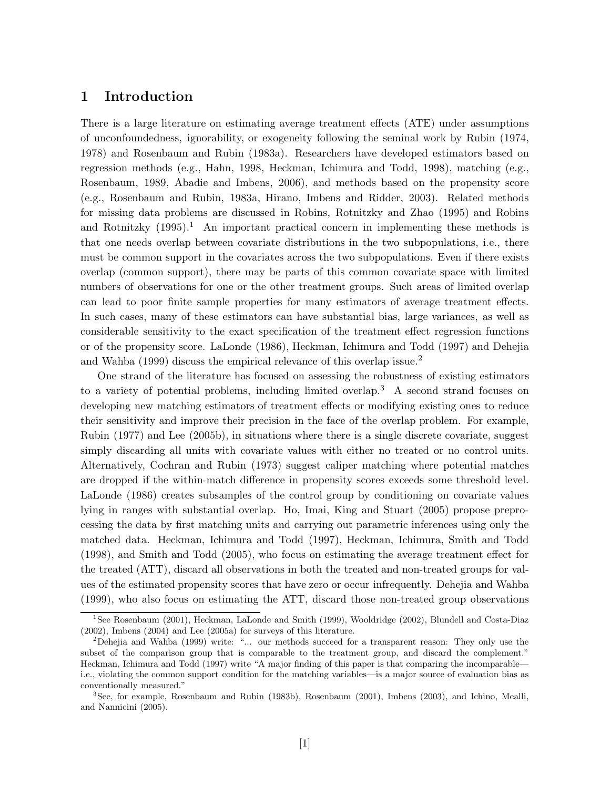## **1 Introduction**

There is a large literature on estimating average treatment effects (ATE) under assumptions of unconfoundedness, ignorability, or exogeneity following the seminal work by Rubin (1974, 1978) and Rosenbaum and Rubin (1983a). Researchers have developed estimators based on regression methods (e.g., Hahn, 1998, Heckman, Ichimura and Todd, 1998), matching (e.g., Rosenbaum, 1989, Abadie and Imbens, 2006), and methods based on the propensity score (e.g., Rosenbaum and Rubin, 1983a, Hirano, Imbens and Ridder, 2003). Related methods for missing data problems are discussed in Robins, Rotnitzky and Zhao (1995) and Robins and Rotnitzky  $(1995).<sup>1</sup>$  An important practical concern in implementing these methods is that one needs overlap between covariate distributions in the two subpopulations, i.e., there must be common support in the covariates across the two subpopulations. Even if there exists overlap (common support), there may be parts of this common covariate space with limited numbers of observations for one or the other treatment groups. Such areas of limited overlap can lead to poor finite sample properties for many estimators of average treatment effects. In such cases, many of these estimators can have substantial bias, large variances, as well as considerable sensitivity to the exact specification of the treatment effect regression functions or of the propensity score. LaLonde (1986), Heckman, Ichimura and Todd (1997) and Dehejia and Wahba (1999) discuss the empirical relevance of this overlap issue.<sup>2</sup>

One strand of the literature has focused on assessing the robustness of existing estimators to a variety of potential problems, including limited overlap.<sup>3</sup> A second strand focuses on developing new matching estimators of treatment effects or modifying existing ones to reduce their sensitivity and improve their precision in the face of the overlap problem. For example, Rubin (1977) and Lee (2005b), in situations where there is a single discrete covariate, suggest simply discarding all units with covariate values with either no treated or no control units. Alternatively, Cochran and Rubin (1973) suggest caliper matching where potential matches are dropped if the within-match difference in propensity scores exceeds some threshold level. LaLonde (1986) creates subsamples of the control group by conditioning on covariate values lying in ranges with substantial overlap. Ho, Imai, King and Stuart (2005) propose preprocessing the data by first matching units and carrying out parametric inferences using only the matched data. Heckman, Ichimura and Todd (1997), Heckman, Ichimura, Smith and Todd (1998), and Smith and Todd (2005), who focus on estimating the average treatment effect for the treated (ATT), discard all observations in both the treated and non-treated groups for values of the estimated propensity scores that have zero or occur infrequently. Dehejia and Wahba (1999), who also focus on estimating the ATT, discard those non-treated group observations

<sup>&</sup>lt;sup>1</sup>See Rosenbaum (2001), Heckman, LaLonde and Smith (1999), Wooldridge (2002), Blundell and Costa-Diaz (2002), Imbens (2004) and Lee (2005a) for surveys of this literature.

<sup>2</sup>Dehejia and Wahba (1999) write: "... our methods succeed for a transparent reason: They only use the subset of the comparison group that is comparable to the treatment group, and discard the complement." Heckman, Ichimura and Todd (1997) write "A major finding of this paper is that comparing the incomparable i.e., violating the common support condition for the matching variables—is a major source of evaluation bias as conventionally measured."

<sup>3</sup>See, for example, Rosenbaum and Rubin (1983b), Rosenbaum (2001), Imbens (2003), and Ichino, Mealli, and Nannicini (2005).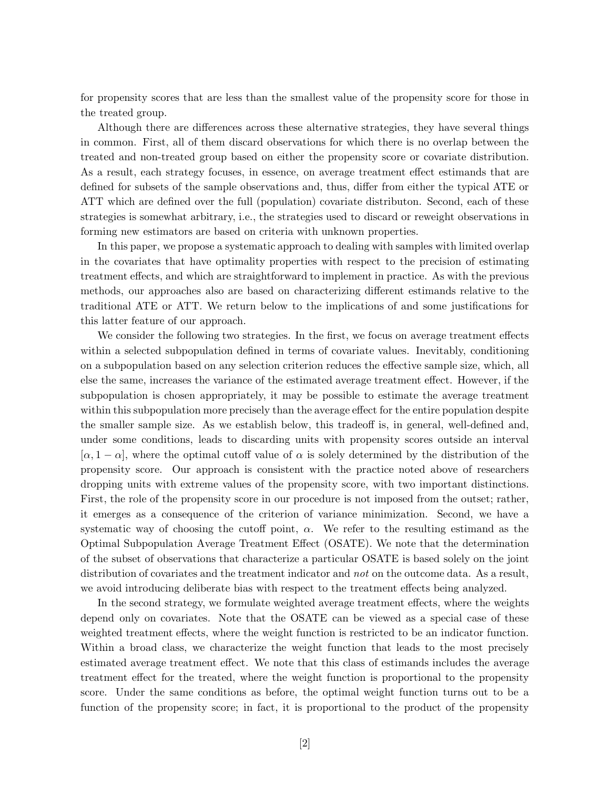for propensity scores that are less than the smallest value of the propensity score for those in the treated group.

Although there are differences across these alternative strategies, they have several things in common. First, all of them discard observations for which there is no overlap between the treated and non-treated group based on either the propensity score or covariate distribution. As a result, each strategy focuses, in essence, on average treatment effect estimands that are defined for subsets of the sample observations and, thus, differ from either the typical ATE or ATT which are defined over the full (population) covariate distributon. Second, each of these strategies is somewhat arbitrary, i.e., the strategies used to discard or reweight observations in forming new estimators are based on criteria with unknown properties.

In this paper, we propose a systematic approach to dealing with samples with limited overlap in the covariates that have optimality properties with respect to the precision of estimating treatment effects, and which are straightforward to implement in practice. As with the previous methods, our approaches also are based on characterizing different estimands relative to the traditional ATE or ATT. We return below to the implications of and some justifications for this latter feature of our approach.

We consider the following two strategies. In the first, we focus on average treatment effects within a selected subpopulation defined in terms of covariate values. Inevitably, conditioning on a subpopulation based on any selection criterion reduces the effective sample size, which, all else the same, increases the variance of the estimated average treatment effect. However, if the subpopulation is chosen appropriately, it may be possible to estimate the average treatment within this subpopulation more precisely than the average effect for the entire population despite the smaller sample size. As we establish below, this tradeoff is, in general, well-defined and, under some conditions, leads to discarding units with propensity scores outside an interval  $[\alpha, 1 - \alpha]$ , where the optimal cutoff value of  $\alpha$  is solely determined by the distribution of the propensity score. Our approach is consistent with the practice noted above of researchers dropping units with extreme values of the propensity score, with two important distinctions. First, the role of the propensity score in our procedure is not imposed from the outset; rather, it emerges as a consequence of the criterion of variance minimization. Second, we have a systematic way of choosing the cutoff point, *α*. We refer to the resulting estimand as the Optimal Subpopulation Average Treatment Effect (OSATE). We note that the determination of the subset of observations that characterize a particular OSATE is based solely on the joint distribution of covariates and the treatment indicator and *not* on the outcome data. As a result, we avoid introducing deliberate bias with respect to the treatment effects being analyzed.

In the second strategy, we formulate weighted average treatment effects, where the weights depend only on covariates. Note that the OSATE can be viewed as a special case of these weighted treatment effects, where the weight function is restricted to be an indicator function. Within a broad class, we characterize the weight function that leads to the most precisely estimated average treatment effect. We note that this class of estimands includes the average treatment effect for the treated, where the weight function is proportional to the propensity score. Under the same conditions as before, the optimal weight function turns out to be a function of the propensity score; in fact, it is proportional to the product of the propensity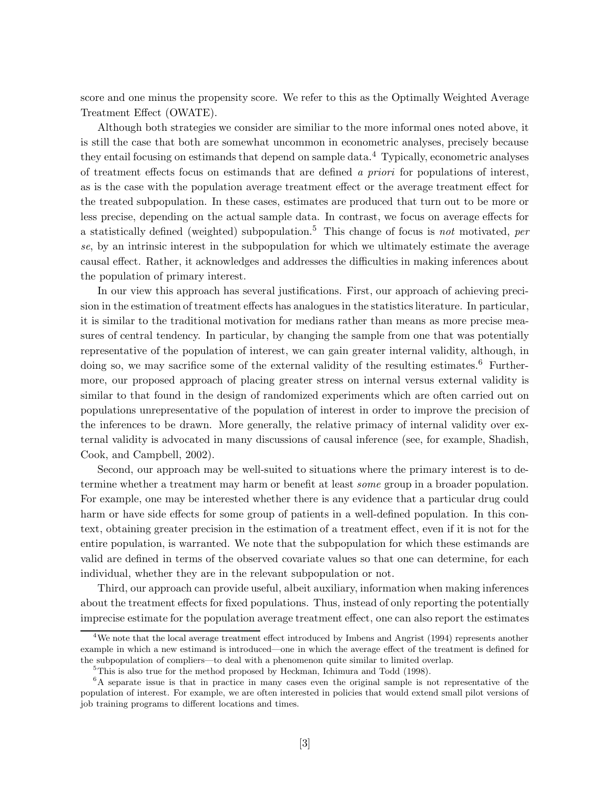score and one minus the propensity score. We refer to this as the Optimally Weighted Average Treatment Effect (OWATE).

Although both strategies we consider are similiar to the more informal ones noted above, it is still the case that both are somewhat uncommon in econometric analyses, precisely because they entail focusing on estimands that depend on sample data.<sup>4</sup> Typically, econometric analyses of treatment effects focus on estimands that are defined *a priori* for populations of interest, as is the case with the population average treatment effect or the average treatment effect for the treated subpopulation. In these cases, estimates are produced that turn out to be more or less precise, depending on the actual sample data. In contrast, we focus on average effects for a statistically defined (weighted) subpopulation.<sup>5</sup> This change of focus is *not* motivated, *per se*, by an intrinsic interest in the subpopulation for which we ultimately estimate the average causal effect. Rather, it acknowledges and addresses the difficulties in making inferences about the population of primary interest.

In our view this approach has several justifications. First, our approach of achieving precision in the estimation of treatment effects has analogues in the statistics literature. In particular, it is similar to the traditional motivation for medians rather than means as more precise measures of central tendency. In particular, by changing the sample from one that was potentially representative of the population of interest, we can gain greater internal validity, although, in doing so, we may sacrifice some of the external validity of the resulting estimates.<sup>6</sup> Furthermore, our proposed approach of placing greater stress on internal versus external validity is similar to that found in the design of randomized experiments which are often carried out on populations unrepresentative of the population of interest in order to improve the precision of the inferences to be drawn. More generally, the relative primacy of internal validity over external validity is advocated in many discussions of causal inference (see, for example, Shadish, Cook, and Campbell, 2002).

Second, our approach may be well-suited to situations where the primary interest is to determine whether a treatment may harm or benefit at least *some* group in a broader population. For example, one may be interested whether there is any evidence that a particular drug could harm or have side effects for some group of patients in a well-defined population. In this context, obtaining greater precision in the estimation of a treatment effect, even if it is not for the entire population, is warranted. We note that the subpopulation for which these estimands are valid are defined in terms of the observed covariate values so that one can determine, for each individual, whether they are in the relevant subpopulation or not.

Third, our approach can provide useful, albeit auxiliary, information when making inferences about the treatment effects for fixed populations. Thus, instead of only reporting the potentially imprecise estimate for the population average treatment effect, one can also report the estimates

 $^{4}$ We note that the local average treatment effect introduced by Imbens and Angrist (1994) represents another example in which a new estimand is introduced—one in which the average effect of the treatment is defined for the subpopulation of compliers—to deal with a phenomenon quite similar to limited overlap.

 $5$ This is also true for the method proposed by Heckman, Ichimura and Todd (1998).

<sup>6</sup>A separate issue is that in practice in many cases even the original sample is not representative of the population of interest. For example, we are often interested in policies that would extend small pilot versions of job training programs to different locations and times.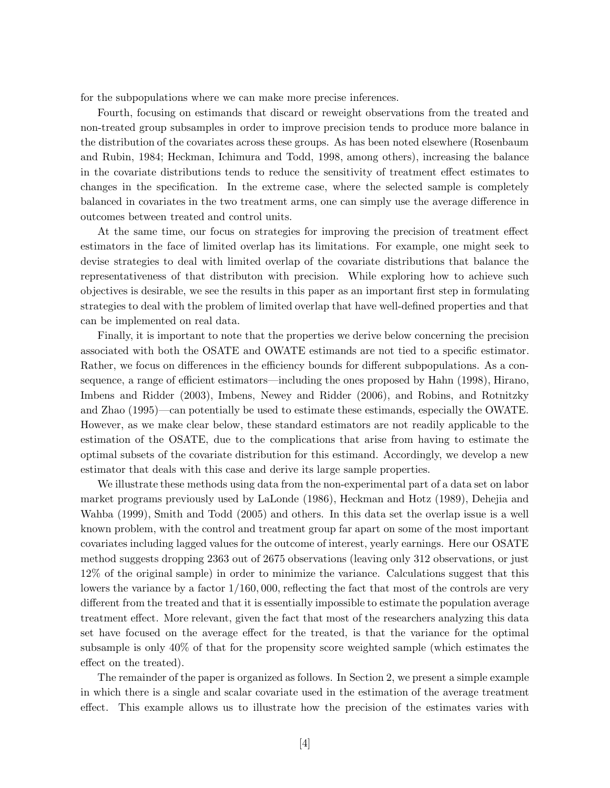for the subpopulations where we can make more precise inferences.

Fourth, focusing on estimands that discard or reweight observations from the treated and non-treated group subsamples in order to improve precision tends to produce more balance in the distribution of the covariates across these groups. As has been noted elsewhere (Rosenbaum and Rubin, 1984; Heckman, Ichimura and Todd, 1998, among others), increasing the balance in the covariate distributions tends to reduce the sensitivity of treatment effect estimates to changes in the specification. In the extreme case, where the selected sample is completely balanced in covariates in the two treatment arms, one can simply use the average difference in outcomes between treated and control units.

At the same time, our focus on strategies for improving the precision of treatment effect estimators in the face of limited overlap has its limitations. For example, one might seek to devise strategies to deal with limited overlap of the covariate distributions that balance the representativeness of that distributon with precision. While exploring how to achieve such objectives is desirable, we see the results in this paper as an important first step in formulating strategies to deal with the problem of limited overlap that have well-defined properties and that can be implemented on real data.

Finally, it is important to note that the properties we derive below concerning the precision associated with both the OSATE and OWATE estimands are not tied to a specific estimator. Rather, we focus on differences in the efficiency bounds for different subpopulations. As a consequence, a range of efficient estimators—including the ones proposed by Hahn (1998), Hirano, Imbens and Ridder (2003), Imbens, Newey and Ridder (2006), and Robins, and Rotnitzky and Zhao (1995)—can potentially be used to estimate these estimands, especially the OWATE. However, as we make clear below, these standard estimators are not readily applicable to the estimation of the OSATE, due to the complications that arise from having to estimate the optimal subsets of the covariate distribution for this estimand. Accordingly, we develop a new estimator that deals with this case and derive its large sample properties.

We illustrate these methods using data from the non-experimental part of a data set on labor market programs previously used by LaLonde (1986), Heckman and Hotz (1989), Dehejia and Wahba (1999), Smith and Todd (2005) and others. In this data set the overlap issue is a well known problem, with the control and treatment group far apart on some of the most important covariates including lagged values for the outcome of interest, yearly earnings. Here our OSATE method suggests dropping 2363 out of 2675 observations (leaving only 312 observations, or just 12% of the original sample) in order to minimize the variance. Calculations suggest that this lowers the variance by a factor  $1/160,000$ , reflecting the fact that most of the controls are very different from the treated and that it is essentially impossible to estimate the population average treatment effect. More relevant, given the fact that most of the researchers analyzing this data set have focused on the average effect for the treated, is that the variance for the optimal subsample is only 40% of that for the propensity score weighted sample (which estimates the effect on the treated).

The remainder of the paper is organized as follows. In Section 2, we present a simple example in which there is a single and scalar covariate used in the estimation of the average treatment effect. This example allows us to illustrate how the precision of the estimates varies with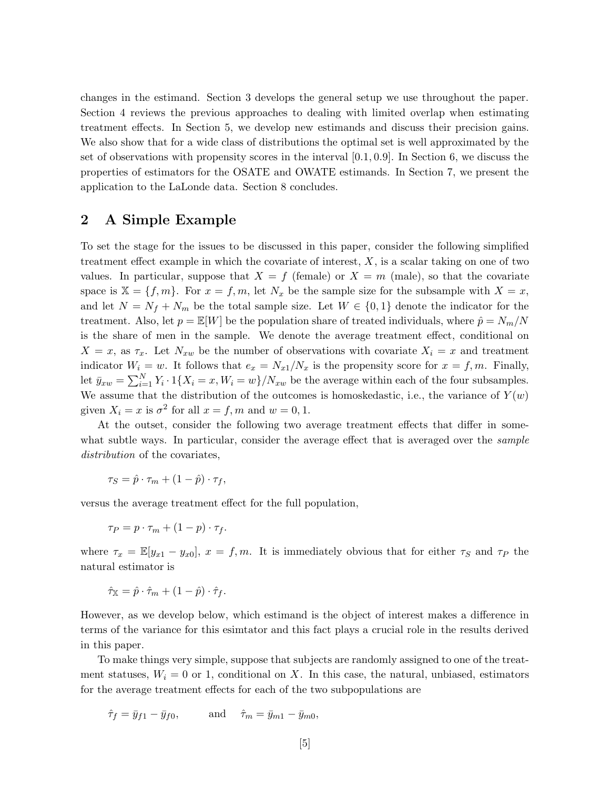changes in the estimand. Section 3 develops the general setup we use throughout the paper. Section 4 reviews the previous approaches to dealing with limited overlap when estimating treatment effects. In Section 5, we develop new estimands and discuss their precision gains. We also show that for a wide class of distributions the optimal set is well approximated by the set of observations with propensity scores in the interval [0*.*1*,* 0*.*9]. In Section 6, we discuss the properties of estimators for the OSATE and OWATE estimands. In Section 7, we present the application to the LaLonde data. Section 8 concludes.

## **2 A Simple Example**

To set the stage for the issues to be discussed in this paper, consider the following simplified treatment effect example in which the covariate of interest, *X*, is a scalar taking on one of two values. In particular, suppose that  $X = f$  (female) or  $X = m$  (male), so that the covariate space is  $X = \{f, m\}$ . For  $x = f, m$ , let  $N_x$  be the sample size for the subsample with  $X = x$ , and let  $N = N_f + N_m$  be the total sample size. Let  $W \in \{0, 1\}$  denote the indicator for the treatment. Also, let  $p = \mathbb{E}[W]$  be the population share of treated individuals, where  $\hat{p} = N_m/N$ is the share of men in the sample. We denote the average treatment effect, conditional on  $X = x$ , as  $\tau_x$ . Let  $N_{xw}$  be the number of observations with covariate  $X_i = x$  and treatment indicator  $W_i = w$ . It follows that  $e_x = N_{x1}/N_x$  is the propensity score for  $x = f, m$ . Finally, let  $\bar{y}_{xw} = \sum_{i=1}^{N} Y_i \cdot 1\{X_i = x, W_i = w\} / N_{xw}$  be the average within each of the four subsamples. We assume that the distribution of the outcomes is homoskedastic, i.e., the variance of  $Y(w)$ given  $X_i = x$  is  $\sigma^2$  for all  $x = f, m$  and  $w = 0, 1$ .

At the outset, consider the following two average treatment effects that differ in somewhat subtle ways. In particular, consider the average effect that is averaged over the *sample distribution* of the covariates,

$$
\tau_S = \hat{p} \cdot \tau_m + (1 - \hat{p}) \cdot \tau_f,
$$

versus the average treatment effect for the full population,

$$
\tau_P = p \cdot \tau_m + (1-p) \cdot \tau_f.
$$

where  $\tau_x = \mathbb{E}[y_{x1} - y_{x0}], x = f, m$ . It is immediately obvious that for either  $\tau_s$  and  $\tau_P$  the natural estimator is

$$
\hat{\tau}_{\mathbb{X}} = \hat{p} \cdot \hat{\tau}_m + (1 - \hat{p}) \cdot \hat{\tau}_f.
$$

However, as we develop below, which estimand is the object of interest makes a difference in terms of the variance for this esimtator and this fact plays a crucial role in the results derived in this paper.

To make things very simple, suppose that subjects are randomly assigned to one of the treatment statuses,  $W_i = 0$  or 1, conditional on *X*. In this case, the natural, unbiased, estimators for the average treatment effects for each of the two subpopulations are

$$
\hat{\tau}_f = \bar{y}_{f1} - \bar{y}_{f0}, \quad \text{and} \quad \hat{\tau}_m = \bar{y}_{m1} - \bar{y}_{m0},
$$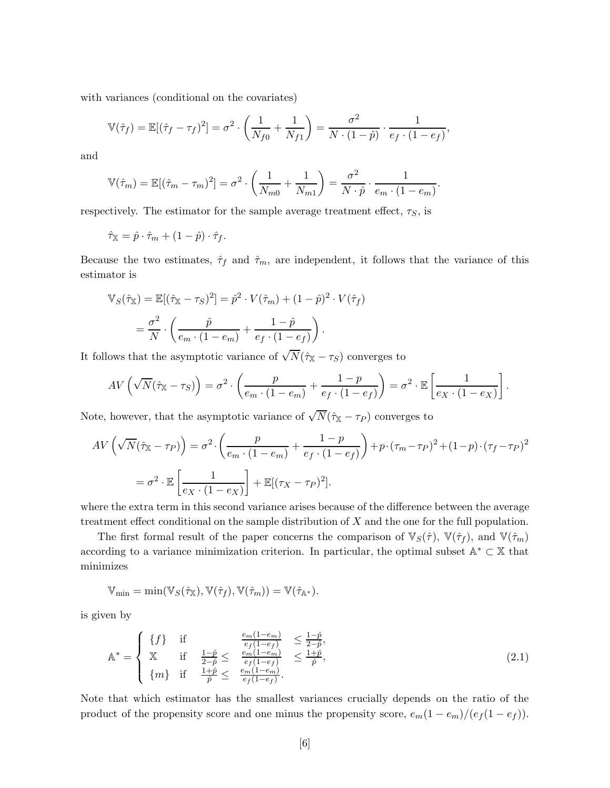with variances (conditional on the covariates)

$$
\mathbb{V}(\hat{\tau}_f) = \mathbb{E}[(\hat{\tau}_f - \tau_f)^2] = \sigma^2 \cdot \left(\frac{1}{N_{f0}} + \frac{1}{N_{f1}}\right) = \frac{\sigma^2}{N \cdot (1 - \hat{p})} \cdot \frac{1}{e_f \cdot (1 - e_f)},
$$

and

$$
\mathbb{V}(\hat{\tau}_m) = \mathbb{E}[(\hat{\tau}_m - \tau_m)^2] = \sigma^2 \cdot \left(\frac{1}{N_{m0}} + \frac{1}{N_{m1}}\right) = \frac{\sigma^2}{N \cdot \hat{p}} \cdot \frac{1}{e_m \cdot (1 - e_m)}.
$$

respectively. The estimator for the sample average treatment effect,  $\tau_S$ , is

$$
\hat{\tau}_{\mathbb{X}} = \hat{p} \cdot \hat{\tau}_m + (1 - \hat{p}) \cdot \hat{\tau}_f.
$$

Because the two estimates,  $\hat{\tau}_f$  and  $\hat{\tau}_m$ , are independent, it follows that the variance of this estimator is

$$
\mathbb{V}_S(\hat{\tau}_\mathbb{X}) = \mathbb{E}[(\hat{\tau}_\mathbb{X} - \tau_S)^2] = \hat{p}^2 \cdot V(\hat{\tau}_m) + (1 - \hat{p})^2 \cdot V(\hat{\tau}_f)
$$

$$
= \frac{\sigma^2}{N} \cdot \left(\frac{\hat{p}}{e_m \cdot (1 - e_m)} + \frac{1 - \hat{p}}{e_f \cdot (1 - e_f)}\right).
$$

It follows that the asymptotic variance of  $\sqrt{N}(\hat{\tau}_{\mathbb{X}} - \tau_{S})$  converges to

$$
AV\left(\sqrt{N}(\hat{\tau}_{X} - \tau_{S})\right) = \sigma^{2} \cdot \left(\frac{p}{e_{m} \cdot (1 - e_{m})} + \frac{1 - p}{e_{f} \cdot (1 - e_{f})}\right) = \sigma^{2} \cdot \mathbb{E}\left[\frac{1}{e_{X} \cdot (1 - e_{X})}\right].
$$

Note, however, that the asymptotic variance of  $\sqrt{N}(\hat{\tau}_{\mathbb{X}} - \tau_P)$  converges to

$$
AV\left(\sqrt{N}(\hat{\tau}_{X} - \tau_{P})\right) = \sigma^{2} \cdot \left(\frac{p}{e_{m} \cdot (1 - e_{m})} + \frac{1 - p}{e_{f} \cdot (1 - e_{f})}\right) + p \cdot (\tau_{m} - \tau_{P})^{2} + (1 - p) \cdot (\tau_{f} - \tau_{P})^{2}
$$

$$
= \sigma^{2} \cdot \mathbb{E}\left[\frac{1}{e_{X} \cdot (1 - e_{X})}\right] + \mathbb{E}[(\tau_{X} - \tau_{P})^{2}].
$$

where the extra term in this second variance arises because of the difference between the average treatment effect conditional on the sample distribution of *X* and the one for the full population.

The first formal result of the paper concerns the comparison of  $\mathbb{V}_S(\hat{\tau})$ ,  $\mathbb{V}(\hat{\tau}_f)$ , and  $\mathbb{V}(\hat{\tau}_m)$ according to a variance minimization criterion. In particular, the optimal subset  $\mathbb{A}^* \subset \mathbb{X}$  that minimizes

$$
\mathbb{V}_{\min} = \min(\mathbb{V}_S(\hat{\tau}_\mathbb{X}), \mathbb{V}(\hat{\tau}_f), \mathbb{V}(\hat{\tau}_m)) = \mathbb{V}(\hat{\tau}_{\mathbb{A}^*}).
$$

is given by

$$
\mathbb{A}^* = \begin{cases} \n\{f\} & \text{if} \\ \n\mathbb{X} & \text{if} \\ \n\mathbb{X} & \text{if} \\ \n\{m\} & \text{if} \end{cases} \quad \frac{\sum_{e} \frac{e_m(1-e_m)}{e_f(1-e_f)}}{\sum_{e} \frac{e_m(1-e_m)}{e_f(1-e_f)}} \leq \frac{1+\hat{p}}{\hat{p}}, \quad (2.1)
$$

Note that which estimator has the smallest variances crucially depends on the ratio of the product of the propensity score and one minus the propensity score,  $e_m(1 - e_m)/(e_f(1 - e_f))$ .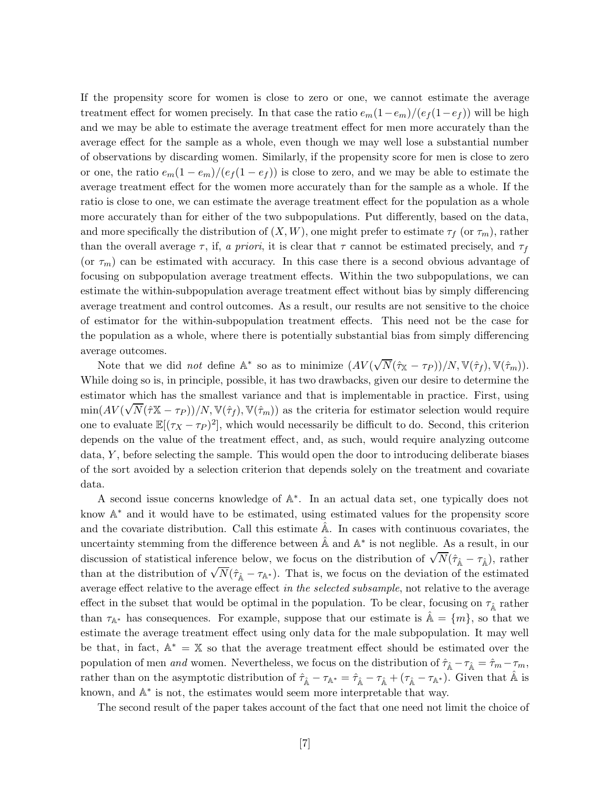If the propensity score for women is close to zero or one, we cannot estimate the average treatment effect for women precisely. In that case the ratio  $e_m(1-e_m)/(e_f(1-e_f))$  will be high and we may be able to estimate the average treatment effect for men more accurately than the average effect for the sample as a whole, even though we may well lose a substantial number of observations by discarding women. Similarly, if the propensity score for men is close to zero or one, the ratio  $e_m(1 - e_m)/(e_f(1 - e_f))$  is close to zero, and we may be able to estimate the average treatment effect for the women more accurately than for the sample as a whole. If the ratio is close to one, we can estimate the average treatment effect for the population as a whole more accurately than for either of the two subpopulations. Put differently, based on the data, and more specifically the distribution of  $(X, W)$ , one might prefer to estimate  $\tau_f$  (or  $\tau_m$ ), rather than the overall average  $\tau$ , if, *a priori*, it is clear that  $\tau$  cannot be estimated precisely, and  $\tau_f$ (or  $\tau_m$ ) can be estimated with accuracy. In this case there is a second obvious advantage of focusing on subpopulation average treatment effects. Within the two subpopulations, we can estimate the within-subpopulation average treatment effect without bias by simply differencing average treatment and control outcomes. As a result, our results are not sensitive to the choice of estimator for the within-subpopulation treatment effects. This need not be the case for the population as a whole, where there is potentially substantial bias from simply differencing average outcomes.

Note that we did *not* define A<sup>∗</sup> so as to minimize (*AV* ( √  $\overline{N}(\hat{\tau}_{\mathbb{X}}-\tau_P))/N, \mathbb{V}(\hat{\tau}_f), \mathbb{V}(\hat{\tau}_m)).$ While doing so is, in principle, possible, it has two drawbacks, given our desire to determine the estimator which has the smallest variance and that is implementable in practice. First, using  $\min(AV(\sqrt{N}(\hat{\tau}X-\tau_P))/N, V(\hat{\tau}_f), V(\hat{\tau}_m))$  as the criteria for estimator selection would require one to evaluate  $\mathbb{E}[(\tau_X - \tau_P)^2]$ , which would necessarily be difficult to do. Second, this criterion depends on the value of the treatment effect, and, as such, would require analyzing outcome data, *Y* , before selecting the sample. This would open the door to introducing deliberate biases of the sort avoided by a selection criterion that depends solely on the treatment and covariate data.

A second issue concerns knowledge of A∗. In an actual data set, one typically does not know A<sup>∗</sup> and it would have to be estimated, using estimated values for the propensity score and the covariate distribution. Call this estimate A. In cases with continuous covariates, the uncertainty stemming from the difference between  $\mathbb{\tilde{A}}$  and  $\mathbb{A}^*$  is not neglible. As a result, in our discussion of statistical inference below, we focus on the distribution of  $\sqrt{N}(\hat{\tau}_{\hat{\mathbb{A}}} - \tau_{\hat{\mathbb{A}}})$ , rather discussion of statistical interestic below, we focus on the distribution of  $\sqrt{N}(\hat{\tau}_{\hat{\mathbb{A}}} - \tau_{\mathbb{A}^*})$ . That is, we focus on the deviation of the estimated than at the distribution of  $\sqrt{N}(\hat{\tau}_{\hat{\mathbb{A}}} - \tau_{\mathbb{A}^$ average effect relative to the average effect *in the selected subsample*, not relative to the average effect in the subset that would be optimal in the population. To be clear, focusing on  $\tau_{\hat{A}}$  rather than  $\tau_{\mathbb{A}^*}$  has consequences. For example, suppose that our estimate is  $\mathbb{A} = \{m\}$ , so that we estimate the average treatment effect using only data for the male subpopulation. It may well be that, in fact,  $\mathbb{A}^* = \mathbb{X}$  so that the average treatment effect should be estimated over the population of men *and* women. Nevertheless, we focus on the distribution of  $\hat{\tau}_{\hat{A}} - \tau_{\hat{A}} = \hat{\tau}_m - \tau_m$ , rather than on the asymptotic distribution of  $\hat{\tau}_{\hat{\mathbb{A}}} - \tau_{\mathbb{A}^*} = \hat{\tau}_{\hat{\mathbb{A}}} - \tau_{\hat{\mathbb{A}}} + (\tau_{\hat{\mathbb{A}}} - \tau_{\mathbb{A}^*})$ . Given that  $\hat{\mathbb{A}}$  is known, and A<sup>∗</sup> is not, the estimates would seem more interpretable that way.

The second result of the paper takes account of the fact that one need not limit the choice of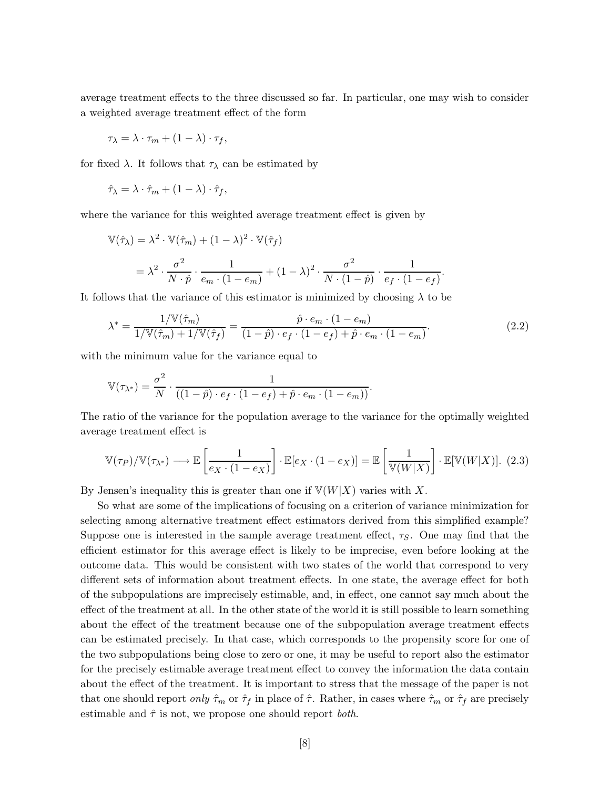average treatment effects to the three discussed so far. In particular, one may wish to consider a weighted average treatment effect of the form

$$
\tau_{\lambda} = \lambda \cdot \tau_m + (1 - \lambda) \cdot \tau_f,
$$

for fixed  $\lambda$ . It follows that  $\tau_{\lambda}$  can be estimated by

$$
\hat{\tau}_{\lambda} = \lambda \cdot \hat{\tau}_m + (1 - \lambda) \cdot \hat{\tau}_f,
$$

where the variance for this weighted average treatment effect is given by

$$
\begin{split} \mathbb{V}(\hat{\tau}_{\lambda}) &= \lambda^2 \cdot \mathbb{V}(\hat{\tau}_m) + (1 - \lambda)^2 \cdot \mathbb{V}(\hat{\tau}_f) \\ &= \lambda^2 \cdot \frac{\sigma^2}{N \cdot \hat{p}} \cdot \frac{1}{e_m \cdot (1 - e_m)} + (1 - \lambda)^2 \cdot \frac{\sigma^2}{N \cdot (1 - \hat{p})} \cdot \frac{1}{e_f \cdot (1 - e_f)}. \end{split}
$$

It follows that the variance of this estimator is minimized by choosing  $\lambda$  to be

$$
\lambda^* = \frac{1/\mathbb{V}(\hat{\tau}_m)}{1/\mathbb{V}(\hat{\tau}_m) + 1/\mathbb{V}(\hat{\tau}_f)} = \frac{\hat{p} \cdot e_m \cdot (1 - e_m)}{(1 - \hat{p}) \cdot e_f \cdot (1 - e_f) + \hat{p} \cdot e_m \cdot (1 - e_m)}.
$$
(2.2)

with the minimum value for the variance equal to

$$
\mathbb{V}(\tau_{\lambda^*}) = \frac{\sigma^2}{N} \cdot \frac{1}{((1-\hat{p}) \cdot e_f \cdot (1-e_f) + \hat{p} \cdot e_m \cdot (1-e_m))}.
$$

The ratio of the variance for the population average to the variance for the optimally weighted average treatment effect is

$$
\mathbb{V}(\tau_P)/\mathbb{V}(\tau_{\lambda^*}) \longrightarrow \mathbb{E}\left[\frac{1}{e_X \cdot (1 - e_X)}\right] \cdot \mathbb{E}[e_X \cdot (1 - e_X)] = \mathbb{E}\left[\frac{1}{\mathbb{V}(W|X)}\right] \cdot \mathbb{E}[\mathbb{V}(W|X)].
$$
 (2.3)

By Jensen's inequality this is greater than one if  $V(W|X)$  varies with X.

So what are some of the implications of focusing on a criterion of variance minimization for selecting among alternative treatment effect estimators derived from this simplified example? Suppose one is interested in the sample average treatment effect,  $\tau<sub>S</sub>$ . One may find that the efficient estimator for this average effect is likely to be imprecise, even before looking at the outcome data. This would be consistent with two states of the world that correspond to very different sets of information about treatment effects. In one state, the average effect for both of the subpopulations are imprecisely estimable, and, in effect, one cannot say much about the effect of the treatment at all. In the other state of the world it is still possible to learn something about the effect of the treatment because one of the subpopulation average treatment effects can be estimated precisely. In that case, which corresponds to the propensity score for one of the two subpopulations being close to zero or one, it may be useful to report also the estimator for the precisely estimable average treatment effect to convey the information the data contain about the effect of the treatment. It is important to stress that the message of the paper is not that one should report *only*  $\hat{\tau}_m$  or  $\hat{\tau}_f$  in place of  $\hat{\tau}$ . Rather, in cases where  $\hat{\tau}_m$  or  $\hat{\tau}_f$  are precisely estimable and  $\hat{\tau}$  is not, we propose one should report *both*.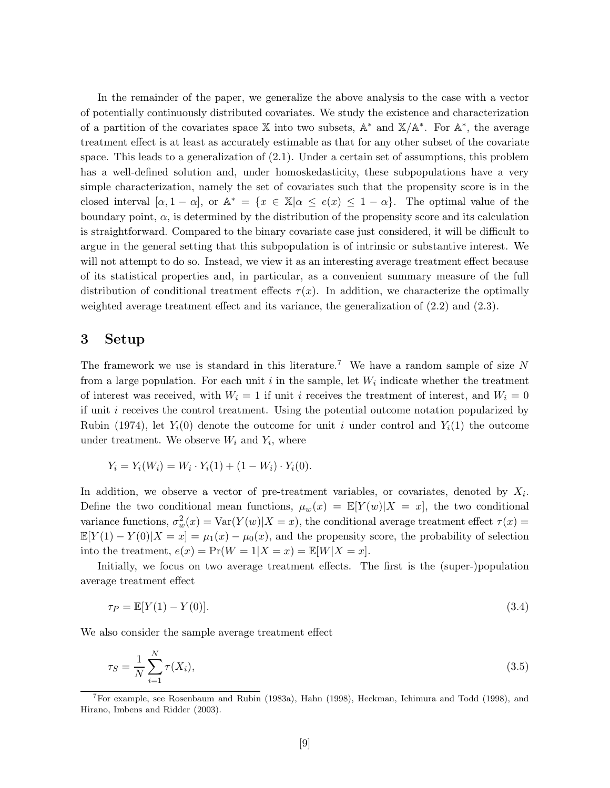In the remainder of the paper, we generalize the above analysis to the case with a vector of potentially continuously distributed covariates. We study the existence and characterization of a partition of the covariates space X into two subsets, A<sup>∗</sup> and X*/*A∗. For A∗, the average treatment effect is at least as accurately estimable as that for any other subset of the covariate space. This leads to a generalization of (2.1). Under a certain set of assumptions, this problem has a well-defined solution and, under homoskedasticity, these subpopulations have a very simple characterization, namely the set of covariates such that the propensity score is in the closed interval  $[\alpha, 1 - \alpha]$ , or  $\mathbb{A}^* = \{x \in \mathbb{X} | \alpha \leq e(x) \leq 1 - \alpha\}.$  The optimal value of the boundary point,  $\alpha$ , is determined by the distribution of the propensity score and its calculation is straightforward. Compared to the binary covariate case just considered, it will be difficult to argue in the general setting that this subpopulation is of intrinsic or substantive interest. We will not attempt to do so. Instead, we view it as an interesting average treatment effect because of its statistical properties and, in particular, as a convenient summary measure of the full distribution of conditional treatment effects  $\tau(x)$ . In addition, we characterize the optimally weighted average treatment effect and its variance, the generalization of (2.2) and (2.3).

## **3 Setup**

The framework we use is standard in this literature.<sup>7</sup> We have a random sample of size *N* from a large population. For each unit  $i$  in the sample, let  $W_i$  indicate whether the treatment of interest was received, with  $W_i = 1$  if unit *i* receives the treatment of interest, and  $W_i = 0$ if unit *i* receives the control treatment. Using the potential outcome notation popularized by Rubin (1974), let  $Y_i(0)$  denote the outcome for unit *i* under control and  $Y_i(1)$  the outcome under treatment. We observe  $W_i$  and  $Y_i$ , where

$$
Y_i = Y_i(W_i) = W_i \cdot Y_i(1) + (1 - W_i) \cdot Y_i(0).
$$

In addition, we observe a vector of pre-treatment variables, or covariates, denoted by  $X_i$ . Define the two conditional mean functions,  $\mu_w(x) = \mathbb{E}[Y(w)|X=x]$ , the two conditional variance functions,  $\sigma_w^2(x) = \text{Var}(Y(w)|X=x)$ , the conditional average treatment effect  $\tau(x) =$  $\mathbb{E}[Y(1) - Y(0)|X = x] = \mu_1(x) - \mu_0(x)$ , and the propensity score, the probability of selection into the treatment,  $e(x) = Pr(W = 1 | X = x) = E[W | X = x].$ 

Initially, we focus on two average treatment effects. The first is the (super-)population average treatment effect

$$
\tau_P = \mathbb{E}[Y(1) - Y(0)].\tag{3.4}
$$

We also consider the sample average treatment effect

$$
\tau_S = \frac{1}{N} \sum_{i=1}^{N} \tau(X_i),
$$
\n(3.5)

<sup>7</sup>For example, see Rosenbaum and Rubin (1983a), Hahn (1998), Heckman, Ichimura and Todd (1998), and Hirano, Imbens and Ridder (2003).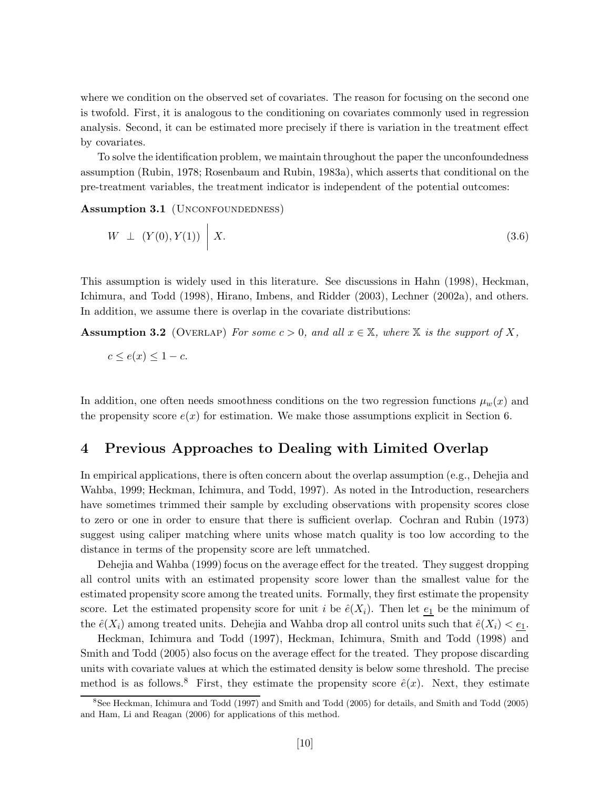where we condition on the observed set of covariates. The reason for focusing on the second one is twofold. First, it is analogous to the conditioning on covariates commonly used in regression analysis. Second, it can be estimated more precisely if there is variation in the treatment effect by covariates.

To solve the identification problem, we maintain throughout the paper the unconfoundedness assumption (Rubin, 1978; Rosenbaum and Rubin, 1983a), which asserts that conditional on the pre-treatment variables, the treatment indicator is independent of the potential outcomes:

Assumption 3.1 (UNCONFOUNDEDNESS)

$$
W \perp (Y(0), Y(1)) \mid X. \tag{3.6}
$$

This assumption is widely used in this literature. See discussions in Hahn (1998), Heckman, Ichimura, and Todd (1998), Hirano, Imbens, and Ridder (2003), Lechner (2002a), and others. In addition, we assume there is overlap in the covariate distributions:

**Assumption 3.2** (OVERLAP) *For some*  $c > 0$ *, and all*  $x \in \mathbb{X}$ *, where*  $\mathbb{X}$  *is the support of*  $X$ *,* 

$$
c \le e(x) \le 1 - c.
$$

In addition, one often needs smoothness conditions on the two regression functions  $\mu_w(x)$  and the propensity score  $e(x)$  for estimation. We make those assumptions explicit in Section 6.

## **4 Previous Approaches to Dealing with Limited Overlap**

In empirical applications, there is often concern about the overlap assumption (e.g., Dehejia and Wahba, 1999; Heckman, Ichimura, and Todd, 1997). As noted in the Introduction, researchers have sometimes trimmed their sample by excluding observations with propensity scores close to zero or one in order to ensure that there is sufficient overlap. Cochran and Rubin (1973) suggest using caliper matching where units whose match quality is too low according to the distance in terms of the propensity score are left unmatched.

Dehejia and Wahba (1999) focus on the average effect for the treated. They suggest dropping all control units with an estimated propensity score lower than the smallest value for the estimated propensity score among the treated units. Formally, they first estimate the propensity score. Let the estimated propensity score for unit *i* be  $\hat{e}(X_i)$ . Then let  $\underline{e_1}$  be the minimum of the  $\hat{e}(X_i)$  among treated units. Dehejia and Wahba drop all control units such that  $\hat{e}(X_i) < e_1$ .

Heckman, Ichimura and Todd (1997), Heckman, Ichimura, Smith and Todd (1998) and Smith and Todd (2005) also focus on the average effect for the treated. They propose discarding units with covariate values at which the estimated density is below some threshold. The precise method is as follows.<sup>8</sup> First, they estimate the propensity score  $\hat{e}(x)$ . Next, they estimate

<sup>8</sup>See Heckman, Ichimura and Todd (1997) and Smith and Todd (2005) for details, and Smith and Todd (2005) and Ham, Li and Reagan (2006) for applications of this method.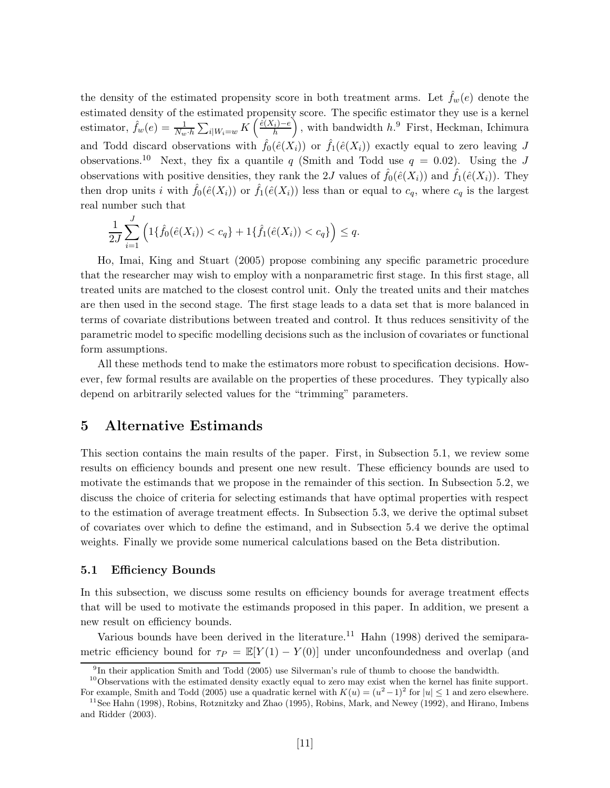the density of the estimated propensity score in both treatment arms. Let  $\hat{f}_w(e)$  denote the estimated density of the estimated propensity score. The specific estimator they use is a kernel estimator,  $\hat{f}_w(e) = \frac{1}{N_w \cdot h} \sum_{i \mid W_i = w} \overline{K}$  $\int \hat{e}(X_i)-e$ h  $\langle$ *,* with bandwidth *h*. <sup>9</sup> First, Heckman, Ichimura and Todd discard observations with  $\hat{f}_0(\hat{e}(X_i))$  or  $\hat{f}_1(\hat{e}(X_i))$  exactly equal to zero leaving *J* observations.<sup>10</sup> Next, they fix a quantile *q* (Smith and Todd use  $q = 0.02$ ). Using the *J* observations with positive densities, they rank the 2*J* values of  $\hat{f}_0(\hat{e}(X_i))$  and  $\hat{f}_1(\hat{e}(X_i))$ . They then drop units *i* with  $\hat{f}_0(\hat{e}(X_i))$  or  $\hat{f}_1(\hat{e}(X_i))$  less than or equal to  $c_q$ , where  $c_q$  is the largest real number such that

$$
\frac{1}{2J} \sum_{i=1}^{J} \left( 1\{ \hat{f}_0(\hat{e}(X_i)) < c_q \} + 1\{ \hat{f}_1(\hat{e}(X_i)) < c_q \} \right) \le q.
$$

Ho, Imai, King and Stuart (2005) propose combining any specific parametric procedure that the researcher may wish to employ with a nonparametric first stage. In this first stage, all treated units are matched to the closest control unit. Only the treated units and their matches are then used in the second stage. The first stage leads to a data set that is more balanced in terms of covariate distributions between treated and control. It thus reduces sensitivity of the parametric model to specific modelling decisions such as the inclusion of covariates or functional form assumptions.

All these methods tend to make the estimators more robust to specification decisions. However, few formal results are available on the properties of these procedures. They typically also depend on arbitrarily selected values for the "trimming" parameters.

## **5 Alternative Estimands**

This section contains the main results of the paper. First, in Subsection 5.1, we review some results on efficiency bounds and present one new result. These efficiency bounds are used to motivate the estimands that we propose in the remainder of this section. In Subsection 5.2, we discuss the choice of criteria for selecting estimands that have optimal properties with respect to the estimation of average treatment effects. In Subsection 5.3, we derive the optimal subset of covariates over which to define the estimand, and in Subsection 5.4 we derive the optimal weights. Finally we provide some numerical calculations based on the Beta distribution.

#### **5.1 Efficiency Bounds**

In this subsection, we discuss some results on efficiency bounds for average treatment effects that will be used to motivate the estimands proposed in this paper. In addition, we present a new result on efficiency bounds.

Various bounds have been derived in the literature.<sup>11</sup> Hahn  $(1998)$  derived the semiparametric efficiency bound for  $\tau_P = \mathbb{E}[Y(1) - Y(0)]$  under unconfoundedness and overlap (and

 $9<sup>9</sup>$ In their application Smith and Todd (2005) use Silverman's rule of thumb to choose the bandwidth.

<sup>&</sup>lt;sup>10</sup>Observations with the estimated density exactly equal to zero may exist when the kernel has finite support.

For example, Smith and Todd (2005) use a quadratic kernel with  $K(u)=(u^2-1)^2$  for  $|u|\leq 1$  and zero elsewhere. <sup>11</sup> See Hahn (1998), Robins, Rotznitzky and Zhao (1995), Robins, Mark, and Newey (1992), and Hirano, Imbens and Ridder (2003).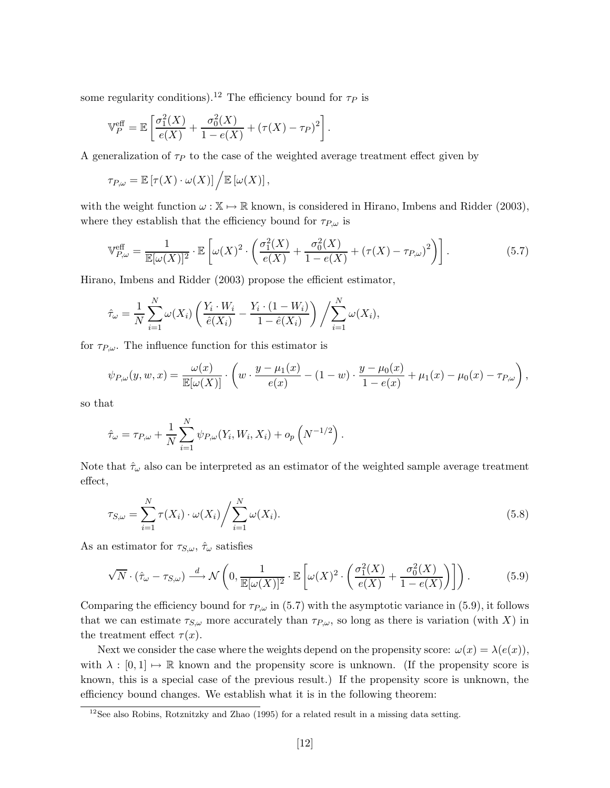some regularity conditions).<sup>12</sup> The efficiency bound for  $\tau_P$  is

$$
\mathbb{V}_P^{\text{eff}} = \mathbb{E}\left[\frac{\sigma_1^2(X)}{e(X)} + \frac{\sigma_0^2(X)}{1 - e(X)} + (\tau(X) - \tau_P)^2\right].
$$

A generalization of  $\tau_P$  to the case of the weighted average treatment effect given by

$$
\tau_{P,\omega} = \mathbb{E}\left[\tau(X)\cdot\omega(X)\right]\bigg/\mathbb{E}\left[\omega(X)\right],
$$

with the weight function  $\omega : \mathbb{X} \to \mathbb{R}$  known, is considered in Hirano, Imbens and Ridder (2003), where they establish that the efficiency bound for  $\tau_{P,\omega}$  is

$$
\mathbb{V}_{P,\omega}^{\text{eff}} = \frac{1}{\mathbb{E}[\omega(X)]^2} \cdot \mathbb{E}\left[\omega(X)^2 \cdot \left(\frac{\sigma_1^2(X)}{e(X)} + \frac{\sigma_0^2(X)}{1 - e(X)} + (\tau(X) - \tau_{P,\omega})^2\right)\right].\tag{5.7}
$$

Hirano, Imbens and Ridder (2003) propose the efficient estimator,

$$
\hat{\tau}_{\omega} = \frac{1}{N} \sum_{i=1}^{N} \omega(X_i) \left( \frac{Y_i \cdot W_i}{\hat{e}(X_i)} - \frac{Y_i \cdot (1 - W_i)}{1 - \hat{e}(X_i)} \right) / \sum_{i=1}^{N} \omega(X_i),
$$

for  $\tau_{P,\omega}$ . The influence function for this estimator is

$$
\psi_{P,\omega}(y,w,x) = \frac{\omega(x)}{\mathbb{E}[\omega(X)]} \cdot \left( w \cdot \frac{y - \mu_1(x)}{e(x)} - (1 - w) \cdot \frac{y - \mu_0(x)}{1 - e(x)} + \mu_1(x) - \mu_0(x) - \tau_{P,\omega} \right),
$$

so that

$$
\hat{\tau}_{\omega} = \tau_{P,\omega} + \frac{1}{N} \sum_{i=1}^{N} \psi_{P,\omega}(Y_i, W_i, X_i) + o_p\left(N^{-1/2}\right).
$$

Note that  $\hat{\tau}_{\omega}$  also can be interpreted as an estimator of the weighted sample average treatment effect,

$$
\tau_{S,\omega} = \sum_{i=1}^{N} \tau(X_i) \cdot \omega(X_i) / \sum_{i=1}^{N} \omega(X_i).
$$
\n(5.8)

As an estimator for  $\tau_{S,\omega}$ ,  $\hat{\tau}_{\omega}$  satisfies

$$
\sqrt{N} \cdot (\hat{\tau}_{\omega} - \tau_{S,\omega}) \stackrel{d}{\longrightarrow} \mathcal{N}\left(0, \frac{1}{\mathbb{E}[\omega(X)]^2} \cdot \mathbb{E}\left[\omega(X)^2 \cdot \left(\frac{\sigma_1^2(X)}{e(X)} + \frac{\sigma_0^2(X)}{1 - e(X)}\right)\right]\right). \tag{5.9}
$$

Comparing the efficiency bound for  $\tau_{P,\omega}$  in (5.7) with the asymptotic variance in (5.9), it follows that we can estimate  $\tau_{S,\omega}$  more accurately than  $\tau_{P,\omega}$ , so long as there is variation (with *X*) in the treatment effect  $\tau(x)$ .

Next we consider the case where the weights depend on the propensity score:  $\omega(x) = \lambda(e(x))$ , with  $\lambda : [0,1] \mapsto \mathbb{R}$  known and the propensity score is unknown. (If the propensity score is known, this is a special case of the previous result.) If the propensity score is unknown, the efficiency bound changes. We establish what it is in the following theorem:

<sup>&</sup>lt;sup>12</sup>See also Robins, Rotznitzky and Zhao (1995) for a related result in a missing data setting.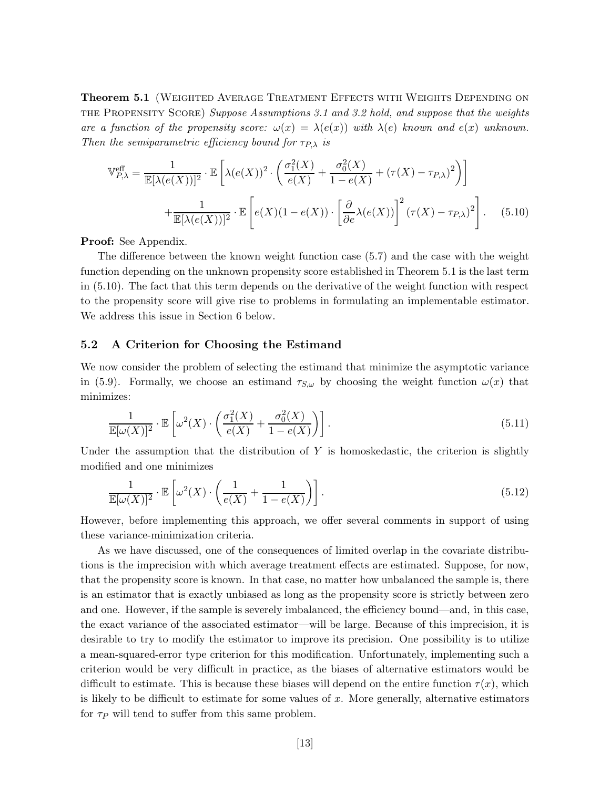**Theorem 5.1** (WEIGHTED AVERAGE TREATMENT EFFECTS WITH WEIGHTS DEPENDING ON the Propensity Score) *Suppose Assumptions 3.1 and 3.2 hold, and suppose that the weights are a function of the propensity score:*  $\omega(x) = \lambda(e(x))$  with  $\lambda(e)$  known and  $e(x)$  unknown. *Then the semiparametric efficiency bound for*  $\tau_{P,\lambda}$  *is* 

$$
\mathbb{V}_{P,\lambda}^{\text{eff}} = \frac{1}{\mathbb{E}[\lambda(e(X))]^2} \cdot \mathbb{E}\left[\lambda(e(X))^2 \cdot \left(\frac{\sigma_1^2(X)}{e(X)} + \frac{\sigma_0^2(X)}{1 - e(X)} + (\tau(X) - \tau_{P,\lambda})^2\right)\right] + \frac{1}{\mathbb{E}[\lambda(e(X))]^2} \cdot \mathbb{E}\left[e(X)(1 - e(X)) \cdot \left[\frac{\partial}{\partial e}\lambda(e(X))\right]^2 (\tau(X) - \tau_{P,\lambda})^2\right].
$$
 (5.10)

**Proof:** See Appendix.

The difference between the known weight function case (5.7) and the case with the weight function depending on the unknown propensity score established in Theorem 5.1 is the last term in (5.10). The fact that this term depends on the derivative of the weight function with respect to the propensity score will give rise to problems in formulating an implementable estimator. We address this issue in Section 6 below.

#### **5.2 A Criterion for Choosing the Estimand**

We now consider the problem of selecting the estimand that minimize the asymptotic variance in (5.9). Formally, we choose an estimand  $\tau_{S,\omega}$  by choosing the weight function  $\omega(x)$  that minimizes:

$$
\frac{1}{\mathbb{E}[\omega(X)]^2} \cdot \mathbb{E}\left[\omega^2(X) \cdot \left(\frac{\sigma_1^2(X)}{e(X)} + \frac{\sigma_0^2(X)}{1 - e(X)}\right)\right].\tag{5.11}
$$

Under the assumption that the distribution of *Y* is homoskedastic, the criterion is slightly modified and one minimizes

$$
\frac{1}{\mathbb{E}[\omega(X)]^2} \cdot \mathbb{E}\left[\omega^2(X) \cdot \left(\frac{1}{e(X)} + \frac{1}{1 - e(X)}\right)\right].
$$
\n(5.12)

However, before implementing this approach, we offer several comments in support of using these variance-minimization criteria.

As we have discussed, one of the consequences of limited overlap in the covariate distributions is the imprecision with which average treatment effects are estimated. Suppose, for now, that the propensity score is known. In that case, no matter how unbalanced the sample is, there is an estimator that is exactly unbiased as long as the propensity score is strictly between zero and one. However, if the sample is severely imbalanced, the efficiency bound—and, in this case, the exact variance of the associated estimator—will be large. Because of this imprecision, it is desirable to try to modify the estimator to improve its precision. One possibility is to utilize a mean-squared-error type criterion for this modification. Unfortunately, implementing such a criterion would be very difficult in practice, as the biases of alternative estimators would be difficult to estimate. This is because these biases will depend on the entire function  $\tau(x)$ , which is likely to be difficult to estimate for some values of *x*. More generally, alternative estimators for  $\tau_P$  will tend to suffer from this same problem.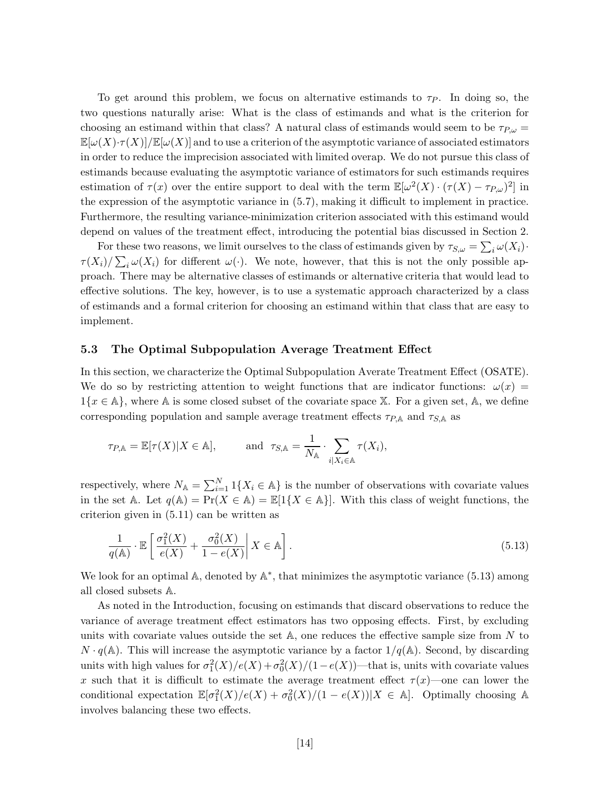To get around this problem, we focus on alternative estimands to  $\tau_P$ . In doing so, the two questions naturally arise: What is the class of estimands and what is the criterion for choosing an estimand within that class? A natural class of estimands would seem to be  $\tau_{P,\omega}$  $\mathbb{E}[\omega(X)\cdot \tau(X)|/\mathbb{E}[\omega(X)]$  and to use a criterion of the asymptotic variance of associated estimators in order to reduce the imprecision associated with limited overap. We do not pursue this class of estimands because evaluating the asymptotic variance of estimators for such estimands requires estimation of  $\tau(x)$  over the entire support to deal with the term  $\mathbb{E}[\omega^2(X) \cdot (\tau(X) - \tau_{P,\omega})^2]$  in the expression of the asymptotic variance in (5.7), making it difficult to implement in practice. Furthermore, the resulting variance-minimization criterion associated with this estimand would depend on values of the treatment effect, introducing the potential bias discussed in Section 2.

For these two reasons, we limit ourselves to the class of estimands given by  $\tau_{S,\omega} = \sum_i \omega(X_i)$ .  $\tau(X_i)/\sum_i \omega(X_i)$  for different  $\omega(\cdot)$ . We note, however, that this is not the only possible approach. There may be alternative classes of estimands or alternative criteria that would lead to effective solutions. The key, however, is to use a systematic approach characterized by a class of estimands and a formal criterion for choosing an estimand within that class that are easy to implement.

#### **5.3 The Optimal Subpopulation Average Treatment Effect**

In this section, we characterize the Optimal Subpopulation Averate Treatment Effect (OSATE). We do so by restricting attention to weight functions that are indicator functions:  $\omega(x)$  =  $1\{x \in \mathbb{A}\}\,$ , where A is some closed subset of the covariate space X. For a given set, A, we define corresponding population and sample average treatment effects  $\tau_{P,A}$  and  $\tau_{S,A}$  as

$$
\tau_{P,A} = \mathbb{E}[\tau(X)|X \in \mathbb{A}], \quad \text{and} \quad \tau_{S,A} = \frac{1}{N_A} \cdot \sum_{i \mid X_i \in \mathbb{A}} \tau(X_i),
$$

respectively, where  $N_{\mathbb{A}} = \sum_{i=1}^{N} 1\{X_i \in \mathbb{A}\}\)$  is the number of observations with covariate values in the set A. Let  $q(A) = Pr(X \in A) = \mathbb{E}[1\{X \in A\}].$  With this class of weight functions, the criterion given in (5.11) can be written as

$$
\frac{1}{q(\mathbb{A})} \cdot \mathbb{E}\left[\frac{\sigma_1^2(X)}{e(X)} + \frac{\sigma_0^2(X)}{1 - e(X)}\middle| X \in \mathbb{A}\right].
$$
\n(5.13)

We look for an optimal A, denoted by  $\mathbb{A}^*$ , that minimizes the asymptotic variance (5.13) among all closed subsets A.

As noted in the Introduction, focusing on estimands that discard observations to reduce the variance of average treatment effect estimators has two opposing effects. First, by excluding units with covariate values outside the set A, one reduces the effective sample size from *N* to  $N \cdot q(A)$ . This will increase the asymptotic variance by a factor  $1/q(A)$ . Second, by discarding units with high values for  $\sigma_1^2(X)/e(X) + \sigma_0^2(X)/(1-e(X))$ —that is, units with covariate values *x* such that it is difficult to estimate the average treatment effect  $\tau(x)$ —one can lower the conditional expectation  $\mathbb{E}[\sigma_1^2(X)/e(X) + \sigma_0^2(X)/(1 - e(X))|X \in \mathbb{A}]$ . Optimally choosing A involves balancing these two effects.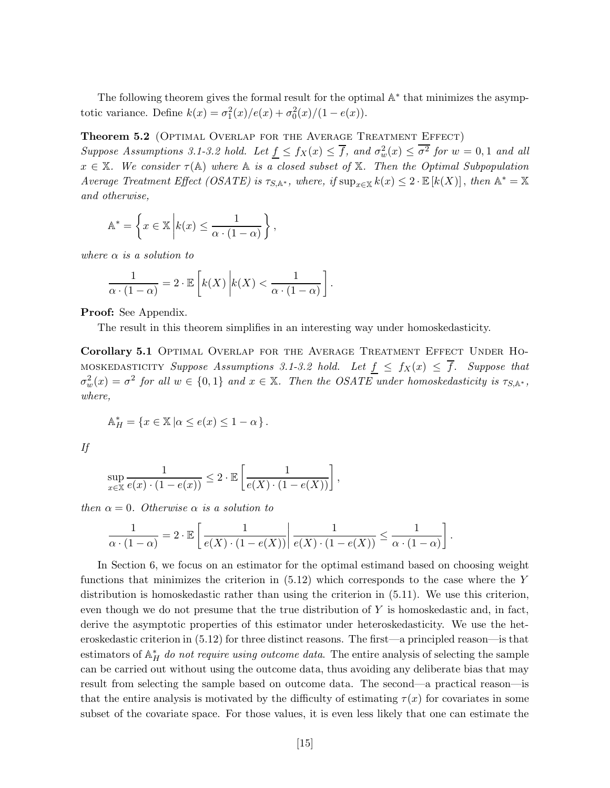The following theorem gives the formal result for the optimal  $\mathbb{A}^*$  that minimizes the asymptotic variance. Define  $k(x) = \sigma_1^2(x)/e(x) + \sigma_0^2(x)/(1 - e(x)).$ 

**Theorem 5.2** (Optimal Overlap for the Average Treatment Effect)

*Suppose Assumptions 3.1-3.2 hold. Let*  $\underline{f} \leq f_X(x) \leq \overline{f}$ , and  $\sigma_w^2(x) \leq \overline{\sigma^2}$  for  $w = 0, 1$  and all  $x \in \mathbb{X}$ *. We consider*  $\tau(\mathbb{A})$  *where*  $\mathbb{A}$  *is a closed subset of*  $\mathbb{X}$ *. Then the Optimal Subpopulation Average Treatment Effect (OSATE) is*  $\tau_{S, A^*}$ *, where, if*  $\sup_{x \in X} k(x) \leq 2 \cdot \mathbb{E}[k(X)]$ *, then*  $A^* = X$ *and otherwise,*

$$
\mathbb{A}^* = \left\{ x \in \mathbb{X} \middle| k(x) \le \frac{1}{\alpha \cdot (1 - \alpha)} \right\},\
$$

*where α is a solution to*

$$
\frac{1}{\alpha \cdot (1-\alpha)} = 2 \cdot \mathbb{E}\left[k(X)\middle| k(X) < \frac{1}{\alpha \cdot (1-\alpha)}\right].
$$

**Proof:** See Appendix.

The result in this theorem simplifies in an interesting way under homoskedasticity.

**Corollary 5.1** Optimal Overlap for the Average Treatment Effect Under Ho-MOSKEDASTICITY *Suppose Assumptions 3.1-3.2 hold.* Let  $f \leq f_X(x) \leq \overline{f}$ . Suppose that  $\sigma_w^2(x) = \sigma^2$  for all  $w \in \{0, 1\}$  and  $x \in \mathbb{X}$ . Then the OSATE under homoskedasticity is  $\tau_{S, \mathbb{A}^*}$ , *where,*

$$
\mathbb{A}^*_H = \{ x \in \mathbb{X} \mid \alpha \le e(x) \le 1 - \alpha \}.
$$

*If*

$$
\sup_{x \in \mathbb{X}} \frac{1}{e(x) \cdot (1 - e(x))} \leq 2 \cdot \mathbb{E} \left[ \frac{1}{e(X) \cdot (1 - e(X))} \right],
$$

*then*  $\alpha = 0$ *. Otherwise*  $\alpha$  *is a solution to* 

$$
\frac{1}{\alpha \cdot (1-\alpha)} = 2 \cdot \mathbb{E}\left[\left.\frac{1}{e(X)\cdot (1-e(X))}\right|\frac{1}{e(X)\cdot (1-e(X))} \leq \frac{1}{\alpha \cdot (1-\alpha)}\right].
$$

In Section 6, we focus on an estimator for the optimal estimand based on choosing weight functions that minimizes the criterion in (5.12) which corresponds to the case where the *Y* distribution is homoskedastic rather than using the criterion in (5.11). We use this criterion, even though we do not presume that the true distribution of *Y* is homoskedastic and, in fact, derive the asymptotic properties of this estimator under heteroskedasticity. We use the heteroskedastic criterion in (5.12) for three distinct reasons. The first—a principled reason—is that  $\sigma$  estimators of  $\mathbb{A}^*_{H}$  *do not require using outcome data*. The entire analysis of selecting the sample can be carried out without using the outcome data, thus avoiding any deliberate bias that may result from selecting the sample based on outcome data. The second—a practical reason—is that the entire analysis is motivated by the difficulty of estimating  $\tau(x)$  for covariates in some subset of the covariate space. For those values, it is even less likely that one can estimate the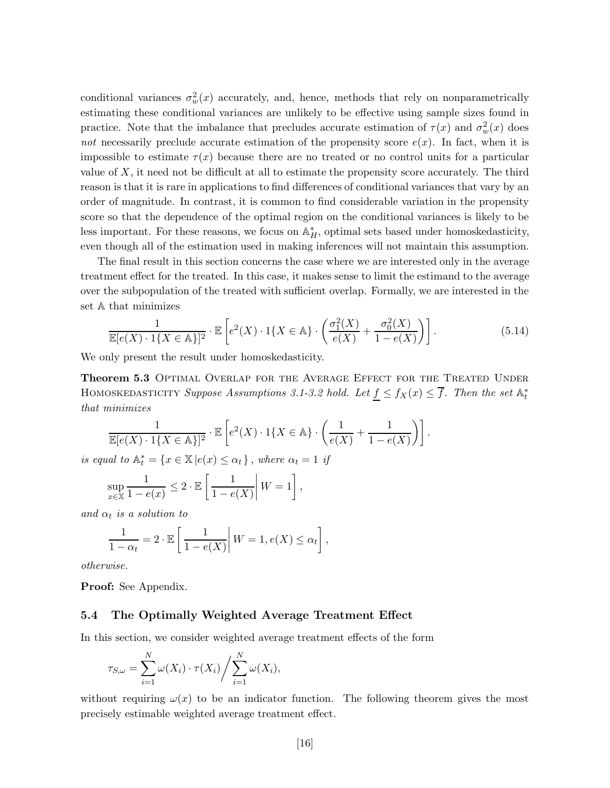conditional variances  $\sigma_w^2(x)$  accurately, and, hence, methods that rely on nonparametrically estimating these conditional variances are unlikely to be effective using sample sizes found in practice. Note that the imbalance that precludes accurate estimation of  $\tau(x)$  and  $\sigma_w^2(x)$  does *not* necessarily preclude accurate estimation of the propensity score  $e(x)$ . In fact, when it is impossible to estimate  $\tau(x)$  because there are no treated or no control units for a particular value of  $X$ , it need not be difficult at all to estimate the propensity score accurately. The third reason is that it is rare in applications to find differences of conditional variances that vary by an order of magnitude. In contrast, it is common to find considerable variation in the propensity score so that the dependence of the optimal region on the conditional variances is likely to be less important. For these reasons, we focus on  $\mathbb{A}^*_{H}$ , optimal sets based under homoskedasticity, even though all of the estimation used in making inferences will not maintain this assumption.

The final result in this section concerns the case where we are interested only in the average treatment effect for the treated. In this case, it makes sense to limit the estimand to the average over the subpopulation of the treated with sufficient overlap. Formally, we are interested in the set A that minimizes

$$
\frac{1}{\mathbb{E}[e(X)\cdot 1\{X\in\mathbb{A}\}]^2} \cdot \mathbb{E}\left[e^2(X)\cdot 1\{X\in\mathbb{A}\}\cdot \left(\frac{\sigma_1^2(X)}{e(X)} + \frac{\sigma_0^2(X)}{1 - e(X)}\right)\right].
$$
\n(5.14)

We only present the result under homoskedasticity.

**Theorem 5.3** Optimal Overlap for the Average Effect for the Treated Under HOMOSKEDASTICITY *Suppose Assumptions 3.1-3.2 hold. Let*  $\underline{f} \le f_X(x) \le \overline{f}$ *. Then the set*  $\mathbb{A}_t^*$ *that minimizes*

$$
\frac{1}{\mathbb{E}[e(X)\cdot 1\{X\in \mathbb{A}\}]^2}\cdot \mathbb{E}\left[e^2(X)\cdot 1\{X\in \mathbb{A}\}\cdot \left(\frac{1}{e(X)}+\frac{1}{1-e(X)}\right)\right].
$$

*is equal to*  $\mathbb{A}_t^* = \{x \in \mathbb{X} | e(x) \leq \alpha_t\}$ , where  $\alpha_t = 1$  *if* 

$$
\sup_{x \in \mathbb{X}} \frac{1}{1 - e(x)} \leq 2 \cdot \mathbb{E}\left[\left.\frac{1}{1 - e(X)}\right| W = 1\right],
$$

*and*  $\alpha_t$  *is a solution to* 

$$
\frac{1}{1-\alpha_t} = 2 \cdot \mathbb{E}\left[\left.\frac{1}{1-e(X)}\right| W = 1, e(X) \le \alpha_t\right],
$$

*otherwise.*

**Proof:** See Appendix.

#### **5.4 The Optimally Weighted Average Treatment Effect**

In this section, we consider weighted average treatment effects of the form

$$
\tau_{S,\omega} = \sum_{i=1}^N \omega(X_i) \cdot \tau(X_i) / \sum_{i=1}^N \omega(X_i),
$$

without requiring  $\omega(x)$  to be an indicator function. The following theorem gives the most precisely estimable weighted average treatment effect.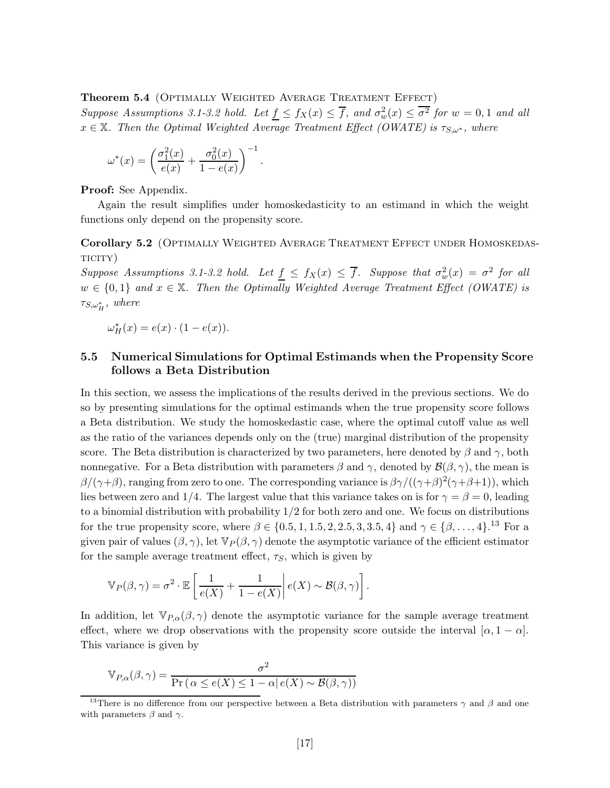**Theorem 5.4** (Optimally Weighted Average Treatment Effect) *Suppose Assumptions 3.1-3.2 hold. Let*  $\underline{f} \leq f_X(x) \leq \overline{f}$ , and  $\sigma_w^2(x) \leq \overline{\sigma^2}$  for  $w = 0, 1$  and all  $x \in X$ *. Then the Optimal Weighted Average Treatment Effect (OWATE) is*  $\tau_{S,\omega^*}$ *, where* 

*.*

$$
\omega^*(x)=\left(\frac{\sigma_1^2(x)}{e(x)}+\frac{\sigma_0^2(x)}{1-e(x)}\right)^{-1}
$$

**Proof:** See Appendix.

Again the result simplifies under homoskedasticity to an estimand in which the weight functions only depend on the propensity score.

**Corollary 5.2** (OPTIMALLY WEIGHTED AVERAGE TREATMENT EFFECT UNDER HOMOSKEDASticity)

*Suppose Assumptions 3.1-3.2 hold. Let*  $f \leq f_X(x) \leq \overline{f}$ *. Suppose that*  $\sigma_w^2(x) = \sigma^2$  *for all*  $w \in \{0,1\}$  and  $x \in \mathbb{X}$ . Then the Optimally Weighted Average Treatment Effect (OWATE) is  $\tau_{S,\omega_H^*}$ , where

$$
\omega_H^*(x) = e(x) \cdot (1 - e(x)).
$$

## **5.5 Numerical Simulations for Optimal Estimands when the Propensity Score follows a Beta Distribution**

In this section, we assess the implications of the results derived in the previous sections. We do so by presenting simulations for the optimal estimands when the true propensity score follows a Beta distribution. We study the homoskedastic case, where the optimal cutoff value as well as the ratio of the variances depends only on the (true) marginal distribution of the propensity score. The Beta distribution is characterized by two parameters, here denoted by  $\beta$  and  $\gamma$ , both nonnegative. For a Beta distribution with parameters  $\beta$  and  $\gamma$ , denoted by  $\mathcal{B}(\beta, \gamma)$ , the mean is *β*/( $\gamma$ +*β*), ranging from zero to one. The corresponding variance is  $β\gamma/((γ+β)^2(γ+β+1))$ , which lies between zero and 1/4. The largest value that this variance takes on is for  $\gamma = \beta = 0$ , leading to a binomial distribution with probability 1*/*2 for both zero and one. We focus on distributions for the true propensity score, where  $\beta \in \{0.5, 1, 1.5, 2, 2.5, 3, 3.5, 4\}$  and  $\gamma \in \{\beta, \ldots, 4\}$ .<sup>13</sup> For a given pair of values  $(\beta, \gamma)$ , let  $\mathbb{V}_P(\beta, \gamma)$  denote the asymptotic variance of the efficient estimator for the sample average treatment effect,  $\tau<sub>S</sub>$ , which is given by

$$
\mathbb{V}_P(\beta, \gamma) = \sigma^2 \cdot \mathbb{E}\left[\frac{1}{e(X)} + \frac{1}{1 - e(X)} \middle| e(X) \sim \mathcal{B}(\beta, \gamma) \right].
$$

In addition, let  $\mathbb{V}_{P,\alpha}(\beta,\gamma)$  denote the asymptotic variance for the sample average treatment effect, where we drop observations with the propensity score outside the interval  $[\alpha, 1 - \alpha]$ . This variance is given by

$$
\mathbb{V}_{P,\alpha}(\beta,\gamma) = \frac{\sigma^2}{\Pr(\alpha \le e(X) \le 1 - \alpha | e(X) \sim \mathcal{B}(\beta,\gamma))}
$$

<sup>13</sup>There is no difference from our perspective between a Beta distribution with parameters *γ* and *β* and one with parameters  $\beta$  and  $\gamma$ .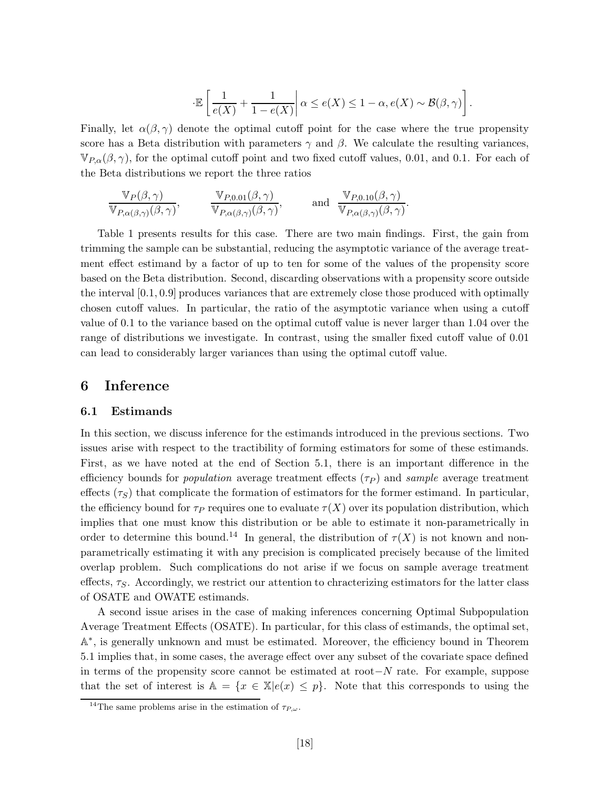$$
\cdot \mathbb{E}\left[ \left. \frac{1}{e(X)} + \frac{1}{1-e(X)} \right| \alpha \leq e(X) \leq 1-\alpha, e(X) \sim \mathcal{B}(\beta, \gamma) \right].
$$

Finally, let  $\alpha(\beta, \gamma)$  denote the optimal cutoff point for the case where the true propensity score has a Beta distribution with parameters  $\gamma$  and  $\beta$ . We calculate the resulting variances,  $\mathbb{V}_{P,\alpha}(\beta,\gamma)$ , for the optimal cutoff point and two fixed cutoff values, 0.01, and 0.1. For each of the Beta distributions we report the three ratios

$$
\frac{\mathbb{V}_P(\beta, \gamma)}{\mathbb{V}_{P,\alpha(\beta,\gamma)}(\beta, \gamma)}, \qquad \frac{\mathbb{V}_{P,0.01}(\beta, \gamma)}{\mathbb{V}_{P,\alpha(\beta,\gamma)}(\beta, \gamma)}, \qquad \text{and} \quad \frac{\mathbb{V}_{P,0.10}(\beta, \gamma)}{\mathbb{V}_{P,\alpha(\beta,\gamma)}(\beta, \gamma)}.
$$

Table 1 presents results for this case. There are two main findings. First, the gain from trimming the sample can be substantial, reducing the asymptotic variance of the average treatment effect estimand by a factor of up to ten for some of the values of the propensity score based on the Beta distribution. Second, discarding observations with a propensity score outside the interval [0*.*1*,* 0*.*9] produces variances that are extremely close those produced with optimally chosen cutoff values. In particular, the ratio of the asymptotic variance when using a cutoff value of 0.1 to the variance based on the optimal cutoff value is never larger than 1.04 over the range of distributions we investigate. In contrast, using the smaller fixed cutoff value of 0.01 can lead to considerably larger variances than using the optimal cutoff value.

### **6 Inference**

#### **6.1 Estimands**

In this section, we discuss inference for the estimands introduced in the previous sections. Two issues arise with respect to the tractibility of forming estimators for some of these estimands. First, as we have noted at the end of Section 5.1, there is an important difference in the efficiency bounds for *population* average treatment effects  $(\tau_P)$  and *sample* average treatment effects  $(\tau_S)$  that complicate the formation of estimators for the former estimand. In particular, the efficiency bound for  $\tau_P$  requires one to evaluate  $\tau(X)$  over its population distribution, which implies that one must know this distribution or be able to estimate it non-parametrically in order to determine this bound.<sup>14</sup> In general, the distribution of  $\tau(X)$  is not known and nonparametrically estimating it with any precision is complicated precisely because of the limited overlap problem. Such complications do not arise if we focus on sample average treatment effects,  $\tau_S$ . Accordingly, we restrict our attention to chracterizing estimators for the latter class of OSATE and OWATE estimands.

A second issue arises in the case of making inferences concerning Optimal Subpopulation Average Treatment Effects (OSATE). In particular, for this class of estimands, the optimal set, A∗, is generally unknown and must be estimated. Moreover, the efficiency bound in Theorem 5.1 implies that, in some cases, the average effect over any subset of the covariate space defined in terms of the propensity score cannot be estimated at root−*N* rate. For example, suppose that the set of interest is  $A = \{x \in \mathbb{X} | e(x) \leq p\}$ . Note that this corresponds to using the

<sup>&</sup>lt;sup>14</sup>The same problems arise in the estimation of  $\tau_{P,\omega}$ .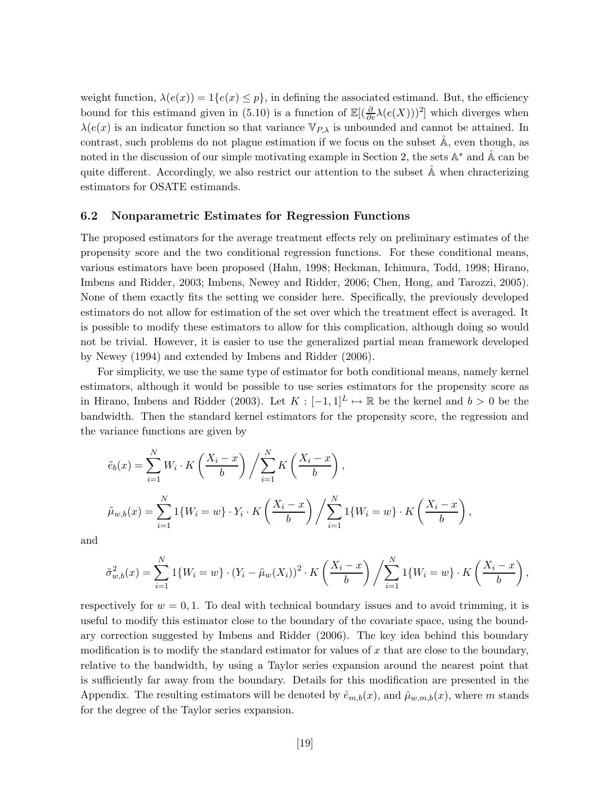weight function,  $\lambda(e(x)) = 1\{e(x) \leq p\}$ , in defining the associated estimand. But, the efficiency bound for this estimand given in (5.10) is a function of  $\mathbb{E}[(\frac{\partial}{\partial e}\lambda(e(X)))^2]$  which diverges when  $\lambda(e(x))$  is an indicator function so that variance  $\mathbb{V}_{P,\lambda}$  is unbounded and cannot be attained. In contrast, such problems do not plague estimation if we focus on the subset  $\mathbb{A}$ , even though, as noted in the discussion of our simple motivating example in Section 2, the sets  $\mathbb{A}^*$  and  $\hat{\mathbb{A}}$  can be quite different. Accordingly, we also restrict our attention to the subset  $\hat{A}$  when chracterizing estimators for OSATE estimands.

#### **6.2 Nonparametric Estimates for Regression Functions**

The proposed estimators for the average treatment effects rely on preliminary estimates of the propensity score and the two conditional regression functions. For these conditional means, various estimators have been proposed (Hahn, 1998; Heckman, Ichimura, Todd, 1998; Hirano, Imbens and Ridder, 2003; Imbens, Newey and Ridder, 2006; Chen, Hong, and Tarozzi, 2005). None of them exactly fits the setting we consider here. Specifically, the previously developed estimators do not allow for estimation of the set over which the treatment effect is averaged. It is possible to modify these estimators to allow for this complication, although doing so would not be trivial. However, it is easier to use the generalized partial mean framework developed by Newey (1994) and extended by Imbens and Ridder (2006).

For simplicity, we use the same type of estimator for both conditional means, namely kernel estimators, although it would be possible to use series estimators for the propensity score as in Hirano, Imbens and Ridder (2003). Let  $K : [-1,1]^L \mapsto \mathbb{R}$  be the kernel and  $b > 0$  be the bandwidth. Then the standard kernel estimators for the propensity score, the regression and the variance functions are given by

$$
\tilde{e}_b(x) = \sum_{i=1}^N W_i \cdot K\left(\frac{X_i - x}{b}\right) / \sum_{i=1}^N K\left(\frac{X_i - x}{b}\right),
$$
  

$$
\tilde{\mu}_{w,b}(x) = \sum_{i=1}^N 1\{W_i = w\} \cdot Y_i \cdot K\left(\frac{X_i - x}{b}\right) / \sum_{i=1}^N 1\{W_i = w\} \cdot K\left(\frac{X_i - x}{b}\right),
$$

and

$$
\tilde{\sigma}_{w,b}^2(x) = \sum_{i=1}^N 1\{W_i = w\} \cdot (Y_i - \tilde{\mu}_w(X_i))^2 \cdot K\left(\frac{X_i - x}{b}\right) / \sum_{i=1}^N 1\{W_i = w\} \cdot K\left(\frac{X_i - x}{b}\right),
$$

respectively for  $w = 0, 1$ . To deal with technical boundary issues and to avoid trimming, it is useful to modify this estimator close to the boundary of the covariate space, using the boundary correction suggested by Imbens and Ridder (2006). The key idea behind this boundary modification is to modify the standard estimator for values of *x* that are close to the boundary, relative to the bandwidth, by using a Taylor series expansion around the nearest point that is sufficiently far away from the boundary. Details for this modification are presented in the Appendix. The resulting estimators will be denoted by  $\hat{e}_{m,b}(x)$ , and  $\hat{\mu}_{w,m,b}(x)$ , where *m* stands for the degree of the Taylor series expansion.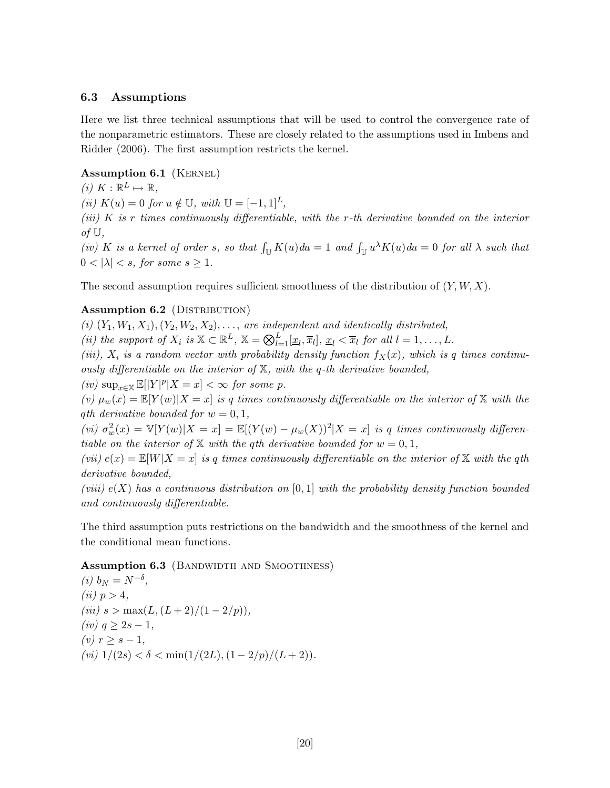#### **6.3 Assumptions**

Here we list three technical assumptions that will be used to control the convergence rate of the nonparametric estimators. These are closely related to the assumptions used in Imbens and Ridder (2006). The first assumption restricts the kernel.

#### Assumption 6.1 (KERNEL)

 $(i)$   $K: \mathbb{R}^L \mapsto \mathbb{R}$ ,

*(ii)*  $K(u) = 0$  *for*  $u \notin U$ *, with*  $U = [-1, 1]^L$ *,* 

*(iii) K is r times continuously differentiable, with the r-th derivative bounded on the interior of* U*,*

 $(iu)$  *K is a kernel of order s, so that*  $\int_{\mathbb{U}} K(u) du = 1$  *and*  $\int_{\mathbb{U}} u^{\lambda} K(u) du = 0$  *for all*  $\lambda$  *such that*  $0 < |\lambda| < s$ , for some  $s \geq 1$ .

The second assumption requires sufficient smoothness of the distribution of (*Y, W, X*).

#### **Assumption 6.2** (DISTRIBUTION)

(*i*)  $(Y_1, W_1, X_1), (Y_2, W_2, X_2), \ldots$ , *are independent and identically distributed,* 

*(ii) the support of*  $X_i$  *is*  $X \subset \mathbb{R}^L$ ,  $X = \bigotimes_{l=1}^L [\underline{x}_l, \overline{x}_l]$ ,  $\underline{x}_l < \overline{x}_l$  *for all*  $l = 1, \ldots, L$ .

*(iii),*  $X_i$  *is a random vector with probability density function*  $f_X(x)$ *, which is q times continuously differentiable on the interior of* X*, with the q-th derivative bounded,*

 $(iv)$  sup $_{x\in\mathbb{X}}$   $\mathbb{E}[|Y|^p|X=x] < \infty$  *for some p.* 

 $f(v)$   $\mu_w(x) = \mathbb{E}[Y(w)|X=x]$  *is q* times continuously differentiable on the interior of X with the *q*<sup>*th*</sup> *derivative bounded for*  $w = 0, 1$ *,* 

 $(vi)$   $\sigma_w^2(x) = \mathbb{V}[Y(w)|X=x] = \mathbb{E}[(Y(w) - \mu_w(X))^2 | X=x]$  *is q times continuously differentiable on the interior of*  $X$  *with the qth derivative bounded for*  $w = 0, 1$ *,* 

(*vii*)  $e(x) = \mathbb{E}[W|X=x]$  *is q times continuously differentiable on the interior of* X *with the qth derivative bounded,*

*(viii) e*(*X*) *has a continuous distribution on* [0*,* 1] *with the probability density function bounded and continuously differentiable.*

The third assumption puts restrictions on the bandwidth and the smoothness of the kernel and the conditional mean functions.

#### **Assumption 6.3** (BANDWIDTH AND SMOOTHNESS)

(i) 
$$
b_N = N^{-\delta}
$$
,  
\n(ii)  $p > 4$ ,  
\n(iii)  $s > \max(L, (L+2)/(1-2/p))$ ,  
\n(iv)  $q \ge 2s - 1$ ,  
\n(v)  $r \ge s - 1$ ,  
\n(vi)  $1/(2s) < \delta < \min(1/(2L), (1-2/p)/(L+2))$ .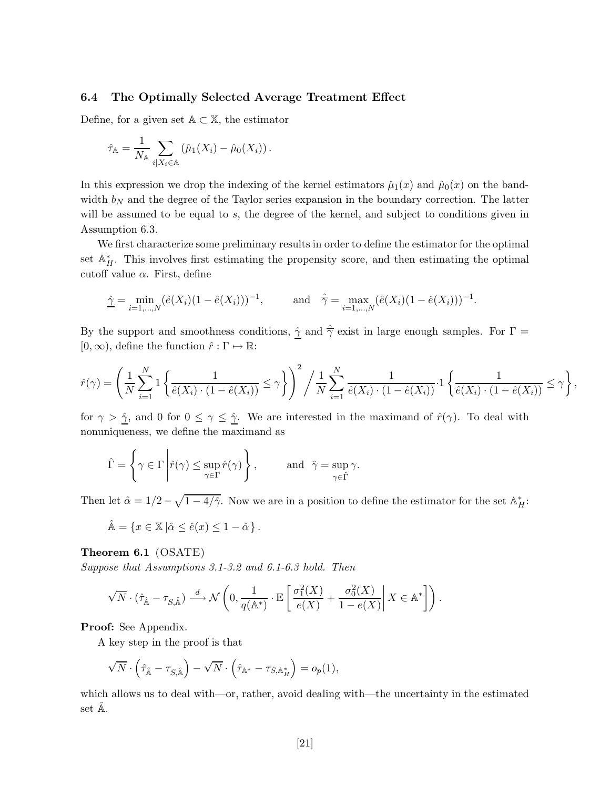### **6.4 The Optimally Selected Average Treatment Effect**

Define, for a given set  $A \subset X$ , the estimator

$$
\hat{\tau}_{\mathbb{A}} = \frac{1}{N_{\mathbb{A}}} \sum_{i \mid X_i \in \mathbb{A}} \left( \hat{\mu}_1(X_i) - \hat{\mu}_0(X_i) \right).
$$

In this expression we drop the indexing of the kernel estimators  $\hat{\mu}_1(x)$  and  $\hat{\mu}_0(x)$  on the bandwidth  $b_N$  and the degree of the Taylor series expansion in the boundary correction. The latter will be assumed to be equal to *s*, the degree of the kernel, and subject to conditions given in Assumption 6.3.

We first characterize some preliminary results in order to define the estimator for the optimal set  $\mathbb{A}_{H}^{*}$ . This involves first estimating the propensity score, and then estimating the optimal cutoff value *α*. First, define

$$
\hat{\underline{\gamma}} = \min_{i=1,\dots,N} (\hat{e}(X_i)(1-\hat{e}(X_i)))^{-1}, \quad \text{and} \quad \hat{\overline{\gamma}} = \max_{i=1,\dots,N} (\hat{e}(X_i)(1-\hat{e}(X_i)))^{-1}.
$$

By the support and smoothness conditions,  $\hat{\gamma}$  and  $\hat{\overline{\gamma}}$  exist in large enough samples. For  $\Gamma$  =  $[0, \infty)$ , define the function  $\hat{r} : \Gamma \mapsto \mathbb{R}$ :

$$
\hat{r}(\gamma) = \left(\frac{1}{N} \sum_{i=1}^N 1\left\{\frac{1}{\hat{e}(X_i) \cdot (1-\hat{e}(X_i))} \leq \gamma\right\}\right)^2 / \frac{1}{N} \sum_{i=1}^N \frac{1}{\hat{e}(X_i) \cdot (1-\hat{e}(X_i))} \cdot 1\left\{\frac{1}{\hat{e}(X_i) \cdot (1-\hat{e}(X_i))} \leq \gamma\right\},\,
$$

for  $\gamma > \hat{\gamma}$ , and 0 for  $0 \leq \gamma \leq \hat{\gamma}$ . We are interested in the maximand of  $\hat{r}(\gamma)$ . To deal with nonuniqueness, we define the maximand as

$$
\hat{\Gamma} = \left\{ \gamma \in \Gamma \, \middle| \hat{r}(\gamma) \leq \sup_{\gamma \in \Gamma} \hat{r}(\gamma) \right\}, \qquad \text{and} \ \hat{\gamma} = \sup_{\gamma \in \hat{\Gamma}} \gamma.
$$

Then let  $\hat{\alpha} = 1/2 - \sqrt{1 - 4/\hat{\gamma}}$ . Now we are in a position to define the estimator for the set  $\mathbb{A}_{H}^{*}$ :

$$
\hat{\mathbb{A}} = \{ x \in \mathbb{X} \, | \hat{\alpha} \le \hat{e}(x) \le 1 - \hat{\alpha} \} \, .
$$

**Theorem 6.1** (OSATE)

*Suppose that Assumptions 3.1-3.2 and 6.1-6.3 hold. Then*

$$
\sqrt{N} \cdot (\hat{\tau}_{\hat{\mathbb{A}}} - \tau_{S, \hat{\mathbb{A}}}) \xrightarrow{d} \mathcal{N}\left(0, \frac{1}{q(\mathbb{A}^*)} \cdot \mathbb{E}\left[\left.\frac{\sigma_1^2(X)}{e(X)} + \frac{\sigma_0^2(X)}{1 - e(X)}\right| X \in \mathbb{A}^*\right]\right).
$$

**Proof:** See Appendix.

A key step in the proof is that

$$
\sqrt{N} \cdot \left(\hat{\tau}_{\hat{\mathbb{A}}} - \tau_{S, \hat{\mathbb{A}}}\right) - \sqrt{N} \cdot \left(\hat{\tau}_{\mathbb{A}^*} - \tau_{S, \mathbb{A}_H^*}\right) = o_p(1),
$$

which allows us to deal with—or, rather, avoid dealing with—the uncertainty in the estimated set  $\mathbb{A}$ .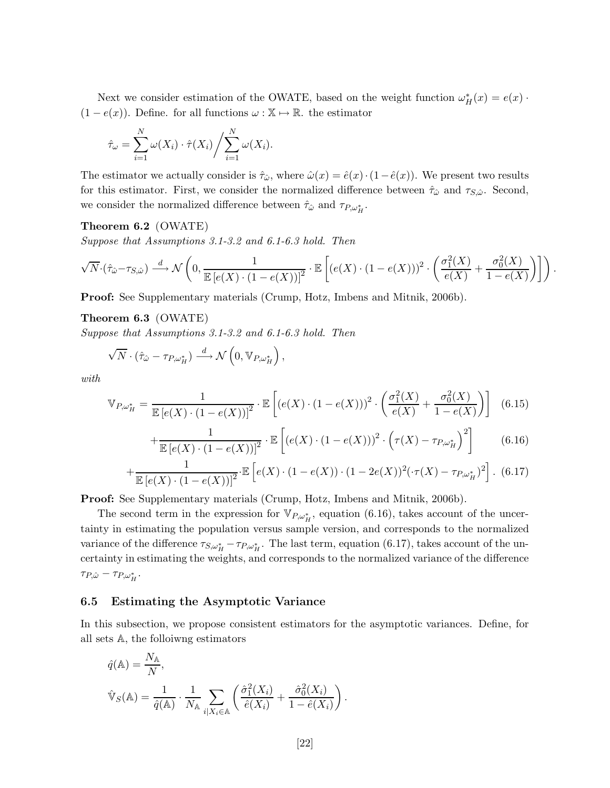Next we consider estimation of the OWATE, based on the weight function  $\omega_H^*(x) = e(x)$ .  $(1 - e(x))$ . Define. for all functions  $\omega : \mathbb{X} \to \mathbb{R}$ . the estimator

$$
\hat{\tau}_{\omega} = \sum_{i=1}^{N} \omega(X_i) \cdot \hat{\tau}(X_i) / \sum_{i=1}^{N} \omega(X_i).
$$

The estimator we actually consider is  $\hat{\tau}_{\hat{\omega}}$ , where  $\hat{\omega}(x) = \hat{e}(x) \cdot (1 - \hat{e}(x))$ . We present two results for this estimator. First, we consider the normalized difference between  $\hat{\tau}_{\hat{\omega}}$  and  $\tau_{S,\hat{\omega}}$ . Second, we consider the normalized difference between  $\hat{\tau}_{\hat{\omega}}$  and  $\tau_{P,\omega_H^*}$ .

#### **Theorem 6.2** (OWATE)

*Suppose that Assumptions 3.1-3.2 and 6.1-6.3 hold. Then*

$$
\sqrt{N}\cdot(\hat{\tau}_{\hat{\omega}}-\tau_{S,\hat{\omega}})\stackrel{d}{\longrightarrow}\mathcal{N}\left(0,\frac{1}{\mathbb{E}\left[e(X)\cdot(1-e(X))\right]^2}\cdot\mathbb{E}\left[\left(e(X)\cdot(1-e(X))\right)^2\cdot\left(\frac{\sigma_1^2(X)}{e(X)}+\frac{\sigma_0^2(X)}{1-e(X)}\right)\right]\right).
$$

**Proof:** See Supplementary materials (Crump, Hotz, Imbens and Mitnik, 2006b).

#### **Theorem 6.3** (OWATE)

*Suppose that Assumptions 3.1-3.2 and 6.1-6.3 hold. Then*

$$
\sqrt{N} \cdot (\hat{\tau}_{\hat{\omega}} - \tau_{P,\omega_H^*}) \stackrel{d}{\longrightarrow} \mathcal{N}\left(0, \mathbb{V}_{P,\omega_H^*}\right),
$$

*with*

$$
\mathbb{V}_{P,\omega_H^*} = \frac{1}{\mathbb{E}\left[e(X) \cdot (1 - e(X))\right]^2} \cdot \mathbb{E}\left[\left(e(X) \cdot (1 - e(X))\right)^2 \cdot \left(\frac{\sigma_1^2(X)}{e(X)} + \frac{\sigma_0^2(X)}{1 - e(X)}\right)\right] \tag{6.15}
$$

$$
+\frac{1}{\mathbb{E}\left[e(X)\cdot(1-e(X))\right]^2}\cdot\mathbb{E}\left[\left(e(X)\cdot(1-e(X))\right)^2\cdot\left(\tau(X)-\tau_{P,\omega_H^*}\right)^2\right] \tag{6.16}
$$

$$
+\frac{1}{\mathbb{E}\left[e(X)\cdot(1-e(X))\right]^2}\cdot\mathbb{E}\left[e(X)\cdot(1-e(X))\cdot(1-2e(X))^2(\cdot\tau(X)-\tau_{P,\omega_H^*})^2\right].\tag{6.17}
$$

**Proof:** See Supplementary materials (Crump, Hotz, Imbens and Mitnik, 2006b).

The second term in the expression for  $\mathbb{V}_{P,\omega_H^*}$ , equation (6.16), takes account of the uncertainty in estimating the population versus sample version, and corresponds to the normalized variance of the difference  $\tau_{S,\omega_H^*} - \tau_{P,\omega_H^*}$ . The last term, equation (6.17), takes account of the uncertainty in estimating the weights, and corresponds to the normalized variance of the difference  $\tau_{P,\hat{\omega}} - \tau_{P,\omega_H^*}.$ 

#### **6.5 Estimating the Asymptotic Variance**

In this subsection, we propose consistent estimators for the asymptotic variances. Define, for all sets A, the folloiwng estimators

$$
\hat{q}(\mathbb{A}) = \frac{N_{\mathbb{A}}}{N},
$$
  

$$
\hat{\mathbb{V}}_S(\mathbb{A}) = \frac{1}{\hat{q}(\mathbb{A})} \cdot \frac{1}{N_{\mathbb{A}}} \sum_{i | X_i \in \mathbb{A}} \left( \frac{\hat{\sigma}_1^2(X_i)}{\hat{e}(X_i)} + \frac{\hat{\sigma}_0^2(X_i)}{1 - \hat{e}(X_i)} \right).
$$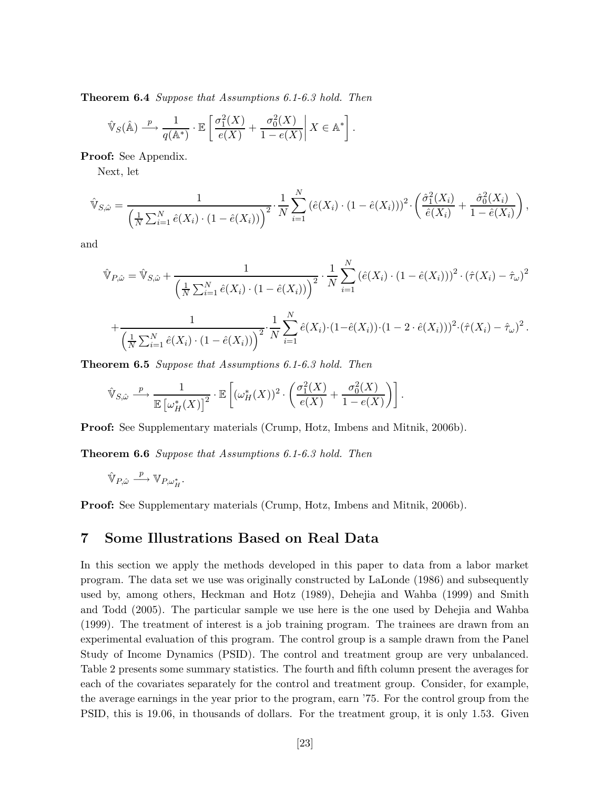**Theorem 6.4** *Suppose that Assumptions 6.1-6.3 hold. Then*

$$
\hat{\mathbb{V}}_S(\hat{\mathbb{A}}) \xrightarrow{p} \frac{1}{q(\mathbb{A}^*)} \cdot \mathbb{E}\left[\frac{\sigma_1^2(X)}{e(X)} + \frac{\sigma_0^2(X)}{1 - e(X)}\middle| X \in \mathbb{A}^*\right].
$$

**Proof:** See Appendix.

Next, let

$$
\hat{\mathbb{V}}_{S,\hat{\omega}} = \frac{1}{\left(\frac{1}{N}\sum_{i=1}^{N}\hat{e}(X_i)\cdot(1-\hat{e}(X_i))\right)^2} \cdot \frac{1}{N} \sum_{i=1}^{N} \left(\hat{e}(X_i)\cdot(1-\hat{e}(X_i))\right)^2 \cdot \left(\frac{\hat{\sigma}_1^2(X_i)}{\hat{e}(X_i)} + \frac{\hat{\sigma}_0^2(X_i)}{1-\hat{e}(X_i)}\right),
$$

and

$$
\hat{\mathbb{V}}_{P,\hat{\omega}} = \hat{\mathbb{V}}_{S,\hat{\omega}} + \frac{1}{\left(\frac{1}{N}\sum_{i=1}^{N}\hat{e}(X_i) \cdot (1-\hat{e}(X_i))\right)^2} \cdot \frac{1}{N} \sum_{i=1}^{N} \left(\hat{e}(X_i) \cdot (1-\hat{e}(X_i))\right)^2 \cdot (\hat{\tau}(X_i) - \hat{\tau}_{\omega})^2
$$

$$
+ \frac{1}{\left(\frac{1}{N}\sum_{i=1}^{N}\hat{e}(X_i) \cdot (1-\hat{e}(X_i))\right)^2} \cdot \frac{1}{N} \sum_{i=1}^{N}\hat{e}(X_i) \cdot (1-\hat{e}(X_i)) \cdot (1-2 \cdot \hat{e}(X_i)))^2 \cdot (\hat{\tau}(X_i) - \hat{\tau}_{\omega})^2.
$$

**Theorem 6.5** *Suppose that Assumptions 6.1-6.3 hold. Then*

$$
\hat{\mathbb{V}}_{S,\hat{\omega}} \stackrel{p}{\longrightarrow} \frac{1}{\mathbb{E} \left[\omega_H^*(X)\right]^2} \cdot \mathbb{E} \left[ (\omega_H^*(X))^2 \cdot \left(\frac{\sigma_1^2(X)}{e(X)} + \frac{\sigma_0^2(X)}{1 - e(X)}\right) \right].
$$

**Proof:** See Supplementary materials (Crump, Hotz, Imbens and Mitnik, 2006b).

**Theorem 6.6** *Suppose that Assumptions 6.1-6.3 hold. Then*

$$
\hat{\mathbb{V}}_{P,\hat{\omega}} \stackrel{p}{\longrightarrow} \mathbb{V}_{P,\omega_H^*}.
$$

**Proof:** See Supplementary materials (Crump, Hotz, Imbens and Mitnik, 2006b).

## **7 Some Illustrations Based on Real Data**

In this section we apply the methods developed in this paper to data from a labor market program. The data set we use was originally constructed by LaLonde (1986) and subsequently used by, among others, Heckman and Hotz (1989), Dehejia and Wahba (1999) and Smith and Todd (2005). The particular sample we use here is the one used by Dehejia and Wahba (1999). The treatment of interest is a job training program. The trainees are drawn from an experimental evaluation of this program. The control group is a sample drawn from the Panel Study of Income Dynamics (PSID). The control and treatment group are very unbalanced. Table 2 presents some summary statistics. The fourth and fifth column present the averages for each of the covariates separately for the control and treatment group. Consider, for example, the average earnings in the year prior to the program, earn '75. For the control group from the PSID, this is 19.06, in thousands of dollars. For the treatment group, it is only 1.53. Given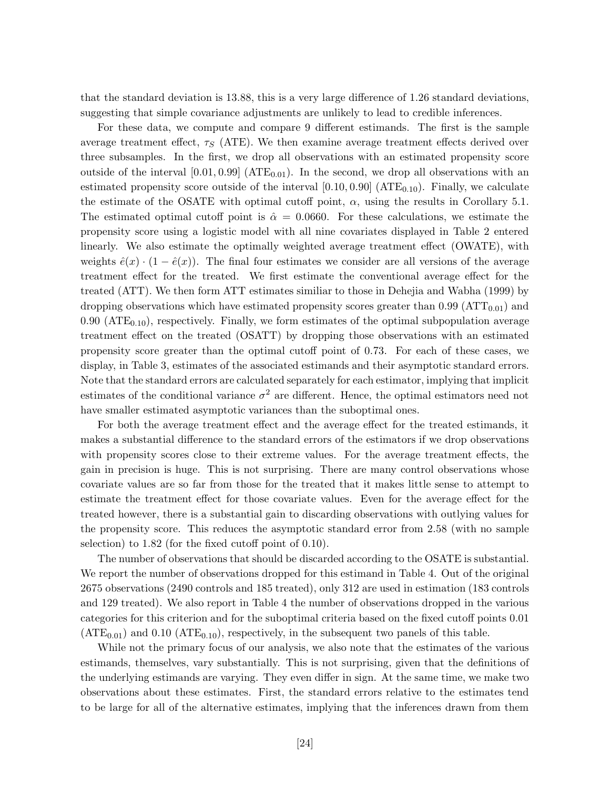that the standard deviation is 13.88, this is a very large difference of 1.26 standard deviations, suggesting that simple covariance adjustments are unlikely to lead to credible inferences.

For these data, we compute and compare 9 different estimands. The first is the sample average treatment effect,  $\tau_S$  (ATE). We then examine average treatment effects derived over three subsamples. In the first, we drop all observations with an estimated propensity score outside of the interval  $[0.01, 0.99]$  (ATE<sub>0.01</sub>). In the second, we drop all observations with an estimated propensity score outside of the interval  $[0.10, 0.90]$  (ATE<sub>0.10</sub>). Finally, we calculate the estimate of the OSATE with optimal cutoff point,  $\alpha$ , using the results in Corollary 5.1. The estimated optimal cutoff point is  $\hat{\alpha} = 0.0660$ . For these calculations, we estimate the propensity score using a logistic model with all nine covariates displayed in Table 2 entered linearly. We also estimate the optimally weighted average treatment effect (OWATE), with weights  $\hat{e}(x) \cdot (1 - \hat{e}(x))$ . The final four estimates we consider are all versions of the average treatment effect for the treated. We first estimate the conventional average effect for the treated (ATT). We then form ATT estimates similiar to those in Dehejia and Wabha (1999) by dropping observations which have estimated propensity scores greater than  $0.99\ (\text{ATT}_{0.01})$  and 0.90 ( $ATE<sub>0.10</sub>$ ), respectively. Finally, we form estimates of the optimal subpopulation average treatment effect on the treated (OSATT) by dropping those observations with an estimated propensity score greater than the optimal cutoff point of 0.73. For each of these cases, we display, in Table 3, estimates of the associated estimands and their asymptotic standard errors. Note that the standard errors are calculated separately for each estimator, implying that implicit estimates of the conditional variance  $\sigma^2$  are different. Hence, the optimal estimators need not have smaller estimated asymptotic variances than the suboptimal ones.

For both the average treatment effect and the average effect for the treated estimands, it makes a substantial difference to the standard errors of the estimators if we drop observations with propensity scores close to their extreme values. For the average treatment effects, the gain in precision is huge. This is not surprising. There are many control observations whose covariate values are so far from those for the treated that it makes little sense to attempt to estimate the treatment effect for those covariate values. Even for the average effect for the treated however, there is a substantial gain to discarding observations with outlying values for the propensity score. This reduces the asymptotic standard error from 2.58 (with no sample selection) to 1.82 (for the fixed cutoff point of 0.10).

The number of observations that should be discarded according to the OSATE is substantial. We report the number of observations dropped for this estimand in Table 4. Out of the original 2675 observations (2490 controls and 185 treated), only 312 are used in estimation (183 controls and 129 treated). We also report in Table 4 the number of observations dropped in the various categories for this criterion and for the suboptimal criteria based on the fixed cutoff points 0.01  $(ATE_{0.01})$  and 0.10  $(ATE_{0.10})$ , respectively, in the subsequent two panels of this table.

While not the primary focus of our analysis, we also note that the estimates of the various estimands, themselves, vary substantially. This is not surprising, given that the definitions of the underlying estimands are varying. They even differ in sign. At the same time, we make two observations about these estimates. First, the standard errors relative to the estimates tend to be large for all of the alternative estimates, implying that the inferences drawn from them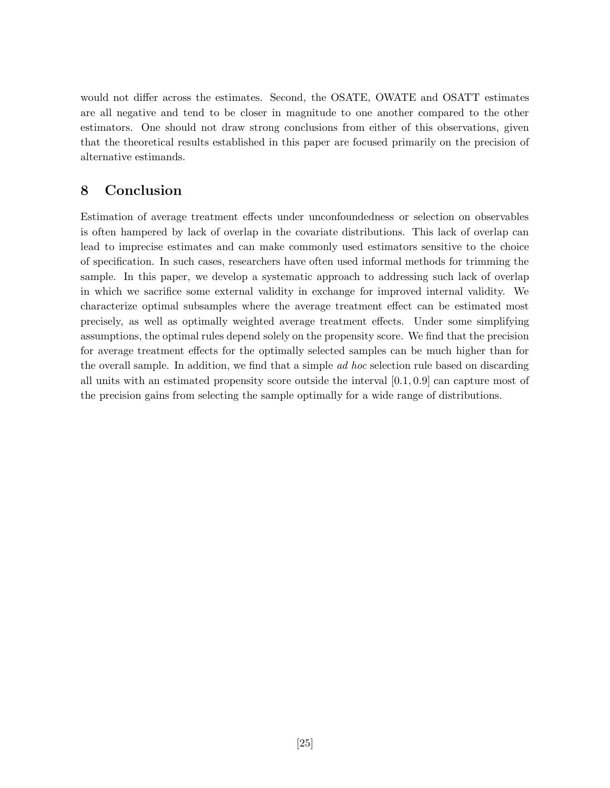would not differ across the estimates. Second, the OSATE, OWATE and OSATT estimates are all negative and tend to be closer in magnitude to one another compared to the other estimators. One should not draw strong conclusions from either of this observations, given that the theoretical results established in this paper are focused primarily on the precision of alternative estimands.

## **8 Conclusion**

Estimation of average treatment effects under unconfoundedness or selection on observables is often hampered by lack of overlap in the covariate distributions. This lack of overlap can lead to imprecise estimates and can make commonly used estimators sensitive to the choice of specification. In such cases, researchers have often used informal methods for trimming the sample. In this paper, we develop a systematic approach to addressing such lack of overlap in which we sacrifice some external validity in exchange for improved internal validity. We characterize optimal subsamples where the average treatment effect can be estimated most precisely, as well as optimally weighted average treatment effects. Under some simplifying assumptions, the optimal rules depend solely on the propensity score. We find that the precision for average treatment effects for the optimally selected samples can be much higher than for the overall sample. In addition, we find that a simple *ad hoc* selection rule based on discarding all units with an estimated propensity score outside the interval [0*.*1*,* 0*.*9] can capture most of the precision gains from selecting the sample optimally for a wide range of distributions.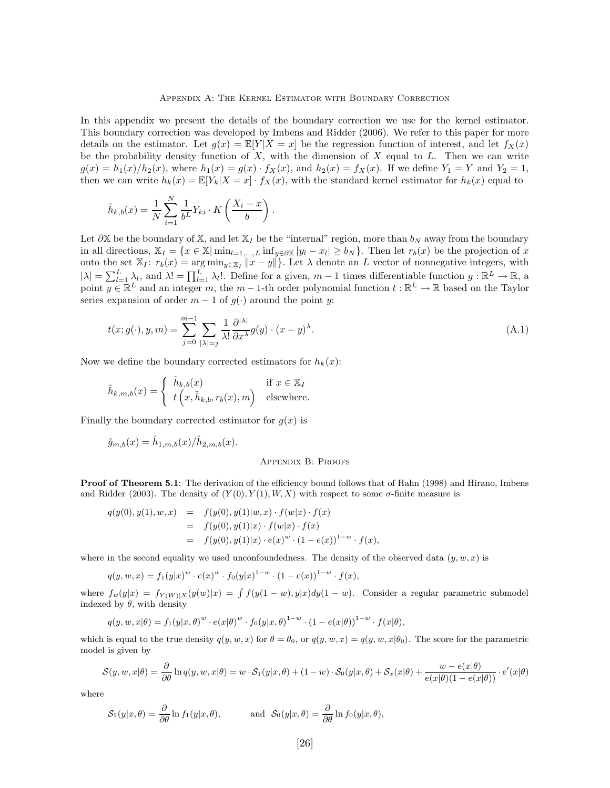#### Appendix A: The Kernel Estimator with Boundary Correction

In this appendix we present the details of the boundary correction we use for the kernel estimator. This boundary correction was developed by Imbens and Ridder (2006). We refer to this paper for more details on the estimator. Let  $g(x) = \mathbb{E}[Y|X=x]$  be the regression function of interest, and let  $f_X(x)$ be the probability density function of *X*, with the dimension of *X* equal to *L*. Then we can write  $g(x) = h_1(x)/h_2(x)$ , where  $h_1(x) = g(x) \cdot f_X(x)$ , and  $h_2(x) = f_X(x)$ . If we define  $Y_1 = Y$  and  $Y_2 = 1$ , then we can write  $h_k(x) = \mathbb{E}[Y_k|X=x] \cdot f_X(x)$ , with the standard kernel estimator for  $h_k(x)$  equal to

$$
\tilde{h}_{k,b}(x) = \frac{1}{N} \sum_{i=1}^{N} \frac{1}{b^L} Y_{ki} \cdot K\left(\frac{X_i - x}{b}\right).
$$

Let  $\partial X$  be the boundary of X, and let  $X_I$  be the "internal" region, more than  $b_N$  away from the boundary in all directions,  $\mathbb{X}_I = \{x \in \mathbb{X} | \min_{l=1,\dots,L} \inf_{y \in \partial \mathbb{X}} |y_l - x_l| \ge b_N\}.$  Then let  $r_b(x)$  be the projection of *x* onto the set  $\mathbb{X}_I$ :  $r_b(x) = \arg \min_{y \in \mathbb{X}_I} ||x - y||$ . Let  $\lambda$  denote an *L* vector of nonnegative integers, with  $|\lambda| = \sum_{l=1}^{L} \lambda_l$ , and  $\lambda! = \prod_{l=1}^{L} \lambda_l!$ . Define for a given,  $m-1$  times differentiable function  $g: \mathbb{R}^L \to \mathbb{R}$ , a point  $y \in \mathbb{R}^L$  and an integer *m*, the *m* − 1-th order polynomial function  $t : \mathbb{R}^L \to \mathbb{R}$  based on the Taylor series expansion of order  $m - 1$  of  $g(\cdot)$  around the point *y*:

$$
t(x;g(\cdot),y,m) = \sum_{j=0}^{m-1} \sum_{|\lambda|=j} \frac{1}{\lambda!} \frac{\partial^{|\lambda|}}{\partial x^{\lambda}} g(y) \cdot (x-y)^{\lambda}.
$$
 (A.1)

Now we define the boundary corrected estimators for  $h_k(x)$ :

$$
\hat{h}_{k,m,b}(x) = \begin{cases} \tilde{h}_{k,b}(x) & \text{if } x \in \mathbb{X}_I \\ t\left(x, \tilde{h}_{k,b}, r_b(x), m\right) & \text{elsewhere.} \end{cases}
$$

Finally the boundary corrected estimator for  $g(x)$  is

$$
\hat{g}_{m,b}(x) = \hat{h}_{1,m,b}(x)/\hat{h}_{2,m,b}(x).
$$

#### Appendix B: Proofs

**Proof of Theorem 5.1**: The derivation of the efficiency bound follows that of Hahn (1998) and Hirano, Imbens and Ridder (2003). The density of  $(Y(0), Y(1), W, X)$  with respect to some  $\sigma$ -finite measure is

$$
q(y(0), y(1), w, x) = f(y(0), y(1)|w, x) \cdot f(w|x) \cdot f(x)
$$
  
=  $f(y(0), y(1)|x) \cdot f(w|x) \cdot f(x)$   
=  $f(y(0), y(1)|x) \cdot e(x)^{w} \cdot (1 - e(x))^{1-w} \cdot f(x),$ 

where in the second equality we used unconfoundedness. The density of the observed data  $(y, w, x)$  is

$$
q(y, w, x) = f_1(y|x)^w \cdot e(x)^w \cdot f_0(y|x)^{1-w} \cdot (1 - e(x))^{1-w} \cdot f(x),
$$

where  $f_w(y|x) = f_{Y(W)|X}(y(w)|x) = \int f(y(1-w), y|x)dy(1-w)$ . Consider a regular parametric submodel indexed by  $\theta$ , with density

$$
q(y, w, x | \theta) = f_1(y | x, \theta)^w \cdot e(x | \theta)^w \cdot f_0(y | x, \theta)^{1-w} \cdot (1 - e(x | \theta))^{1-w} \cdot f(x | \theta),
$$

which is equal to the true density  $q(y, w, x)$  for  $\theta = \theta_0$ , or  $q(y, w, x) = q(y, w, x | \theta_0)$ . The score for the parametric model is given by

$$
S(y, w, x | \theta) = \frac{\partial}{\partial \theta} \ln q(y, w, x | \theta) = w \cdot S_1(y | x, \theta) + (1 - w) \cdot S_0(y | x, \theta) + S_x(x | \theta) + \frac{w - e(x | \theta)}{e(x | \theta)(1 - e(x | \theta))} \cdot e'(x | \theta)
$$

where

$$
\mathcal{S}_1(y|x,\theta) = \frac{\partial}{\partial \theta} \ln f_1(y|x,\theta), \quad \text{and} \quad \mathcal{S}_0(y|x,\theta) = \frac{\partial}{\partial \theta} \ln f_0(y|x,\theta),
$$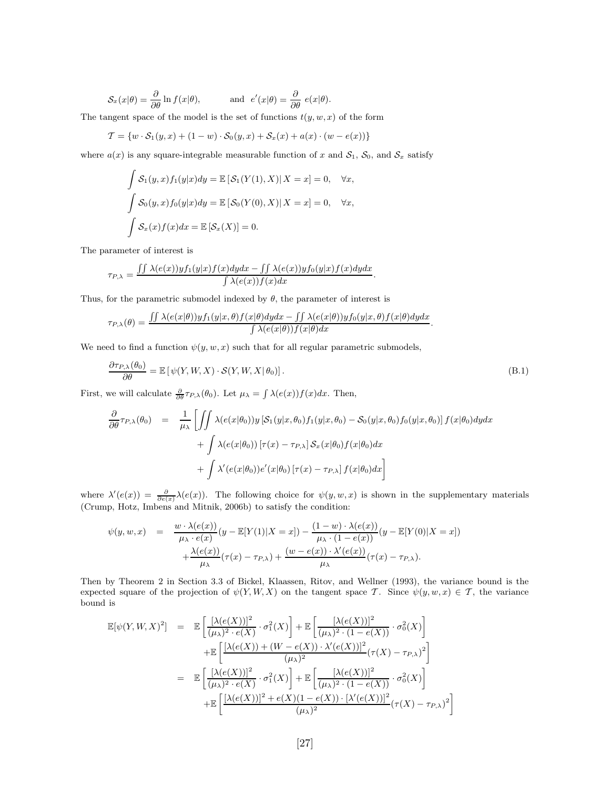$$
\mathcal{S}_x(x|\theta) = \frac{\partial}{\partial \theta} \ln f(x|\theta), \quad \text{and} \quad e'(x|\theta) = \frac{\partial}{\partial \theta} \ e(x|\theta).
$$

The tangent space of the model is the set of functions  $t(y, w, x)$  of the form

$$
\mathcal{T} = \{ w \cdot \mathcal{S}_1(y, x) + (1 - w) \cdot \mathcal{S}_0(y, x) + \mathcal{S}_x(x) + a(x) \cdot (w - e(x)) \}
$$

where  $a(x)$  is any square-integrable measurable function of x and  $S_1$ ,  $S_0$ , and  $S_x$  satisfy

$$
\int \mathcal{S}_1(y, x) f_1(y|x) dy = \mathbb{E} [\mathcal{S}_1(Y(1), X) | X = x] = 0, \quad \forall x,
$$
  

$$
\int \mathcal{S}_0(y, x) f_0(y|x) dy = \mathbb{E} [\mathcal{S}_0(Y(0), X) | X = x] = 0, \quad \forall x,
$$
  

$$
\int \mathcal{S}_x(x) f(x) dx = \mathbb{E} [\mathcal{S}_x(X)] = 0.
$$

The parameter of interest is

$$
\tau_{P,\lambda} = \frac{\int \int \lambda(e(x)) y f_1(y|x) f(x) dy dx - \int \int \lambda(e(x)) y f_0(y|x) f(x) dy dx}{\int \lambda(e(x)) f(x) dx}.
$$

Thus, for the parametric submodel indexed by  $\theta$ , the parameter of interest is

$$
\tau_{P,\lambda}(\theta)=\frac{\int\int \lambda(e(x|\theta))y f_1(y|x,\theta)f(x|\theta)dydx-\int\int \lambda(e(x|\theta))y f_0(y|x,\theta)f(x|\theta)dydx}{\int \lambda(e(x|\theta))f(x|\theta)dx}.
$$

We need to find a function  $\psi(y, w, x)$  such that for all regular parametric submodels,

$$
\frac{\partial \tau_{P,\lambda}(\theta_0)}{\partial \theta} = \mathbb{E}\left[\psi(Y,W,X)\cdot \mathcal{S}(Y,W,X|\theta_0)\right].
$$
\n(B.1)

First, we will calculate  $\frac{\partial}{\partial \theta} \tau_{P,\lambda}(\theta_0)$ . Let  $\mu_{\lambda} = \int \lambda(e(x)) f(x) dx$ . Then,

$$
\frac{\partial}{\partial \theta} \tau_{P,\lambda}(\theta_0) = \frac{1}{\mu_{\lambda}} \left[ \iint \lambda(e(x|\theta_0)) y \left[ \mathcal{S}_1(y|x,\theta_0) f_1(y|x,\theta_0) - \mathcal{S}_0(y|x,\theta_0) f_0(y|x,\theta_0) \right] f(x|\theta_0) dy dx \right. \\
\left. + \int \lambda(e(x|\theta_0)) \left[ \tau(x) - \tau_{P,\lambda} \right] \mathcal{S}_x(x|\theta_0) f(x|\theta_0) dx \right. \\
\left. + \int \lambda'(e(x|\theta_0)) e'(x|\theta_0) \left[ \tau(x) - \tau_{P,\lambda} \right] f(x|\theta_0) dx \right]
$$

where  $\lambda'(e(x)) = \frac{\partial}{\partial e(x)} \lambda(e(x))$ . The following choice for  $\psi(y, w, x)$  is shown in the supplementary materials (Crump, Hotz, Imbens and Mitnik, 2006b) to satisfy the condition:

$$
\psi(y, w, x) = \frac{w \cdot \lambda(e(x))}{\mu_{\lambda} \cdot e(x)} (y - \mathbb{E}[Y(1)|X = x]) - \frac{(1 - w) \cdot \lambda(e(x))}{\mu_{\lambda} \cdot (1 - e(x))} (y - \mathbb{E}[Y(0)|X = x]) \n+ \frac{\lambda(e(x))}{\mu_{\lambda}} (\tau(x) - \tau_{P, \lambda}) + \frac{(w - e(x)) \cdot \lambda'(e(x))}{\mu_{\lambda}} (\tau(x) - \tau_{P, \lambda}).
$$

Then by Theorem 2 in Section 3.3 of Bickel, Klaassen, Ritov, and Wellner (1993), the variance bound is the expected square of the projection of  $\psi(Y, W, X)$  on the tangent space *T*. Since  $\psi(y, w, x) \in \mathcal{T}$ , the variance bound is

$$
\mathbb{E}[\psi(Y, W, X)^2] = \mathbb{E}\left[\frac{[\lambda(e(X))]^2}{(\mu_{\lambda})^2 \cdot e(X)} \cdot \sigma_1^2(X)\right] + \mathbb{E}\left[\frac{[\lambda(e(X))]^2}{(\mu_{\lambda})^2 \cdot (1 - e(X))} \cdot \sigma_0^2(X)\right] \n+ \mathbb{E}\left[\frac{[\lambda(e(X)) + (W - e(X)) \cdot \lambda'(e(X))]^2}{(\mu_{\lambda})^2} (\tau(X) - \tau_{P, \lambda})^2\right] \n= \mathbb{E}\left[\frac{[\lambda(e(X))]^2}{(\mu_{\lambda})^2 \cdot e(X)} \cdot \sigma_1^2(X)\right] + \mathbb{E}\left[\frac{[\lambda(e(X))]^2}{(\mu_{\lambda})^2 \cdot (1 - e(X))} \cdot \sigma_0^2(X)\right] \n+ \mathbb{E}\left[\frac{[\lambda(e(X))]^2 + e(X)(1 - e(X)) \cdot [\lambda'(e(X))]^2}{(\mu_{\lambda})^2} (\tau(X) - \tau_{P, \lambda})^2\right]
$$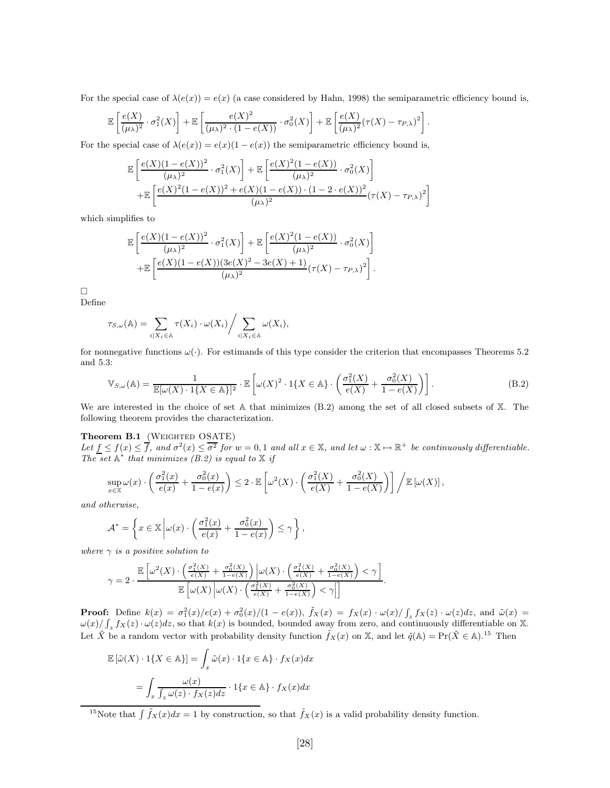For the special case of  $\lambda(e(x)) = e(x)$  (a case considered by Hahn, 1998) the semiparametric efficiency bound is,

$$
\mathbb{E}\left[\frac{e(X)}{(\mu\lambda)^2}\cdot\sigma_1^2(X)\right]+\mathbb{E}\left[\frac{e(X)^2}{(\mu\lambda)^2\cdot(1-e(X))}\cdot\sigma_0^2(X)\right]+\mathbb{E}\left[\frac{e(X)}{(\mu\lambda)^2}(\tau(X)-\tau_{P,\lambda})^2\right].
$$

For the special case of  $\lambda(e(x)) = e(x)(1 - e(x))$  the semiparametric efficiency bound is,

$$
\mathbb{E}\left[\frac{e(X)(1-e(X))^2}{(\mu_{\lambda})^2} \cdot \sigma_1^2(X)\right] + \mathbb{E}\left[\frac{e(X)^2(1-e(X))}{(\mu_{\lambda})^2} \cdot \sigma_0^2(X)\right] + \mathbb{E}\left[\frac{e(X)^2(1-e(X))^2 + e(X)(1-e(X)) \cdot (1-2 \cdot e(X))^2}{(\mu_{\lambda})^2}(\tau(X) - \tau_{P,\lambda})^2\right]
$$

which simplifies to

$$
\mathbb{E}\left[\frac{e(X)(1-e(X))^2}{(\mu_{\lambda})^2} \cdot \sigma_1^2(X)\right] + \mathbb{E}\left[\frac{e(X)^2(1-e(X))}{(\mu_{\lambda})^2} \cdot \sigma_0^2(X)\right] + \mathbb{E}\left[\frac{e(X)(1-e(X))(3e(X)^2 - 3e(X) + 1)}{(\mu_{\lambda})^2}(\tau(X) - \tau_{P,\lambda})^2\right].
$$

 $\Box$ 

Define

$$
\tau_{S,\omega}(\mathbb{A}) = \sum_{i \mid X_i \in \mathbb{A}} \tau(X_i) \cdot \omega(X_i) / \sum_{i \mid X_i \in \mathbb{A}} \omega(X_i),
$$

for nonnegative functions  $\omega(\cdot)$ . For estimands of this type consider the criterion that encompasses Theorems 5.2 and 5.3:

$$
\mathbb{V}_{S,\omega}(\mathbb{A}) = \frac{1}{\mathbb{E}[\omega(X) \cdot 1\{X \in \mathbb{A}\}]^2} \cdot \mathbb{E}\left[\omega(X)^2 \cdot 1\{X \in \mathbb{A}\} \cdot \left(\frac{\sigma_1^2(X)}{e(X)} + \frac{\sigma_0^2(X)}{1 - e(X)}\right)\right].
$$
\n(B.2)

We are interested in the choice of set A that minimizes  $(B.2)$  among the set of all closed subsets of X. The following theorem provides the characterization.

#### Theorem B.1 (WEIGHTED OSATE)

Let  $f \leq f(x) \leq \overline{f}$ , and  $\sigma^2(x) \leq \overline{\sigma^2}$  for  $w = 0, 1$  and all  $x \in \mathbb{X}$ , and let  $\omega : \mathbb{X} \to \mathbb{R}^+$  be continuously differentiable. *The set*  $\mathbb{A}^*$  *that minimizes (B.2) is equal to*  $\mathbb{X}$  *if* 

$$
\sup_{x \in \mathbb{X}} \omega(x) \cdot \left( \frac{\sigma_1^2(x)}{e(x)} + \frac{\sigma_0^2(x)}{1 - e(x)} \right) \leq 2 \cdot \mathbb{E} \left[ \omega^2(X) \cdot \left( \frac{\sigma_1^2(X)}{e(X)} + \frac{\sigma_0^2(X)}{1 - e(X)} \right) \right] \bigg/ \mathbb{E} \left[ \omega(X) \right],
$$

*and otherwise,*

$$
\mathcal{A}^* = \left\{ x \in \mathbb{X} \left| \omega(x) \cdot \left( \frac{\sigma_1^2(x)}{e(x)} + \frac{\sigma_0^2(x)}{1 - e(x)} \right) \le \gamma \right. \right\},\,
$$

*where γ is a positive solution to*

$$
\gamma = 2 \cdot \frac{\mathbb{E}\left[\omega^2(X) \cdot \left(\frac{\sigma_1^2(X)}{e(X)} + \frac{\sigma_0^2(X)}{1 - e(X)}\right)\Big| \omega(X) \cdot \left(\frac{\sigma_1^2(X)}{e(X)} + \frac{\sigma_0^2(X)}{1 - e(X)}\right) < \gamma\right]}{\mathbb{E}\left[\omega(X) \left|\omega(X) \cdot \left(\frac{\sigma_1^2(X)}{e(X)} + \frac{\sigma_0^2(X)}{1 - e(X)}\right) < \gamma\right|\right]}.
$$

**Proof:** Define  $k(x) = \frac{\sigma_1^2(x)}{e(x)} + \frac{\sigma_0^2(x)}{1 - e(x)}$ ,  $\tilde{f}_X(x) = f_X(x) \cdot \frac{\omega(x)}{f_x} f_X(z) \cdot \frac{\omega(z)}{dz}$ , and  $\tilde{\omega}(x) =$  $\omega(x)/\int_z f_X(z) \cdot \omega(z) dz$ , so that  $k(x)$  is bounded, bounded away from zero, and continuously differentiable on X. Let  $\tilde{X}$  be a random vector with probability density function  $\tilde{f}_X(x)$  on X, and let  $\tilde{q}(\mathbb{A}) = \Pr(\tilde{X} \in \mathbb{A})$ .<sup>15</sup> Then

$$
\mathbb{E}\left[\tilde{\omega}(X) \cdot 1\{X \in \mathbb{A}\}\right] = \int_x \tilde{\omega}(x) \cdot 1\{x \in \mathbb{A}\} \cdot f_X(x) dx
$$

$$
= \int_x \frac{\omega(x)}{\int_z \omega(z) \cdot f_X(z) dz} \cdot 1\{x \in \mathbb{A}\} \cdot f_X(x) dx
$$

<sup>&</sup>lt;sup>15</sup>Note that  $\int \tilde{f}_X(x)dx = 1$  by construction, so that  $\tilde{f}_X(x)$  is a valid probability density function.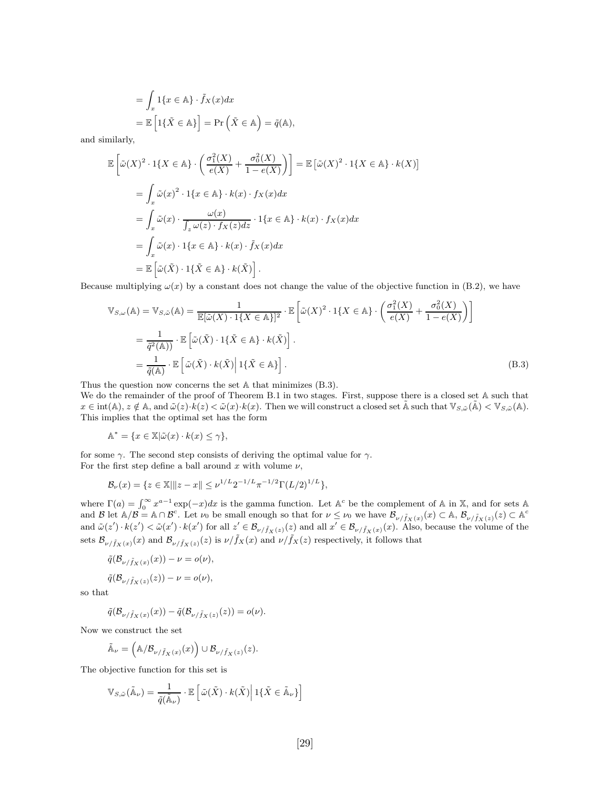$$
= \int_{x} 1\{x \in \mathbb{A}\} \cdot \tilde{f}_{X}(x) dx
$$

$$
= \mathbb{E}\left[1\{\tilde{X} \in \mathbb{A}\}\right] = \Pr\left(\tilde{X} \in \mathbb{A}\right) = \tilde{q}(\mathbb{A}),
$$

and similarly,

$$
\mathbb{E}\left[\tilde{\omega}(X)^2 \cdot 1\{X \in \mathbb{A}\} \cdot \left(\frac{\sigma_1^2(X)}{e(X)} + \frac{\sigma_0^2(X)}{1 - e(X)}\right)\right] = \mathbb{E}\left[\tilde{\omega}(X)^2 \cdot 1\{X \in \mathbb{A}\} \cdot k(X)\right]
$$

$$
= \int_x \tilde{\omega}(x)^2 \cdot 1\{x \in \mathbb{A}\} \cdot k(x) \cdot f_X(x) dx
$$

$$
= \int_x \tilde{\omega}(x) \cdot \frac{\omega(x)}{\int_z \omega(z) \cdot f_X(z) dz} \cdot 1\{x \in \mathbb{A}\} \cdot k(x) \cdot f_X(x) dx
$$

$$
= \int_x \tilde{\omega}(x) \cdot 1\{x \in \mathbb{A}\} \cdot k(x) \cdot \tilde{f}_X(x) dx
$$

$$
= \mathbb{E}\left[\tilde{\omega}(\tilde{X}) \cdot 1\{\tilde{X} \in \mathbb{A}\} \cdot k(\tilde{X})\right].
$$

Because multiplying  $\omega(x)$  by a constant does not change the value of the objective function in (B.2), we have

$$
\mathbb{V}_{S,\omega}(\mathbb{A}) = \mathbb{V}_{S,\tilde{\omega}}(\mathbb{A}) = \frac{1}{\mathbb{E}[\tilde{\omega}(X) \cdot 1\{X \in \mathbb{A}\}]^2} \cdot \mathbb{E}\left[\tilde{\omega}(X)^2 \cdot 1\{X \in \mathbb{A}\} \cdot \left(\frac{\sigma_1^2(X)}{e(X)} + \frac{\sigma_0^2(X)}{1 - e(X)}\right)\right]
$$
  
\n
$$
= \frac{1}{\tilde{q}^2(\mathbb{A}))} \cdot \mathbb{E}\left[\tilde{\omega}(\tilde{X}) \cdot 1\{\tilde{X} \in \mathbb{A}\} \cdot k(\tilde{X})\right].
$$
  
\n
$$
= \frac{1}{\tilde{q}(\mathbb{A})} \cdot \mathbb{E}\left[\tilde{\omega}(\tilde{X}) \cdot k(\tilde{X}) \middle| 1\{\tilde{X} \in \mathbb{A}\}\right].
$$
  
\n(B.3)

Thus the question now concerns the set A that minimizes (B.3).

We do the remainder of the proof of Theorem B.1 in two stages. First, suppose there is a closed set A such that  $x \in \text{int}(\mathbb{A}), z \notin \mathbb{A}, \text{ and } \tilde{\omega}(z) \cdot k(z) < \tilde{\omega}(x) \cdot k(x).$  Then we will construct a closed set  $\mathbb{\tilde{A}}$  such that  $\mathbb{V}_{S,\tilde{\omega}}(\mathbb{\tilde{A}}) < \mathbb{V}_{S,\tilde{\omega}}(\mathbb{A}).$ This implies that the optimal set has the form

$$
\mathbb{A}^* = \{ x \in \mathbb{X} | \tilde{\omega}(x) \cdot k(x) \le \gamma \},
$$

for some  $\gamma$ . The second step consists of deriving the optimal value for  $\gamma$ . For the first step define a ball around  $x$  with volume  $\nu$ ,

$$
\mathcal{B}_{\nu}(x) = \{ z \in \mathbb{X} \mid \|z - x\| \le \nu^{1/L} 2^{-1/L} \pi^{-1/2} \Gamma(L/2)^{1/L} \},
$$

where  $\Gamma(a) = \int_0^\infty x^{a-1} \exp(-x) dx$  is the gamma function. Let  $A^c$  be the complement of A in X, and for sets A and *B* let  $\mathbb{A}/\mathcal{B} = \mathbb{A} \cap \mathcal{B}^c$ . Let  $\nu_0$  be small enough so that for  $\nu \leq \nu_0$  we have  $\mathcal{B}_{\nu/\tilde{f}_X(x)}(x) \subset \mathbb{A}, \mathcal{B}_{\nu/\tilde{f}_X(x)}(z) \subset \mathbb{A}^c$ and  $\tilde{\omega}(z') \cdot k(z') < \tilde{\omega}(x') \cdot k(x')$  for all  $z' \in \mathcal{B}_{\nu/\tilde{f}_X(z)}(z)$  and all  $x' \in \mathcal{B}_{\nu/\tilde{f}_X(x)}(x)$ . Also, because the volume of the sets  $\mathcal{B}_{\nu/\tilde{f}_X(x)}(x)$  and  $\mathcal{B}_{\nu/\tilde{f}_X(z)}(z)$  is  $\nu/\tilde{f}_X(x)$  and  $\nu/\tilde{f}_X(z)$  respectively, it follows that

$$
\tilde{q}(\mathcal{B}_{\nu/\tilde{f}_X(x)}(x)) - \nu = o(\nu),
$$
  

$$
\tilde{q}(\mathcal{B}_{\nu/\tilde{f}_X(x)}(z)) - \nu = o(\nu),
$$

so that

$$
\tilde{q}(\mathcal{B}_{\nu/\tilde{f}_X(x)}(x)) - \tilde{q}(\mathcal{B}_{\nu/\tilde{f}_X(z)}(z)) = o(\nu).
$$

Now we construct the set

$$
\tilde{\mathbb{A}}_{\nu} = \left( \mathbb{A}/\mathcal{B}_{\nu/\tilde{f}_X(x)}(x) \right) \cup \mathcal{B}_{\nu/\tilde{f}_X(z)}(z).
$$

The objective function for this set is

$$
\mathbb{V}_{S,\tilde{\omega}}(\tilde{\mathbb{A}}_{\nu}) = \frac{1}{\tilde{q}(\tilde{\mathbb{A}}_{\nu})} \cdot \mathbb{E}\left[\tilde{\omega}(\tilde{X}) \cdot k(\tilde{X}) \middle| 1\{\tilde{X} \in \tilde{\mathbb{A}}_{\nu}\}\right]
$$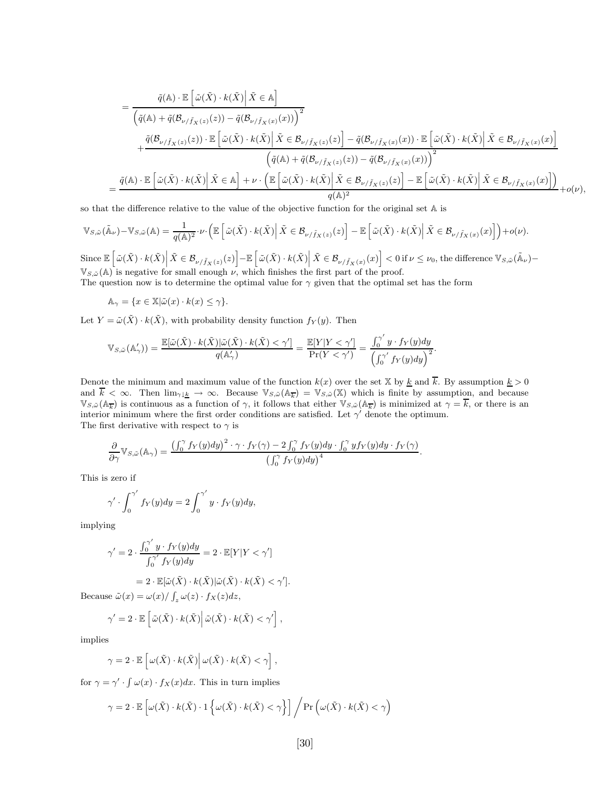$$
= \frac{\tilde{q}(\mathbb{A})\cdot\mathbb{E}\left[\tilde{\omega}(\tilde{X})\cdot k(\tilde{X})\Big|\tilde{X}\in\mathbb{A}\right]}{\left(\tilde{q}(\mathbb{A})+\tilde{q}(\mathcal{B}_{\nu/\tilde{f}_X(z)}(z))-\tilde{q}(\mathcal{B}_{\nu/\tilde{f}_X(x)}(x))\right)^2} + \frac{\tilde{q}(\mathcal{B}_{\nu/\tilde{f}_X(z)}(z))\cdot\mathbb{E}\left[\tilde{\omega}(\tilde{X})\cdot k(\tilde{X})\Big|\tilde{X}\in\mathcal{B}_{\nu/\tilde{f}_X(z)}(z)\right]-\tilde{q}(\mathcal{B}_{\nu/\tilde{f}_X(x)}(x))\cdot\mathbb{E}\left[\tilde{\omega}(\tilde{X})\cdot k(\tilde{X})\Big|\tilde{X}\in\mathcal{B}_{\nu/\tilde{f}_X(z)}(z)\right]}{\left(\tilde{q}(\mathbb{A})+\tilde{q}(\mathcal{B}_{\nu/\tilde{f}_X(z)}(z))-\tilde{q}(\mathcal{B}_{\nu/\tilde{f}_X(x)}(x))\right)^2} = \frac{\tilde{q}(\mathbb{A})\cdot\mathbb{E}\left[\tilde{\omega}(\tilde{X})\cdot k(\tilde{X})\Big|\tilde{X}\in\mathbb{A}\right]+\nu\cdot\left(\mathbb{E}\left[\tilde{\omega}(\tilde{X})\cdot k(\tilde{X})\Big|\tilde{X}\in\mathcal{B}_{\nu/\tilde{f}_X(z)}(z)\right]-\mathbb{E}\left[\tilde{\omega}(\tilde{X})\cdot k(\tilde{X})\Big|\tilde{X}\in\mathcal{B}_{\nu/\tilde{f}_X(x)}(x)\right]\right)}{q(\mathbb{A})^2} + o(\nu),
$$

so that the difference relative to the value of the objective function for the original set A is

$$
\mathbb{V}_{S,\tilde{\omega}}(\tilde{\mathbb{A}}_{\nu})-\mathbb{V}_{S,\tilde{\omega}}(\mathbb{A})=\frac{1}{q(\mathbb{A})^2}\cdot\nu\cdot\left(\mathbb{E}\left[\left.\tilde{\omega}(\tilde{X})\cdot k(\tilde{X})\right|\tilde{X}\in\mathcal{B}_{\nu/\tilde{f}_X(z)}(z)\right]-\mathbb{E}\left[\left.\tilde{\omega}(\tilde{X})\cdot k(\tilde{X})\right|\tilde{X}\in\mathcal{B}_{\nu/\tilde{f}_X(x)}(x)\right]\right)+o(\nu).
$$

 $\text{Since } \mathbb{E}\left[\left.\tilde{\omega}(\tilde{X})\cdot k(\tilde{X})\right|\tilde{X}\in \mathcal{B}_{\nu/\tilde{f}_X(z)}(z)\right]-\mathbb{E}\left[\left.\tilde{\omega}(\tilde{X})\cdot k(\tilde{X})\right|\tilde{X}\in \mathcal{B}_{\nu/\tilde{f}_X(x)}(x)\right]<0 \text{ if }\nu\leq \nu_0 \text{, the difference } \mathbb{V}_{S,\tilde{\omega}}(\tilde{\mathbb{A}}_{\nu})-\mathbb{V}_{S,\tilde{\omega}}(\tilde{\mathbb{A}}_{\nu})\right| \leq \nu_0 \text{, and } \mathbb{$  $\mathbb{V}_{S,\tilde{\omega}}(\mathbb{A})$  is negative for small enough  $\nu$ , which finishes the first part of the proof.

The question now is to determine the optimal value for *γ* given that the optimal set has the form

 $A_{\gamma} = \{x \in \mathbb{X} | \tilde{\omega}(x) \cdot k(x) \leq \gamma\}.$ 

Let  $Y = \tilde{\omega}(\tilde{X}) \cdot k(\tilde{X})$ , with probability density function  $f_Y(y)$ . Then

$$
\mathbb{V}_{S,\tilde{\omega}}(\mathbb{A}'_{\gamma})) = \frac{\mathbb{E}[\tilde{\omega}(\tilde{X}) \cdot k(\tilde{X}) | \tilde{\omega}(\tilde{X}) \cdot k(\tilde{X}) < \gamma']}{{q(\mathbb{A}'_{\gamma})}} = \frac{\mathbb{E}[Y | Y < \gamma']}{{\Pr(Y < \gamma')}} = \frac{\int_0^{\gamma'} y \cdot f_Y(y) dy}{\left(\int_0^{\gamma'} f_Y(y) dy\right)^2}.
$$

Denote the minimum and maximum value of the function  $k(x)$  over the set X by  $\underline{k}$  and  $\overline{k}$ . By assumption  $\underline{k} > 0$ and  $\overline{k} < \infty$ . Then  $\lim_{\gamma \downarrow \underline{k}} \to \infty$ . Because  $\mathbb{V}_{S,\tilde{\omega}}(\mathbb{A}_{\overline{k}}) = \mathbb{V}_{S,\tilde{\omega}}(\mathbb{X})$  which is finite by assumption, and because  $\mathbb{V}_{S,\tilde{\omega}}(\mathbb{A}_{\overline{k}})$  is continuous as a function of  $\gamma$ , it follows that either  $\mathbb{V}_{S,\tilde{\omega}}(\mathbb{A}_{\overline{k}})$  is minimized at  $\gamma = k$ , or there is an interior minimum where the first order conditions are satisfied. Let  $\gamma'$  denote the optimum. The first derivative with respect to  $\gamma$  is

$$
\frac{\partial}{\partial \gamma}\mathbb{V}_{S,\tilde{\omega}}(\mathbb{A}_{\gamma})=\frac{\left(\int_0^{\gamma}f_Y(y)dy\right)^2 \cdot \gamma \cdot f_Y(\gamma)-2\int_0^{\gamma}f_Y(y)dy \cdot \int_0^{\gamma}yf_Y(y)dy \cdot f_Y(\gamma)}{\left(\int_0^{\gamma}f_Y(y)dy\right)^4}.
$$

This is zero if

$$
\gamma' \cdot \int_0^{\gamma'} f_Y(y) dy = 2 \int_0^{\gamma'} y \cdot f_Y(y) dy,
$$

implying

$$
\gamma' = 2 \cdot \frac{\int_0^{\gamma'} y \cdot f_Y(y) dy}{\int_0^{\gamma'} f_Y(y) dy} = 2 \cdot \mathbb{E}[Y|Y < \gamma']
$$

$$
= 2 \cdot \mathbb{E}[\tilde{\omega}(\tilde{X}) \cdot k(\tilde{X})|\tilde{\omega}(\tilde{X}) \cdot k(\tilde{X}) < \gamma'].
$$

Because  $\tilde{\omega}(x) = \omega(x) / \int_{z} \omega(z) \cdot f_{X}(z) dz$ ,

$$
\gamma' = 2 \cdot \mathbb{E} \left[ \tilde{\omega}(\tilde{X}) \cdot k(\tilde{X}) \middle| \tilde{\omega}(\tilde{X}) \cdot k(\tilde{X}) < \gamma' \right],
$$

implies

$$
\gamma = 2 \cdot \mathbb{E}\left[\left.\omega(\tilde{X})\cdot k(\tilde{X})\right|\omega(\tilde{X})\cdot k(\tilde{X}) < \gamma\right],
$$

for  $\gamma = \gamma' \cdot \int \omega(x) \cdot f_X(x) dx$ . This in turn implies

$$
\gamma = 2 \cdot \mathbb{E}\left[\omega(\tilde{X}) \cdot k(\tilde{X}) \cdot 1\left\{\omega(\tilde{X}) \cdot k(\tilde{X}) < \gamma\right\}\right] \bigg/ \Pr\left(\omega(\tilde{X}) \cdot k(\tilde{X}) < \gamma\right)
$$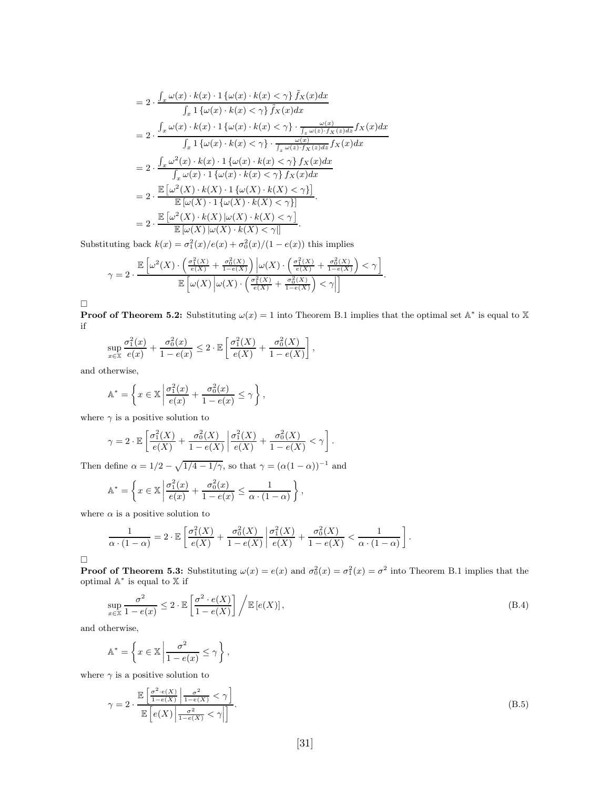$$
= 2 \cdot \frac{\int_{x} \omega(x) \cdot k(x) \cdot 1\left\{\omega(x) \cdot k(x) < \gamma\right\} \tilde{f}_{X}(x) dx}{\int_{x} 1\left\{\omega(x) \cdot k(x) < \gamma\right\} \tilde{f}_{X}(x) dx}
$$
\n
$$
= 2 \cdot \frac{\int_{x} \omega(x) \cdot k(x) \cdot 1\left\{\omega(x) \cdot k(x) < \gamma\right\} \cdot \frac{\omega(x)}{\int_{x} \omega(x) \cdot f_{X}(x) dx}}{\int_{x} 1\left\{\omega(x) \cdot k(x) < \gamma\right\} \cdot \frac{\omega(x)}{\int_{x} \omega(x) \cdot f_{X}(x) dx}} f_{X}(x) dx}
$$
\n
$$
= 2 \cdot \frac{\int_{x} \omega^{2}(x) \cdot k(x) \cdot 1\left\{\omega(x) \cdot k(x) < \gamma\right\} f_{X}(x) dx}{\int_{x} \omega(x) \cdot 1\left\{\omega(x) \cdot k(x) < \gamma\right\} f_{X}(x) dx}
$$
\n
$$
= 2 \cdot \frac{\mathbb{E}\left[\omega^{2}(X) \cdot k(X) \cdot 1\left\{\omega(X) \cdot k(X) < \gamma\right\}\right]}{\mathbb{E}\left[\omega(X) \cdot 1\left\{\omega(X) \cdot k(X) < \gamma\right\}\right]}
$$
\n
$$
= 2 \cdot \frac{\mathbb{E}\left[\omega^{2}(X) \cdot k(X) \cup \omega(X) \cdot k(X) < \gamma\right]}{\mathbb{E}\left[\omega(X) \cup \omega(X) \cdot k(X) < \gamma\right]}
$$

Substituting back  $k(x) = \sigma_1^2(x)/e(x) + \sigma_0^2(x)/(1 - e(x))$  this implies

$$
\gamma = 2 \cdot \frac{\mathbb{E}\left[\omega^2(X) \cdot \left(\frac{\sigma_1^2(X)}{\epsilon(X)} + \frac{\sigma_0^2(X)}{1 - \epsilon(X)}\right)\Big| \omega(X) \cdot \left(\frac{\sigma_1^2(X)}{\epsilon(X)} + \frac{\sigma_0^2(X)}{1 - \epsilon(X)}\right) < \gamma\right]}{\mathbb{E}\left[\omega(X)\left|\omega(X) \cdot \left(\frac{\sigma_1^2(X)}{\epsilon(X)} + \frac{\sigma_0^2(X)}{1 - \epsilon(X)}\right) < \gamma\right|\right]}.
$$

 $\Box$ 

**Proof of Theorem 5.2:** Substituting  $\omega(x) = 1$  into Theorem B.1 implies that the optimal set A<sup>\*</sup> is equal to X if

*,*

$$
\sup_{x \in \mathbb{X}} \frac{\sigma_1^2(x)}{e(x)} + \frac{\sigma_0^2(x)}{1 - e(x)} \le 2 \cdot \mathbb{E}\left[\frac{\sigma_1^2(X)}{e(X)} + \frac{\sigma_0^2(X)}{1 - e(X)}\right]
$$

and otherwise,

$$
\mathbb{A}^* = \left\{ x \in \mathbb{X} \left| \frac{\sigma_1^2(x)}{e(x)} + \frac{\sigma_0^2(x)}{1 - e(x)} \le \gamma \right. \right\},\,
$$

where  $\gamma$  is a positive solution to

$$
\gamma = 2 \cdot \mathbb{E} \left[ \frac{\sigma_1^2(X)}{e(X)} + \frac{\sigma_0^2(X)}{1 - e(X)} \middle| \frac{\sigma_1^2(X)}{e(X)} + \frac{\sigma_0^2(X)}{1 - e(X)} < \gamma \right].
$$

Then define  $\alpha = 1/2 - \sqrt{1/4 - 1/\gamma}$ , so that  $\gamma = (\alpha(1 - \alpha))^{-1}$  and

$$
\mathbb{A}^* = \left\{ x \in \mathbb{X} \, \middle| \, \frac{\sigma_1^2(x)}{e(x)} + \frac{\sigma_0^2(x)}{1 - e(x)} \le \frac{1}{\alpha \cdot (1 - \alpha)} \right\},
$$

where  $\alpha$  is a positive solution to

$$
\frac{1}{\alpha \cdot (1-\alpha)} = 2 \cdot \mathbb{E}\left[\frac{\sigma_1^2(X)}{e(X)} + \frac{\sigma_0^2(X)}{1 - e(X)} \middle| \frac{\sigma_1^2(X)}{e(X)} + \frac{\sigma_0^2(X)}{1 - e(X)} < \frac{1}{\alpha \cdot (1-\alpha)}\right].
$$

 $\Box$ 

**Proof of Theorem 5.3:** Substituting  $\omega(x) = e(x)$  and  $\sigma_0^2(x) = \sigma_1^2(x) = \sigma^2$  into Theorem B.1 implies that the optimal A<sup>∗</sup> is equal to X if

$$
\sup_{x \in \mathbb{X}} \frac{\sigma^2}{1 - e(x)} \le 2 \cdot \mathbb{E} \left[ \frac{\sigma^2 \cdot e(X)}{1 - e(X)} \right] \Big/ \mathbb{E} \left[ e(X) \right],\tag{B.4}
$$

and otherwise,

$$
\mathbb{A}^* = \left\{ x \in \mathbb{X} \, \middle| \, \frac{\sigma^2}{1 - e(x)} \le \gamma \right\},\
$$

where  $\gamma$  is a positive solution to

$$
\gamma = 2 \cdot \frac{\mathbb{E}\left[\frac{\sigma^2 \cdot e(X)}{1 - e(X)} \middle| \frac{\sigma^2}{1 - e(X)} < \gamma\right]}{\mathbb{E}\left[e(X)\middle| \frac{\sigma^2}{1 - e(X)} < \gamma\right]}.\tag{B.5}
$$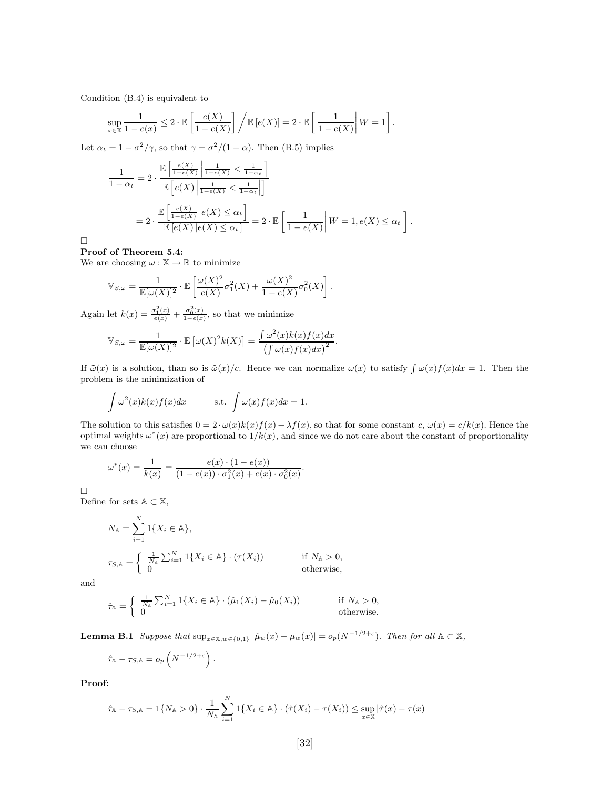Condition (B.4) is equivalent to

$$
\sup_{x \in \mathbb{X}} \frac{1}{1 - e(x)} \leq 2 \cdot \mathbb{E}\left[\frac{e(X)}{1 - e(X)}\right] \bigg/ \mathbb{E}\left[e(X)\right] = 2 \cdot \mathbb{E}\left[\frac{1}{1 - e(X)}\middle| W = 1\right].
$$

Let  $\alpha_t = 1 - \frac{\sigma^2}{\gamma}$ , so that  $\gamma = \frac{\sigma^2}{1 - \alpha}$ . Then (B.5) implies

$$
\frac{1}{1-\alpha_t} = 2 \cdot \frac{\mathbb{E}\left[\frac{e(X)}{1-e(X)} \middle| \frac{1}{1-e(X)} < \frac{1}{1-\alpha_t}\right]}{\mathbb{E}\left[e(X) \middle| \frac{1}{1-e(X)} < \frac{1}{1-\alpha_t}\right]}
$$
\n
$$
= 2 \cdot \frac{\mathbb{E}\left[\frac{e(X)}{1-e(X)} \middle| e(X) \le \alpha_t\right]}{\mathbb{E}\left[e(X) \middle| e(X) \le \alpha_t\right]} = 2 \cdot \mathbb{E}\left[\frac{1}{1-e(X)} \middle| W = 1, e(X) \le \alpha_t\right].
$$

 $\Box$ 

#### **Proof of Theorem 5.4:**

We are choosing  $\omega : \mathbb{X} \to \mathbb{R}$  to minimize

$$
\mathbb{V}_{S,\omega} = \frac{1}{\mathbb{E}[\omega(X)]^2} \cdot \mathbb{E}\left[\frac{\omega(X)^2}{e(X)}\sigma_1^2(X) + \frac{\omega(X)^2}{1 - e(X)}\sigma_0^2(X)\right].
$$

Again let  $k(x) = \frac{\sigma_1^2(x)}{e(x)} + \frac{\sigma_0^2(x)}{1-e(x)}$ , so that we minimize

$$
\mathbb{V}_{S,\omega} = \frac{1}{\mathbb{E}[\omega(X)]^2} \cdot \mathbb{E}[\omega(X)^2 k(X)] = \frac{\int \omega^2(x)k(x)f(x)dx}{\left(\int \omega(x)f(x)dx\right)^2}.
$$

If  $\tilde{\omega}(x)$  is a solution, than so is  $\tilde{\omega}(x)/c$ . Hence we can normalize  $\omega(x)$  to satisfy  $\int \omega(x)f(x)dx = 1$ . Then the problem is the minimization of

$$
\int \omega^2(x)k(x)f(x)dx \qquad \text{s.t.} \int \omega(x)f(x)dx = 1.
$$

The solution to this satisfies  $0 = 2 \cdot \omega(x) k(x) f(x) - \lambda f(x)$ , so that for some constant c,  $\omega(x) = c/k(x)$ . Hence the optimal weights  $\omega^*(x)$  are proportional to  $1/k(x)$ , and since we do not care about the constant of proportionality we can choose

*.*

$$
\omega^*(x) = \frac{1}{k(x)} = \frac{e(x) \cdot (1 - e(x))}{(1 - e(x)) \cdot \sigma_1^2(x) + e(x) \cdot \sigma_0^2(x)}
$$

 $\Box$ 

Define for sets A *⊂* X,

$$
N_{\mathbb{A}} = \sum_{i=1}^{N} 1\{X_i \in \mathbb{A}\},
$$
  
\n
$$
\tau_{S,\mathbb{A}} = \begin{cases} \frac{1}{N_{\mathbb{A}}} \sum_{i=1}^{N} 1\{X_i \in \mathbb{A}\} \cdot (\tau(X_i)) & \text{if } N_{\mathbb{A}} > 0, \\ 0 & \text{otherwise,} \end{cases}
$$

and

$$
\hat{\tau}_{\mathbb{A}} = \begin{cases} \frac{1}{N_{\mathbb{A}}} \sum_{i=1}^{N} 1\{X_i \in \mathbb{A}\} \cdot (\hat{\mu}_1(X_i) - \hat{\mu}_0(X_i)) & \text{if } N_{\mathbb{A}} > 0, \\ 0 & \text{otherwise.} \end{cases}
$$

**Lemma B.1** *Suppose that*  $\sup_{x \in \mathbb{X}, w \in \{0,1\}} |\hat{\mu}_w(x) - \mu_w(x)| = o_p(N^{-1/2+\epsilon})$ *. Then for all*  $\mathbb{A} \subset \mathbb{X}$ *,* 

$$
\hat{\tau}_{\mathbb{A}} - \tau_{S,\mathbb{A}} = o_p\left(N^{-1/2+\varepsilon}\right).
$$

**Proof:**

$$
\hat{\tau}_{A} - \tau_{S,A} = 1\{N_A > 0\} \cdot \frac{1}{N_A} \sum_{i=1}^{N} 1\{X_i \in A\} \cdot (\hat{\tau}(X_i) - \tau(X_i)) \le \sup_{x \in \mathbb{X}} |\hat{\tau}(x) - \tau(x)|
$$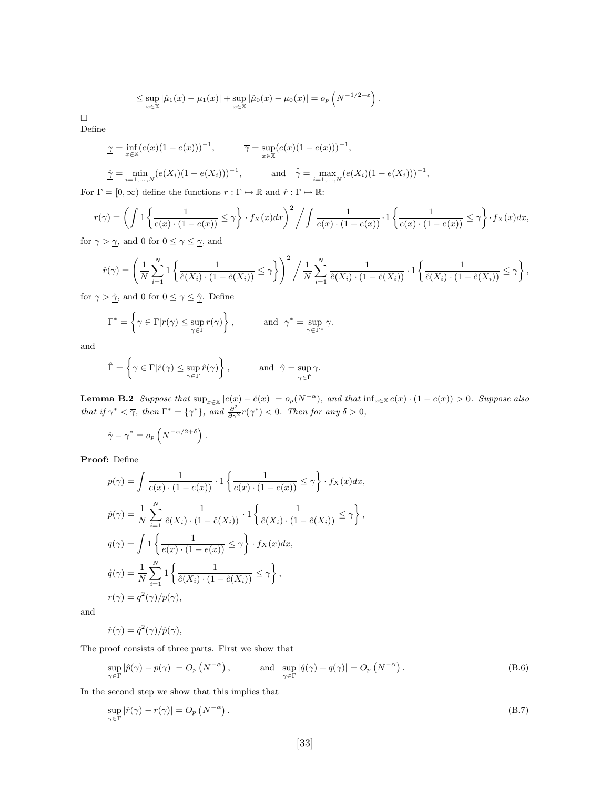$$
\leq \sup_{x\in\mathbb{X}}|\hat{\mu}_1(x)-\mu_1(x)|+\sup_{x\in\mathbb{X}}|\hat{\mu}_0(x)-\mu_0(x)|=o_p\left(N^{-1/2+\varepsilon}\right).
$$

 $\Box$ Define

$$
\underline{\gamma} = \inf_{x \in \mathbb{X}} (e(x)(1 - e(x)))^{-1}, \qquad \overline{\gamma} = \sup_{x \in \mathbb{X}} (e(x)(1 - e(x)))^{-1},
$$
  

$$
\underline{\hat{\gamma}} = \min_{i=1,...,N} (e(X_i)(1 - e(X_i)))^{-1}, \qquad \text{and} \quad \underline{\hat{\gamma}} = \max_{i=1,...,N} (e(X_i)(1 - e(X_i)))^{-1},
$$

For  $\Gamma = [0, \infty)$  define the functions  $r : \Gamma \mapsto \mathbb{R}$  and  $\hat{r} : \Gamma \mapsto \mathbb{R}$ :

$$
r(\gamma) = \left(\int 1 \left\{ \frac{1}{e(x) \cdot (1 - e(x))} \le \gamma \right\} \cdot f_X(x) dx\right)^2 / \int \frac{1}{e(x) \cdot (1 - e(x))} \cdot 1 \left\{ \frac{1}{e(x) \cdot (1 - e(x))} \le \gamma \right\} \cdot f_X(x) dx,
$$

for  $\gamma > \underline{\gamma}$ , and 0 for  $0 \leq \gamma \leq \underline{\gamma}$ , and

$$
\hat{r}(\gamma) = \left(\frac{1}{N} \sum_{i=1}^{N} \left\{ \frac{1}{\hat{e}(X_i) \cdot (1 - \hat{e}(X_i))} \leq \gamma \right\}\right)^2 / \frac{1}{N} \sum_{i=1}^{N} \frac{1}{\hat{e}(X_i) \cdot (1 - \hat{e}(X_i))} \cdot 1 \left\{ \frac{1}{\hat{e}(X_i) \cdot (1 - \hat{e}(X_i))} \leq \gamma \right\},
$$

for  $\gamma > \hat{\underline{\gamma}}$ , and 0 for  $0 \leq \gamma \leq \hat{\underline{\gamma}}$ . Define

$$
\Gamma^* = \left\{ \gamma \in \Gamma | r(\gamma) \le \sup_{\gamma \in \Gamma} r(\gamma) \right\}, \quad \text{and } \gamma^* = \sup_{\gamma \in \Gamma^*} \gamma.
$$

and

$$
\hat{\Gamma} = \left\{ \gamma \in \Gamma | \hat{r}(\gamma) \leq \sup_{\gamma \in \Gamma} \hat{r}(\gamma) \right\}, \qquad \text{and} \ \hat{\gamma} = \sup_{\gamma \in \hat{\Gamma}} \gamma.
$$

**Lemma B.2** Suppose that  $\sup_{x \in \mathbb{X}} |e(x) - \hat{e}(x)| = o_p(N^{-\alpha})$ , and that  $\inf_{x \in \mathbb{X}} e(x) \cdot (1 - e(x)) > 0$ . Suppose also *that if*  $\gamma^* < \overline{\gamma}$ *, then*  $\Gamma^* = {\gamma^*}$ *, and*  $\frac{\partial^2}{\partial \gamma^2} r(\gamma^*) < 0$ *. Then for any*  $\delta > 0$ *,* 

$$
\hat{\gamma} - \gamma^* = o_p\left(N^{-\alpha/2 + \delta}\right).
$$

**Proof:** Define

$$
p(\gamma) = \int \frac{1}{e(x) \cdot (1 - e(x))} \cdot 1 \left\{ \frac{1}{e(x) \cdot (1 - e(x))} \le \gamma \right\} \cdot f_X(x) dx,
$$
  
\n
$$
\hat{p}(\gamma) = \frac{1}{N} \sum_{i=1}^N \frac{1}{\hat{e}(X_i) \cdot (1 - \hat{e}(X_i))} \cdot 1 \left\{ \frac{1}{\hat{e}(X_i) \cdot (1 - \hat{e}(X_i))} \le \gamma \right\},
$$
  
\n
$$
q(\gamma) = \int 1 \left\{ \frac{1}{e(x) \cdot (1 - e(x))} \le \gamma \right\} \cdot f_X(x) dx,
$$
  
\n
$$
\hat{q}(\gamma) = \frac{1}{N} \sum_{i=1}^N 1 \left\{ \frac{1}{\hat{e}(X_i) \cdot (1 - \hat{e}(X_i))} \le \gamma \right\},
$$
  
\n
$$
r(\gamma) = q^2(\gamma)/p(\gamma),
$$

and

 $\hat{r}(\gamma) = \hat{q}^2(\gamma)/\hat{p}(\gamma),$ 

The proof consists of three parts. First we show that

$$
\sup_{\gamma \in \Gamma} |\hat{p}(\gamma) - p(\gamma)| = O_p\left(N^{-\alpha}\right), \quad \text{and} \quad \sup_{\gamma \in \Gamma} |\hat{q}(\gamma) - q(\gamma)| = O_p\left(N^{-\alpha}\right). \tag{B.6}
$$

In the second step we show that this implies that

$$
\sup_{\gamma \in \Gamma} |\hat{r}(\gamma) - r(\gamma)| = O_p\left(N^{-\alpha}\right). \tag{B.7}
$$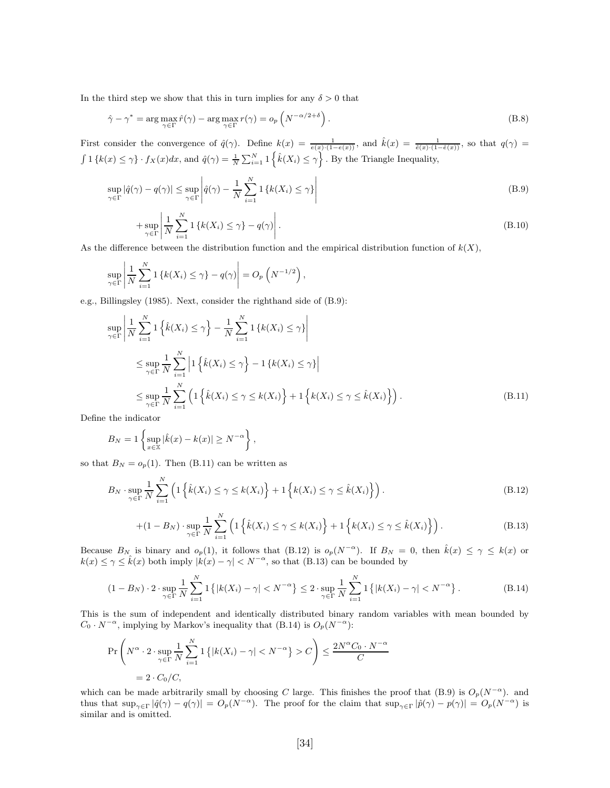In the third step we show that this in turn implies for any  $\delta > 0$  that

$$
\hat{\gamma} - \gamma^* = \arg \max_{\gamma \in \Gamma} \hat{r}(\gamma) - \arg \max_{\gamma \in \Gamma} r(\gamma) = o_p\left(N^{-\alpha/2 + \delta}\right).
$$
\n(B.8)

First consider the convergence of  $\hat{q}(\gamma)$ . Define  $k(x) = \frac{1}{e(x) \cdot (1-e(x))}$ , and  $\hat{k}(x) = \frac{1}{\hat{e}(x) \cdot (1-\hat{e}(x))}$ , so that  $q(\gamma) =$  $\int 1 \{k(x) \leq \gamma\} \cdot f_X(x) dx$ , and  $\hat{q}(\gamma) = \frac{1}{N} \sum_{i=1}^N 1 \{\hat{k}(X_i) \leq \gamma\}$ . By the Triangle Inequality,

$$
\sup_{\gamma \in \Gamma} |\hat{q}(\gamma) - q(\gamma)| \le \sup_{\gamma \in \Gamma} \left| \hat{q}(\gamma) - \frac{1}{N} \sum_{i=1}^{N} \mathbf{1} \left\{ k(X_i) \le \gamma \right\} \right| \tag{B.9}
$$

$$
+\sup_{\gamma \in \Gamma} \left| \frac{1}{N} \sum_{i=1}^{N} \mathbf{1} \left\{ k(X_i) \leq \gamma \right\} - q(\gamma) \right|.
$$
\n(B.10)

As the difference between the distribution function and the empirical distribution function of  $k(X)$ ,

$$
\sup_{\gamma \in \Gamma} \left| \frac{1}{N} \sum_{i=1}^{N} \mathbf{1} \left\{ k(X_i) \leq \gamma \right\} - q(\gamma) \right| = O_p\left( N^{-1/2} \right),
$$

e.g., Billingsley (1985). Next, consider the righthand side of (B.9):

$$
\sup_{\gamma \in \Gamma} \left| \frac{1}{N} \sum_{i=1}^{N} \mathbb{1} \left\{ \hat{k}(X_i) \leq \gamma \right\} - \frac{1}{N} \sum_{i=1}^{N} \mathbb{1} \left\{ k(X_i) \leq \gamma \right\} \right|
$$
\n
$$
\leq \sup_{\gamma \in \Gamma} \frac{1}{N} \sum_{i=1}^{N} \left| \mathbb{1} \left\{ \hat{k}(X_i) \leq \gamma \right\} - \mathbb{1} \left\{ k(X_i) \leq \gamma \right\} \right|
$$
\n
$$
\leq \sup_{\gamma \in \Gamma} \frac{1}{N} \sum_{i=1}^{N} \left( \mathbb{1} \left\{ \hat{k}(X_i) \leq \gamma \leq k(X_i) \right\} + \mathbb{1} \left\{ k(X_i) \leq \gamma \leq \hat{k}(X_i) \right\} \right).
$$
\n(B.11)

Define the indicator

$$
B_N = 1 \left\{ \sup_{x \in \mathbb{X}} |\hat{k}(x) - k(x)| \ge N^{-\alpha} \right\},\,
$$

so that  $B_N = o_p(1)$ . Then (B.11) can be written as

$$
B_N \cdot \sup_{\gamma \in \Gamma} \frac{1}{N} \sum_{i=1}^N \left( 1 \left\{ \hat{k}(X_i) \le \gamma \le k(X_i) \right\} + 1 \left\{ k(X_i) \le \gamma \le \hat{k}(X_i) \right\} \right). \tag{B.12}
$$

$$
+(1-B_N)\cdot \sup_{\gamma\in\Gamma} \frac{1}{N}\sum_{i=1}^N \left(1\left\{\hat{k}(X_i)\leq \gamma\leq k(X_i)\right\}+1\left\{k(X_i)\leq \gamma\leq \hat{k}(X_i)\right\}\right).
$$
 (B.13)

Because  $B_N$  is binary and  $o_p(1)$ , it follows that (B.12) is  $o_p(N^{-\alpha})$ . If  $B_N = 0$ , then  $\hat{k}(x) \leq \gamma \leq k(x)$  or  $k(x) \leq \gamma \leq \hat{k}(x)$  both imply  $|k(x) - \gamma| < N^{-\alpha}$ , so that (B.13) can be bounded by

$$
(1 - B_N) \cdot 2 \cdot \sup_{\gamma \in \Gamma} \frac{1}{N} \sum_{i=1}^N 1\left\{|k(X_i) - \gamma| < N^{-\alpha}\right\} \le 2 \cdot \sup_{\gamma \in \Gamma} \frac{1}{N} \sum_{i=1}^N 1\left\{|k(X_i) - \gamma| < N^{-\alpha}\right\}.\tag{B.14}
$$

This is the sum of independent and identically distributed binary random variables with mean bounded by  $C_0 \cdot N^{-\alpha}$ , implying by Markov's inequality that (B.14) is  $O_p(N^{-\alpha})$ :

$$
\Pr\left(N^{\alpha} \cdot 2 \cdot \sup_{\gamma \in \Gamma} \frac{1}{N} \sum_{i=1}^{N} \mathbf{1}\left\{|k(X_i) - \gamma| < N^{-\alpha}\right\} > C\right) \le \frac{2N^{\alpha}C_0 \cdot N^{-\alpha}}{C}
$$
\n
$$
= 2 \cdot C_0/C,
$$

which can be made arbitrarily small by choosing *C* large. This finishes the proof that (B.9) is  $O_p(N^{-\alpha})$ . and thus that  $\sup_{\gamma \in \Gamma} |\hat{q}(\gamma) - q(\gamma)| = O_p(N^{-\alpha})$ . The proof for the claim that  $\sup_{\gamma \in \Gamma} |\hat{p}(\gamma) - p(\gamma)| = O_p(N^{-\alpha})$  is similar and is omitted.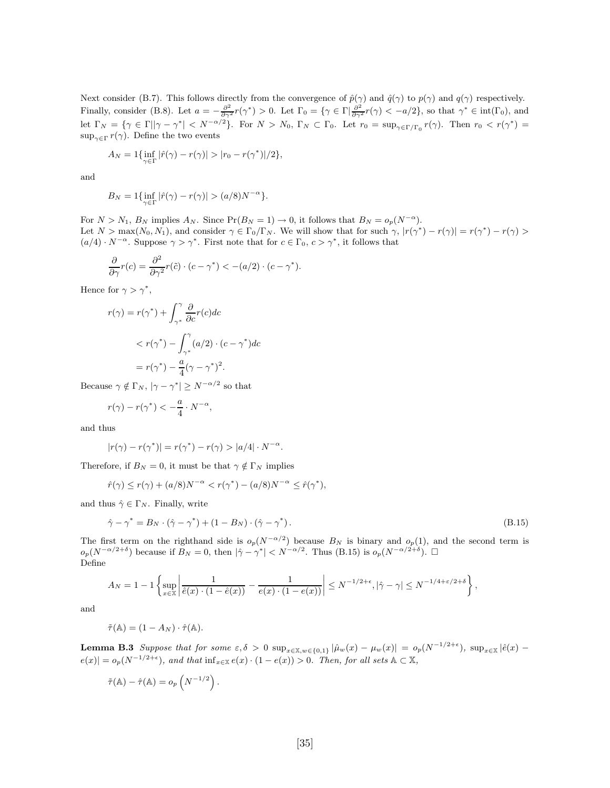Next consider (B.7). This follows directly from the convergence of  $\hat{p}(\gamma)$  and  $\hat{q}(\gamma)$  to  $p(\gamma)$  and  $q(\gamma)$  respectively. Finally, consider (B.8). Let  $a = -\frac{\partial^2}{\partial \gamma^2} r(\gamma^*) > 0$ . Let  $\Gamma_0 = {\gamma \in \Gamma | \frac{\partial^2}{\partial \gamma^2} r(\gamma) < -a/2}$ , so that  $\gamma^* \in \text{int}(\Gamma_0)$ , and let  $\Gamma_N = \{ \gamma \in \Gamma | |\gamma - \gamma^*| < N^{-\alpha/2} \}.$  For  $N > N_0$ ,  $\Gamma_N \subset \Gamma_0$ . Let  $r_0 = \sup_{\gamma \in \Gamma/\Gamma_0} r(\gamma)$ . Then  $r_0 < r(\gamma^*) =$  $\sup_{\gamma \in \Gamma} r(\gamma)$ . Define the two events

$$
A_N = 1\{\inf_{\gamma \in \Gamma} |\hat{r}(\gamma) - r(\gamma)| > |r_0 - r(\gamma^*)|/2\},\
$$

and

$$
B_N = 1\{\inf_{\gamma \in \Gamma} |\hat{r}(\gamma) - r(\gamma)| > (a/8)N^{-\alpha}\}.
$$

For  $N > N_1$ ,  $B_N$  implies  $A_N$ . Since  $Pr(B_N = 1) \rightarrow 0$ , it follows that  $B_N = o_p(N^{-\alpha})$ . Let  $N > \max(N_0, N_1)$ , and consider  $\gamma \in \Gamma_0/\Gamma_N$ . We will show that for such  $\gamma$ ,  $|r(\gamma^*) - r(\gamma)| = r(\gamma^*) - r(\gamma) >$  $(a/4) \cdot N^{-\alpha}$ . Suppose  $\gamma > \gamma^*$ . First note that for  $c \in \Gamma_0$ ,  $c > \gamma^*$ , it follows that

$$
\frac{\partial}{\partial \gamma}r(c) = \frac{\partial^2}{\partial \gamma^2}r(\tilde{c}) \cdot (c - \gamma^*) < -(a/2) \cdot (c - \gamma^*).
$$

Hence for  $\gamma > \gamma^*$ ,

$$
r(\gamma) = r(\gamma^*) + \int_{\gamma^*}^{\gamma} \frac{\partial}{\partial c} r(c) dc
$$
  

$$
< r(\gamma^*) - \int_{\gamma^*}^{\gamma} (a/2) \cdot (c - \gamma^*) dc
$$
  

$$
= r(\gamma^*) - \frac{a}{4} (\gamma - \gamma^*)^2.
$$

Because  $\gamma \notin \Gamma_N$ ,  $|\gamma - \gamma^*| \ge N^{-\alpha/2}$  so that

$$
r(\gamma) - r(\gamma^*) < -\frac{a}{4} \cdot N^{-\alpha},
$$

and thus

$$
|r(\gamma) - r(\gamma^*)| = r(\gamma^*) - r(\gamma) > |a/4| \cdot N^{-\alpha}.
$$

Therefore, if  $B_N = 0$ , it must be that  $\gamma \notin \Gamma_N$  implies

$$
\hat{r}(\gamma) \le r(\gamma) + (a/8)N^{-\alpha} < r(\gamma^*) - (a/8)N^{-\alpha} \le \hat{r}(\gamma^*),
$$

and thus  $\hat{\gamma} \in \Gamma_N$ . Finally, write

$$
\hat{\gamma} - \gamma^* = B_N \cdot (\hat{\gamma} - \gamma^*) + (1 - B_N) \cdot (\hat{\gamma} - \gamma^*).
$$
\n(B.15)

The first term on the righthand side is  $o_p(N^{-\alpha/2})$  because  $B_N$  is binary and  $o_p(1)$ , and the second term is  $o_p(N^{-\alpha/2+\delta})$  because if  $B_N = 0$ , then  $|\hat{\gamma} - \gamma^*| < N^{-\alpha/2}$ . Thus (B.15) is  $o_p(N^{-\alpha/2+\delta})$ .  $\Box$ Define

$$
A_N = 1 - 1 \left\{ \sup_{x \in \mathbb{X}} \left| \frac{1}{\hat{e}(x) \cdot (1 - \hat{e}(x))} - \frac{1}{e(x) \cdot (1 - e(x))} \right| \le N^{-1/2 + \epsilon}, |\hat{\gamma} - \gamma| \le N^{-1/4 + \epsilon/2 + \delta} \right\},
$$

and

$$
\tilde{\tau}(\mathbb{A}) = (1 - A_N) \cdot \hat{\tau}(\mathbb{A}).
$$

**Lemma B.3** *Suppose that for some*  $\varepsilon, \delta > 0$  sup<sub> $x \in \mathbb{X}, w \in \{0,1\}$   $|\hat{\mu}_w(x) - \mu_w(x)| = o_p(N^{-1/2+\epsilon})$ , sup<sub> $x \in \mathbb{X}$ </sub>  $|\hat{e}(x) - \mu_w(x)|$ </sub>  $e(x)| = o_p(N^{-1/2+\epsilon})$ *, and that*  $\inf_{x \in \mathbb{X}} e(x) \cdot (1-e(x)) > 0$ *. Then, for all sets*  $\mathbb{A} \subset \mathbb{X}$ *,* 

$$
\tilde{\tau}(\mathbb{A}) - \hat{\tau}(\mathbb{A}) = o_p\left(N^{-1/2}\right).
$$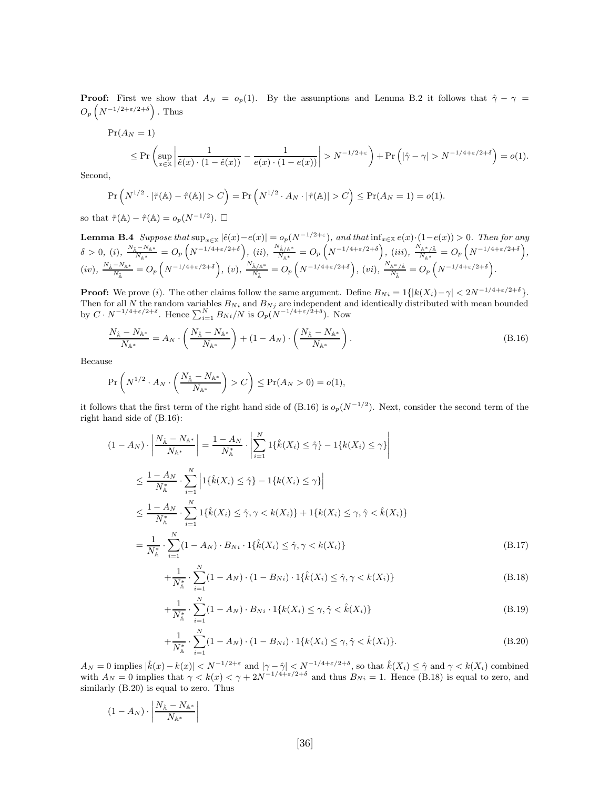**Proof:** First we show that  $A_N = o_p(1)$ . By the assumptions and Lemma B.2 it follows that  $\hat{\gamma} - \gamma =$  $O_p\left(N^{-1/2+\epsilon/2+\delta}\right)$ . Thus

$$
\Pr(A_N = 1)
$$
\n
$$
\leq \Pr\left(\sup_{x \in \mathbb{X}} \left| \frac{1}{\hat{e}(x) \cdot (1 - \hat{e}(x))} - \frac{1}{e(x) \cdot (1 - e(x))} \right| > N^{-1/2 + \varepsilon} \right) + \Pr\left(|\hat{\gamma} - \gamma| > N^{-1/4 + \varepsilon/2 + \delta}\right) = o(1).
$$

Second,

$$
\Pr\left(N^{1/2}\cdot|\tilde{\tau}(\mathbb{A})-\hat{\tau}(\mathbb{A})|>C\right)=\Pr\left(N^{1/2}\cdot A_N\cdot|\hat{\tau}(\mathbb{A})|>C\right)\leq \Pr(A_N=1)=o(1).
$$

so that  $\tilde{\tau}(\mathbb{A}) - \hat{\tau}(\mathbb{A}) = o_p(N^{-1/2})$ .  $\Box$ 

**Lemma B.4** Suppose that  $\sup_{x \in \mathbb{X}} |\hat{e}(x) - e(x)| = o_p(N^{-1/2 + \varepsilon})$ , and that  $\inf_{x \in \mathbb{X}} e(x) \cdot (1 - e(x)) > 0$ . Then for any  $\delta>0,~(i),~\frac{N_{\hat{\mathbb{A}}}-N_{\mathbb{A}^*}}{N_{\mathbb{A}^*}}=O_p\left(N^{-1/4+\varepsilon/2+\delta}\right),~(ii),~\frac{N_{\hat{\mathbb{A}}/\mathbb{A}^*}}{N_{\mathbb{A}^*}}=O_p\left(N^{-1/4+\varepsilon/2+\delta}\right),~(iii),~\frac{N_{\hat{\mathbb{A}}^*/\hat{\mathbb{A}}}}{N_{\mathbb{A}^*}}=O_p\left(N^{-1/4+\varepsilon/2+\delta}\right),$  $(iv),\ \frac{N_{\hat{\mathbb{A}}}-N_{\mathbb{A}^*}}{N_{\hat{\mathbb{A}}}}=O_p\left(N^{-1/4+\varepsilon/2+\delta}\right),\ (v),\ \frac{N_{\hat{\mathbb{A}}/\mathbb{A}^*}}{N_{\hat{\mathbb{A}}}}$  $\frac{\hat{A}/\mathbb{A}^*}{N_{\hat{\mathbb{A}}}} = O_p\left(N^{-1/4+\varepsilon/2+\delta}\right), \ (vi), \ \frac{N_{\mathbb{A}^*/\hat{\mathbb{A}}}}{N_{\hat{\mathbb{A}}}} = O_p\left(N^{-1/4+\varepsilon/2+\delta}\right).$ 

**Proof:** We prove (*i*). The other claims follow the same argument. Define  $B_{Ni} = 1\{|k(X_i) - \gamma| < 2N^{-1/4 + \varepsilon/2 + \delta}\}$ . Then for all N the random variables  $B_{Ni}$  and  $B_{Nj}$  are independent and identically distributed with mean bounded<br>by  $C \cdot N^{-1/4+\epsilon/2+\delta}$ . Hence  $\sum_{i=1}^{N} B_{Ni}/N$  is  $O_p(N^{-1/4+\epsilon/2+\delta})$ . Now

$$
\frac{N_{\hat{\mathbb{A}}} - N_{\mathbb{A}^*}}{N_{\mathbb{A}^*}} = A_N \cdot \left( \frac{N_{\hat{\mathbb{A}}} - N_{\mathbb{A}^*}}{N_{\mathbb{A}^*}} \right) + (1 - A_N) \cdot \left( \frac{N_{\hat{\mathbb{A}}} - N_{\mathbb{A}^*}}{N_{\mathbb{A}^*}} \right). \tag{B.16}
$$

Because

$$
\Pr\left(N^{1/2} \cdot A_N \cdot \left(\frac{N_{\hat{\mathbb{A}}} - N_{\mathbb{A}^*}}{N_{\mathbb{A}^*}}\right) > C\right) \le \Pr(A_N > 0) = o(1),
$$

it follows that the first term of the right hand side of (B.16) is  $o_p(N^{-1/2})$ . Next, consider the second term of the right hand side of (B.16):

$$
(1 - A_N) \cdot \left| \frac{N_{\hat{\mathbb{A}}} - N_{\mathbb{A}^*}}{N_{\mathbb{A}^*}} \right| = \frac{1 - A_N}{N_{\mathbb{A}^*}} \cdot \left| \sum_{i=1}^N 1\{\hat{k}(X_i) \le \hat{\gamma}\} - 1\{k(X_i) \le \gamma\} \right|
$$
  

$$
\le \frac{1 - A_N}{N_{\mathbb{A}^*}^*} \cdot \sum_{i=1}^N \left| 1\{\hat{k}(X_i) \le \hat{\gamma}\} - 1\{k(X_i) \le \gamma\} \right|
$$
  

$$
\le \frac{1 - A_N}{N_{\mathbb{A}^*}^*} \cdot \sum_{i=1}^N 1\{\hat{k}(X_i) \le \hat{\gamma}, \gamma < k(X_i)\} + 1\{k(X_i) \le \gamma, \hat{\gamma} < \hat{k}(X_i)\}
$$
  

$$
= \frac{1}{N_{\mathbb{A}^*}^*} \cdot \sum_{i=1}^N (1 - A_N) \cdot B_{Ni} \cdot 1\{\hat{k}(X_i) \le \hat{\gamma}, \gamma < k(X_i)\}
$$
 (B.17)

$$
+\frac{1}{N_{\mathbb{A}}^*} \cdot \sum_{i=1}^N (1 - A_N) \cdot (1 - B_{Ni}) \cdot 1\{\hat{k}(X_i) \le \hat{\gamma}, \gamma < k(X_i)\}\tag{B.18}
$$

$$
+\frac{1}{N_{\mathbb{A}}^*} \cdot \sum_{i=1}^N (1 - A_N) \cdot B_{Ni} \cdot 1\{k(X_i) \le \gamma, \hat{\gamma} < \hat{k}(X_i)\} \tag{B.19}
$$

$$
+\frac{1}{N_{\mathbb{A}}^*} \cdot \sum_{i=1}^N (1 - A_N) \cdot (1 - B_{Ni}) \cdot 1\{k(X_i) \le \gamma, \hat{\gamma} < \hat{k}(X_i)\}.\tag{B.20}
$$

 $A_N = 0$  implies  $|\hat{k}(x) - k(x)| < N^{-1/2 + \varepsilon}$  and  $|\gamma - \hat{\gamma}| < N^{-1/4 + \varepsilon/2 + \delta}$ , so that  $\hat{k}(X_i) \leq \hat{\gamma}$  and  $\gamma < k(X_i)$  combined with  $A_N = 0$  implies that  $\gamma < k(x) < \gamma + 2N^{-1/4 + \varepsilon/2 + \delta}$  and thus  $B_{Ni} = 1$ . Hence (B.18) is equal to zero, and similarly (B.20) is equal to zero. Thus

$$
(1-A_N) \cdot \left| \frac{N_{\mathbb{\hat A}}-N_{\mathbb{A}^*}}{N_{\mathbb{A}^*}} \right|
$$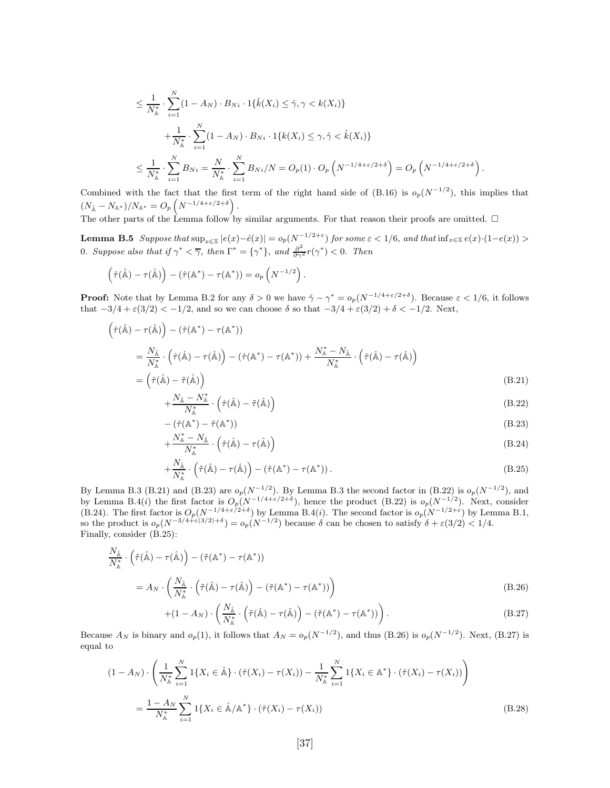$$
\leq \frac{1}{N_{\mathbb{A}}^*} \cdot \sum_{i=1}^N (1 - A_N) \cdot B_{Ni} \cdot 1\{\hat{k}(X_i) \leq \hat{\gamma}, \gamma < k(X_i)\}\n+ \frac{1}{N_{\mathbb{A}}^*} \cdot \sum_{i=1}^N (1 - A_N) \cdot B_{Ni} \cdot 1\{k(X_i) \leq \gamma, \hat{\gamma} < \hat{k}(X_i)\}\n\leq \frac{1}{N_{\mathbb{A}}^*} \cdot \sum_{i=1}^N B_{Ni} = \frac{N}{N_{\mathbb{A}}^*} \cdot \sum_{i=1}^N B_{Ni}/N = O_p(1) \cdot O_p\left(N^{-1/4 + \varepsilon/2 + \delta}\right) = O_p\left(N^{-1/4 + \varepsilon/2 + \delta}\right).
$$

Combined with the fact that the first term of the right hand side of (B.16) is  $o_p(N^{-1/2})$ , this implies that  $(N_{\mathbb{A}} - N_{\mathbb{A}^*})/N_{\mathbb{A}^*} = O_p\left(N^{-1/4 + \varepsilon/2 + \delta}\right).$ 

The other parts of the Lemma follow by similar arguments. For that reason their proofs are omitted.  $\Box$ 

**Lemma B.5** Suppose that  $\sup_{x \in \mathbb{X}} |e(x) - \hat{e}(x)| = o_p(N^{-1/2 + \varepsilon})$  for some  $\varepsilon < 1/6$ , and that  $\inf_{x \in \mathbb{X}} e(x) \cdot (1 - e(x)) >$ 0*. Suppose also that if*  $\gamma^* < \overline{\gamma}$ *, then*  $\Gamma^* = {\gamma^*}$ *, and*  $\frac{\partial^2}{\partial \gamma^2} r(\gamma^*) < 0$ *. Then* 

$$
(\hat{\tau}(\hat{\mathbb{A}}) - \tau(\hat{\mathbb{A}})) - (\hat{\tau}(\mathbb{A}^*) - \tau(\mathbb{A}^*)) = o_p(N^{-1/2}).
$$

**Proof:** Note that by Lemma B.2 for any  $\delta > 0$  we have  $\hat{\gamma} - \gamma^* = o_p(N^{-1/4 + \epsilon/2 + \delta})$ . Because  $\epsilon < 1/6$ , it follows that  $-3/4 + \varepsilon(3/2) < -1/2$ , and so we can choose  $\delta$  so that  $-3/4 + \varepsilon(3/2) + \delta < -1/2$ . Next,

$$
\left(\hat{\tau}(\hat{\mathbb{A}}) - \tau(\hat{\mathbb{A}})\right) - \left(\hat{\tau}(\mathbb{A}^*) - \tau(\mathbb{A}^*)\right)
$$
\n
$$
= \frac{N_{\hat{\mathbb{A}}}}{N_{\mathbb{A}}^*} \cdot \left(\hat{\tau}(\hat{\mathbb{A}}) - \tau(\hat{\mathbb{A}})\right) - \left(\hat{\tau}(\mathbb{A}^*) - \tau(\mathbb{A}^*)\right) + \frac{N_{\mathbb{A}}^* - N_{\hat{\mathbb{A}}}}{N_{\mathbb{A}}^*} \cdot \left(\hat{\tau}(\hat{\mathbb{A}}) - \tau(\hat{\mathbb{A}})\right)
$$
\n
$$
= \left(\hat{\tau}(\hat{\mathbb{A}}) - \tilde{\tau}(\hat{\mathbb{A}})\right) \tag{B.21}
$$

$$
+\frac{N_{\hat{\mathbb{A}}}-N_{\mathbb{A}}^*}{N_{\mathbb{A}}^*} \cdot \left(\hat{\tau}(\hat{\mathbb{A}})-\tilde{\tau}(\hat{\mathbb{A}})\right) \tag{B.22}
$$

$$
-(\hat{\tau}(\mathbb{A}^*) - \tilde{\tau}(\mathbb{A}^*))
$$
\n(B.23)\n
$$
\frac{N_{\mathbb{A}}^* - N_{\mathbb{A}}}{(2\hat{\tau}(\hat{\mathbb{A}}) - \tau(\hat{\mathbb{A}}))}
$$
\n(B.24)

$$
+\frac{N_{\mathbb{A}}-N_{\mathbb{A}}}{N_{\mathbb{A}}^{*}}\cdot(\hat{\tau}(\hat{\mathbb{A}})-\tau(\hat{\mathbb{A}})\big) \tag{B.24}
$$

$$
+\frac{N_{\hat{\mathbb{A}}}}{N_{\mathbb{A}}^{*}}\cdot\left(\tilde{\tau}(\hat{\mathbb{A}})-\tau(\hat{\mathbb{A}})\right)-\left(\tilde{\tau}(\mathbb{A}^{*})-\tau(\mathbb{A}^{*})\right).
$$
\n(B.25)

By Lemma B.3 (B.21) and (B.23) are  $o_p(N^{-1/2})$ . By Lemma B.3 the second factor in (B.22) is  $o_p(N^{-1/2})$ , and by Lemma B.4(*i*) the first factor is  $O_p(N^{-1/4+\epsilon/2+\delta})$ , hence the product (B.22) is  $o_p(N^{-1/2})$ . Next, consider (B.24). The first factor is  $O_p(N^{-1/4+\epsilon/2+\delta})$  by Lemma B.4(*i*). The second factor is  $o_p(N^{-1/2+\epsilon})$  by Lemma B.1, so the product is  $o_p(N^{-3/4+\epsilon(3/2)+\delta}) = o_p(N^{-1/2})$  because  $\delta$  can be chosen to satisfy  $\delta + \epsilon(3/2) < 1/4$ . Finally, consider (B.25):

$$
\frac{N_{\hat{\mathbb{A}}}}{N_{\mathbb{A}}^*} \cdot \left( \tilde{\tau}(\hat{\mathbb{A}}) - \tau(\hat{\mathbb{A}}) \right) - \left( \tilde{\tau}(\mathbb{A}^*) - \tau(\mathbb{A}^*) \right)
$$
\n
$$
= A_N \cdot \left( \frac{N_{\hat{\mathbb{A}}}}{N_{\mathbb{A}}^*} \cdot \left( \tilde{\tau}(\hat{\mathbb{A}}) - \tau(\hat{\mathbb{A}}) \right) - \left( \tilde{\tau}(\mathbb{A}^*) - \tau(\mathbb{A}^*) \right) \right)
$$
\n
$$
+ (1 - A_N) \cdot \left( \frac{N_{\hat{\mathbb{A}}}}{N_{\mathbb{A}}^*} \cdot \left( \tilde{\tau}(\hat{\mathbb{A}}) - \tau(\hat{\mathbb{A}}) \right) - \left( \tilde{\tau}(\mathbb{A}^*) - \tau(\mathbb{A}^*) \right) \right).
$$
\n(B.26)

Because  $A_N$  is binary and  $o_p(1)$ , it follows that  $A_N = o_p(N^{-1/2})$ , and thus (B.26) is  $o_p(N^{-1/2})$ . Next, (B.27) is equal to

$$
(1 - A_N) \cdot \left( \frac{1}{N_{\mathbb{A}}^*} \sum_{i=1}^N 1\{X_i \in \hat{\mathbb{A}}\} \cdot (\hat{\tau}(X_i) - \tau(X_i)) - \frac{1}{N_{\mathbb{A}}^*} \sum_{i=1}^N 1\{X_i \in \mathbb{A}^*\} \cdot (\hat{\tau}(X_i) - \tau(X_i)) \right)
$$
  
= 
$$
\frac{1 - A_N}{N_{\mathbb{A}}^*} \sum_{i=1}^N 1\{X_i \in \hat{\mathbb{A}}/\mathbb{A}^*\} \cdot (\hat{\tau}(X_i) - \tau(X_i))
$$
(B.28)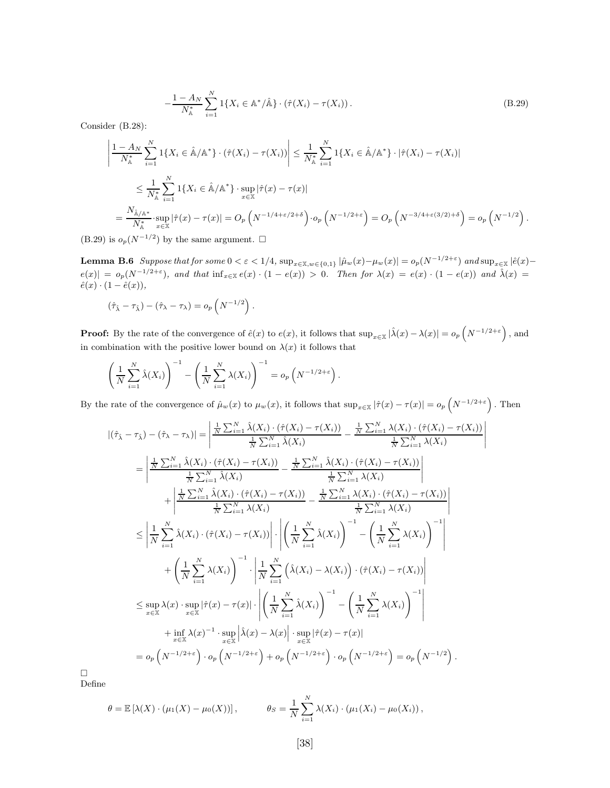$$
-\frac{1-A_N}{N_{\mathbb{A}}^*} \sum_{i=1}^N 1\{X_i \in \mathbb{A}^*/\hat{\mathbb{A}}\} \cdot (\hat{\tau}(X_i) - \tau(X_i)).
$$
\n(B.29)

Consider (B.28):

$$
\left|\frac{1-A_N}{N_{\mathbb{A}}^*}\sum_{i=1}^N 1\{X_i \in \hat{\mathbb{A}}/\mathbb{A}^*\} \cdot (\hat{\tau}(X_i) - \tau(X_i))\right| \le \frac{1}{N_{\mathbb{A}}^*}\sum_{i=1}^N 1\{X_i \in \hat{\mathbb{A}}/\mathbb{A}^*\} \cdot |\hat{\tau}(X_i) - \tau(X_i)|
$$
\n
$$
\le \frac{1}{N_{\mathbb{A}}^*}\sum_{i=1}^N 1\{X_i \in \hat{\mathbb{A}}/\mathbb{A}^*\} \cdot \sup_{x \in \mathbb{X}} |\hat{\tau}(x) - \tau(x)|
$$
\n
$$
= \frac{N_{\hat{\mathbb{A}}/\mathbb{A}^*}}{N_{\mathbb{A}}^*} \cdot \sup_{x \in \mathbb{X}} |\hat{\tau}(x) - \tau(x)| = O_p\left(N^{-1/4 + \varepsilon/2 + \delta}\right) \cdot o_p\left(N^{-1/2 + \varepsilon}\right) = O_p\left(N^{-3/4 + \varepsilon(3/2) + \delta}\right) = o_p\left(N^{-1/2}\right).
$$

(B.29) is  $o_p(N^{-1/2})$  by the same argument.  $\Box$ 

**Lemma B.6** Suppose that for some  $0 < \varepsilon < 1/4$ ,  $\sup_{x \in \mathbb{X}, w \in \{0,1\}} |\hat{\mu}_w(x) - \mu_w(x)| = o_p(N^{-1/2+\varepsilon})$  and  $\sup_{x \in \mathbb{X}} |\hat{e}(x) - \hat{e}(x)|$  $e(x) = o_p(N^{-1/2+\epsilon}),$  and that  $inf_{x \in \mathbb{X}} e(x) \cdot (1-e(x)) > 0$ . Then for  $\lambda(x) = e(x) \cdot (1-e(x))$  and  $\hat{\lambda}(x) =$  $\hat{e}(x) \cdot (1 - \hat{e}(x)),$ 

$$
(\hat{\tau}_{\hat{\lambda}} - \tau_{\hat{\lambda}}) - (\hat{\tau}_{\lambda} - \tau_{\lambda}) = o_p\left(N^{-1/2}\right).
$$

**Proof:** By the rate of the convergence of  $\hat{e}(x)$  to  $e(x)$ , it follows that  $\sup_{x \in \mathbb{X}} |\hat{\lambda}(x) - \lambda(x)| = o_p\left(N^{-1/2+\varepsilon}\right)$ , and in combination with the positive lower bound on  $\lambda(x)$  it follows that

$$
\left(\frac{1}{N}\sum_{i=1}^N\hat{\lambda}(X_i)\right)^{-1}-\left(\frac{1}{N}\sum_{i=1}^N\lambda(X_i)\right)^{-1}=o_p\left(N^{-1/2+\varepsilon}\right).
$$

By the rate of the convergence of  $\hat{\mu}_w(x)$  to  $\mu_w(x)$ , it follows that  $\sup_{x \in \mathbb{X}} |\hat{\tau}(x) - \tau(x)| = o_p\left(N^{-1/2+\varepsilon}\right)$ . Then

 $\overline{1}$  $\overline{\phantom{a}}$  $\overline{\phantom{a}}$  $\overline{\phantom{a}}$  $\overline{\phantom{a}}$ 

$$
|(\hat{\tau}_{\hat{\lambda}} - \tau_{\hat{\lambda}}) - (\hat{\tau}_{\lambda} - \tau_{\lambda})| = \left| \frac{\frac{1}{N} \sum_{i=1}^{N} \hat{\lambda}(X_{i}) \cdot (\hat{\tau}(X_{i}) - \tau(X_{i}))}{\frac{1}{N} \sum_{i=1}^{N} \hat{\lambda}(X_{i})} - \frac{\frac{1}{N} \sum_{i=1}^{N} \lambda(X_{i}) \cdot (\hat{\tau}(X_{i}) - \tau(X_{i}))}{\frac{1}{N} \sum_{i=1}^{N} \hat{\lambda}(X_{i})}
$$
\n
$$
= \left| \frac{\frac{1}{N} \sum_{i=1}^{N} \hat{\lambda}(X_{i}) \cdot (\hat{\tau}(X_{i}) - \tau(X_{i}))}{\frac{1}{N} \sum_{i=1}^{N} \hat{\lambda}(X_{i})} - \frac{\frac{1}{N} \sum_{i=1}^{N} \hat{\lambda}(X_{i}) \cdot (\hat{\tau}(X_{i}) - \tau(X_{i}))}{\frac{1}{N} \sum_{i=1}^{N} \lambda(X_{i})}\right|
$$
\n
$$
+ \left| \frac{\frac{1}{N} \sum_{i=1}^{N} \hat{\lambda}(X_{i}) \cdot (\hat{\tau}(X_{i}) - \tau(X_{i}))}{\frac{1}{N} \sum_{i=1}^{N} \lambda(X_{i})} - \frac{\frac{1}{N} \sum_{i=1}^{N} \lambda(X_{i}) \cdot (\hat{\tau}(X_{i}) - \tau(X_{i}))}{\frac{1}{N} \sum_{i=1}^{N} \lambda(X_{i})}\right|
$$
\n
$$
\leq \left| \frac{1}{N} \sum_{i=1}^{N} \hat{\lambda}(X_{i}) \cdot (\hat{\tau}(X_{i}) - \tau(X_{i})) \right| \cdot \left| \left( \frac{1}{N} \sum_{i=1}^{N} \hat{\lambda}(X_{i}) \right)^{-1} - \left( \frac{1}{N} \sum_{i=1}^{N} \lambda(X_{i}) \right)^{-1} \right|
$$
\n
$$
+ \left( \frac{1}{N} \sum_{i=1}^{N} \lambda(X_{i}) \right)^{-1} \cdot \left| \frac{1}{N} \sum_{i=1}^{N} \left( \hat{\lambda}(X_{i}) - \lambda(X_{i}) \right) \cdot (\hat{\tau}(X_{i}) - \tau(X_{i})) \right|
$$
\n<math display="</math>

 $\Box$ Define

$$
\theta = \mathbb{E} [\lambda(X) \cdot (\mu_1(X) - \mu_0(X))], \qquad \theta_S = \frac{1}{N} \sum_{i=1}^N \lambda(X_i) \cdot (\mu_1(X_i) - \mu_0(X_i)),
$$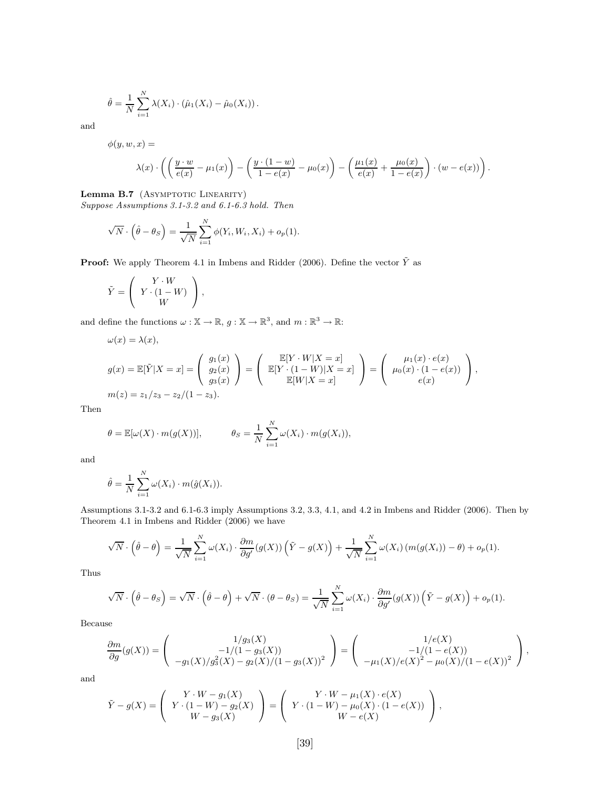$$
\hat{\theta} = \frac{1}{N} \sum_{i=1}^{N} \lambda(X_i) \cdot (\hat{\mu}_1(X_i) - \hat{\mu}_0(X_i)).
$$

and

 $\phi(y, w, x) =$ 

$$
\lambda(x)\cdot\left(\left(\frac{y\cdot w}{e(x)}-\mu_1(x)\right)-\left(\frac{y\cdot(1-w)}{1-e(x)}-\mu_0(x)\right)-\left(\frac{\mu_1(x)}{e(x)}+\frac{\mu_0(x)}{1-e(x)}\right)\cdot(w-e(x))\right).
$$

Lemma B.7 (ASYMPTOTIC LINEARITY)

*Suppose Assumptions 3.1-3.2 and 6.1-6.3 hold. Then*

$$
\sqrt{N} \cdot \left(\hat{\theta} - \theta_S\right) = \frac{1}{\sqrt{N}} \sum_{i=1}^{N} \phi(Y_i, W_i, X_i) + o_p(1).
$$

**Proof:** We apply Theorem 4.1 in Imbens and Ridder (2006). Define the vector  $\tilde{Y}$  as

$$
\tilde{Y} = \left( \begin{array}{c} Y \cdot W \\ Y \cdot (1 - W) \\ W \end{array} \right),
$$

and define the functions  $\omega : \mathbb{X} \to \mathbb{R}$ ,  $g : \mathbb{X} \to \mathbb{R}^3$ , and  $m : \mathbb{R}^3 \to \mathbb{R}$ :

$$
\omega(x) = \lambda(x),
$$
  
\n
$$
g(x) = \mathbb{E}[\tilde{Y}|X=x] = \begin{pmatrix} g_1(x) \\ g_2(x) \\ g_3(x) \end{pmatrix} = \begin{pmatrix} \mathbb{E}[Y \cdot W|X=x] \\ \mathbb{E}[Y \cdot (1-W)|X=x] \\ \mathbb{E}[W|X=x] \end{pmatrix} = \begin{pmatrix} \mu_1(x) \cdot e(x) \\ \mu_0(x) \cdot (1-e(x)) \\ e(x) \end{pmatrix},
$$
  
\n
$$
m(z) = z_1/z_3 - z_2/(1-z_3).
$$

Then

$$
\theta = \mathbb{E}[\omega(X) \cdot m(g(X))], \qquad \theta_S = \frac{1}{N} \sum_{i=1}^N \omega(X_i) \cdot m(g(X_i)),
$$

and

$$
\hat{\theta} = \frac{1}{N} \sum_{i=1}^{N} \omega(X_i) \cdot m(\hat{g}(X_i)).
$$

Assumptions 3.1-3.2 and 6.1-6.3 imply Assumptions 3.2, 3.3, 4.1, and 4.2 in Imbens and Ridder (2006). Then by Theorem 4.1 in Imbens and Ridder (2006) we have

$$
\sqrt{N} \cdot \left(\hat{\theta} - \theta\right) = \frac{1}{\sqrt{N}} \sum_{i=1}^{N} \omega(X_i) \cdot \frac{\partial m}{\partial g'}(g(X))\left(\tilde{Y} - g(X)\right) + \frac{1}{\sqrt{N}} \sum_{i=1}^{N} \omega(X_i) \left(m(g(X_i)) - \theta\right) + o_p(1).
$$

Thus

$$
\sqrt{N} \cdot \left(\hat{\theta} - \theta_S\right) = \sqrt{N} \cdot \left(\hat{\theta} - \theta\right) + \sqrt{N} \cdot \left(\theta - \theta_S\right) = \frac{1}{\sqrt{N}} \sum_{i=1}^{N} \omega(X_i) \cdot \frac{\partial m}{\partial g'}(g(X))\left(\tilde{Y} - g(X)\right) + o_p(1).
$$

Because

$$
\frac{\partial m}{\partial g}(g(X)) = \begin{pmatrix} 1/g_3(X) \\ -1/(1-g_3(X)) \\ -g_1(X)/g_3^2(X) - g_2(X)/(1-g_3(X))^2 \end{pmatrix} = \begin{pmatrix} 1/e(X) \\ -1/(1-e(X)) \\ -\mu_1(X)/e(X)^2 - \mu_0(X)/(1-e(X))^2 \end{pmatrix},
$$

and

$$
\tilde{Y} - g(X) = \begin{pmatrix} Y \cdot W - g_1(X) \\ Y \cdot (1 - W) - g_2(X) \\ W - g_3(X) \end{pmatrix} = \begin{pmatrix} Y \cdot W - \mu_1(X) \cdot e(X) \\ Y \cdot (1 - W) - \mu_0(X) \cdot (1 - e(X)) \\ W - e(X) \end{pmatrix},
$$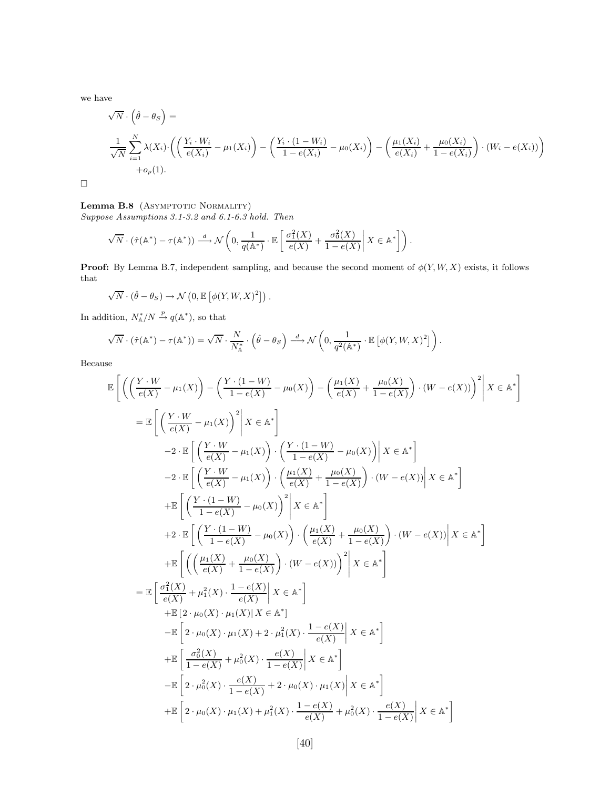we have

$$
\sqrt{N} \cdot \left(\hat{\theta} - \theta_S\right) =
$$
\n
$$
\frac{1}{\sqrt{N}} \sum_{i=1}^{N} \lambda(X_i) \cdot \left(\left(\frac{Y_i \cdot W_i}{e(X_i)} - \mu_1(X_i)\right) - \left(\frac{Y_i \cdot (1 - W_i)}{1 - e(X_i)} - \mu_0(X_i)\right) - \left(\frac{\mu_1(X_i)}{e(X_i)} + \frac{\mu_0(X_i)}{1 - e(X_i)}\right) \cdot (W_i - e(X_i))\right)
$$
\n
$$
+ o_p(1).
$$

 $\Box$ 

#### Lemma B.8 (ASYMPTOTIC NORMALITY)

*Suppose Assumptions 3.1-3.2 and 6.1-6.3 hold. Then*

$$
\sqrt{N} \cdot (\hat{\tau}(\mathbb{A}^*) - \tau(\mathbb{A}^*)) \xrightarrow{d} \mathcal{N}\left(0, \frac{1}{q(\mathbb{A}^*)} \cdot \mathbb{E}\left[\frac{\sigma_1^2(X)}{e(X)} + \frac{\sigma_0^2(X)}{1 - e(X)} \middle| X \in \mathbb{A}^*\right]\right).
$$

**Proof:** By Lemma B.7, independent sampling, and because the second moment of  $\phi(Y, W, X)$  exists, it follows that

$$
\sqrt{N} \cdot (\hat{\theta} - \theta_S) \to \mathcal{N}\left(0, \mathbb{E}\left[\phi(Y, W, X)^2\right]\right).
$$

In addition,  $N_A^*/N \stackrel{p}{\rightarrow} q(\mathbb{A}^*)$ , so that

$$
\sqrt{N} \cdot (\hat{\tau}(\mathbb{A}^*) - \tau(\mathbb{A}^*)) = \sqrt{N} \cdot \frac{N}{N_{\mathbb{A}}^*} \cdot (\hat{\theta} - \theta_S) \stackrel{d}{\longrightarrow} \mathcal{N}\left(0, \frac{1}{q^2(\mathbb{A}^*)} \cdot \mathbb{E}\left[\phi(Y, W, X)^2\right]\right).
$$

Because

$$
\mathbb{E}\left[\left(\left(\frac{Y\cdot W}{e(X)}-\mu_1(X)\right)-\left(\frac{Y\cdot(1-W)}{1-e(X)}-\mu_0(X)\right)-\left(\frac{\mu_1(X)}{e(X)}+\frac{\mu_0(X)}{1-e(X)}\right)\cdot(W-e(X))\right)^2\middle| X\in\mathbb{A}^*\right]
$$
\n
$$
=\mathbb{E}\left[\left(\frac{Y\cdot W}{e(X)}-\mu_1(X)\right)^2\middle| X\in\mathbb{A}^*\right]
$$
\n
$$
-2\cdot\mathbb{E}\left[\left(\frac{Y\cdot W}{e(X)}-\mu_1(X)\right)\cdot\left(\frac{Y\cdot(1-W)}{1-e(X)}-\mu_0(X)\right)\middle| X\in\mathbb{A}^*\right]
$$
\n
$$
-2\cdot\mathbb{E}\left[\left(\frac{Y\cdot W}{e(X)}-\mu_1(X)\right)\cdot\left(\frac{\mu_1(X)}{e(X)}+\frac{\mu_0(X)}{1-e(X)}\right)\cdot(W-e(X))\middle| X\in\mathbb{A}^*\right]
$$
\n
$$
+\mathbb{E}\left[\left(\frac{Y\cdot(1-W)}{1-e(X)}-\mu_0(X)\right)^2\middle| X\in\mathbb{A}^*\right]
$$
\n
$$
+2\cdot\mathbb{E}\left[\left(\frac{Y\cdot(1-W)}{1-e(X)}-\mu_0(X)\right)\cdot\left(\frac{\mu_1(X)}{e(X)}+\frac{\mu_0(X)}{1-e(X)}\right)\cdot(W-e(X))\middle| X\in\mathbb{A}^*\right]
$$
\n
$$
+\mathbb{E}\left[\left(\left(\frac{\mu_1(X)}{e(X)}+\frac{\mu_0(X)}{1-e(X)}\right)\cdot(W-e(X))\right)^2\middle| X\in\mathbb{A}^*\right]
$$
\n
$$
+\mathbb{E}\left[\left(\frac{\mu_1(X)}{e(X)}+\mu_1^2(X)\cdot\frac{1-e(X)}{e(X)}\middle| X\in\mathbb{A}^*\right]
$$
\n
$$
+\mathbb{E}\left[2\cdot\mu_0(X)\cdot\mu_1(X)\middle| X\in\mathbb{A}^*\right]
$$
\n
$$
+\mathbb{E}\left[2\cdot\mu_0(X)\cdot\mu_1(X)+2\cdot\mu_1^2(X)\cdot\frac{1-e(X)}{1-e(X)}\middle| X\in\mathbb{A}^*\right]
$$
\n $$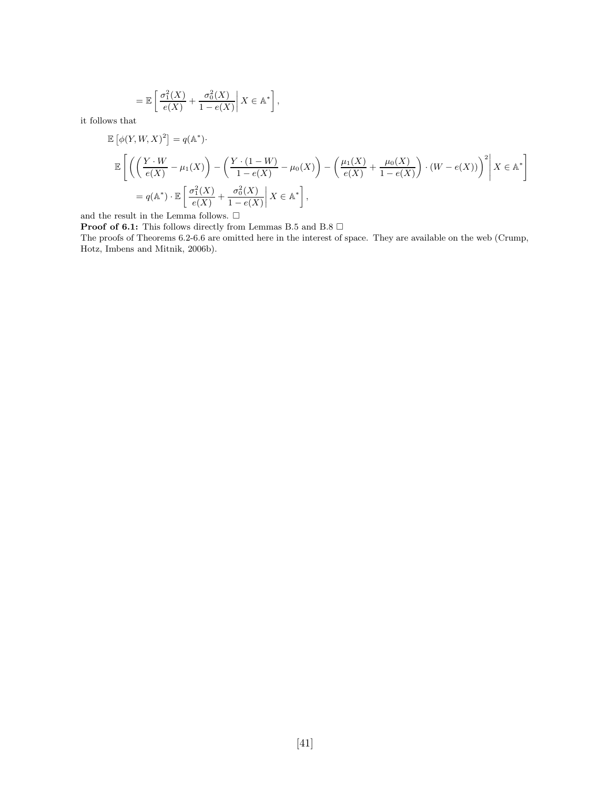$$
= \mathbb{E}\left[\left.\frac{\sigma_1^2(X)}{e(X)} + \frac{\sigma_0^2(X)}{1 - e(X)}\right| X \in \mathbb{A}^*\right],
$$

it follows that

$$
\mathbb{E}\left[\phi(Y, W, X)^2\right] = q(\mathbb{A}^*).
$$
\n
$$
\mathbb{E}\left[\left(\left(\frac{Y \cdot W}{e(X)} - \mu_1(X)\right) - \left(\frac{Y \cdot (1 - W)}{1 - e(X)} - \mu_0(X)\right) - \left(\frac{\mu_1(X)}{e(X)} + \frac{\mu_0(X)}{1 - e(X)}\right) \cdot (W - e(X))\right)^2\middle| X \in \mathbb{A}^*\right]
$$
\n
$$
= q(\mathbb{A}^*) \cdot \mathbb{E}\left[\left.\frac{\sigma_1^2(X)}{e(X)} + \frac{\sigma_0^2(X)}{1 - e(X)}\middle| X \in \mathbb{A}^*\right],
$$

and the result in the Lemma follows.  $\Box$ 

**Proof of 6.1:** This follows directly from Lemmas B.5 and B.8  $\Box$ 

The proofs of Theorems 6.2-6.6 are omitted here in the interest of space. They are available on the web (Crump, Hotz, Imbens and Mitnik, 2006b).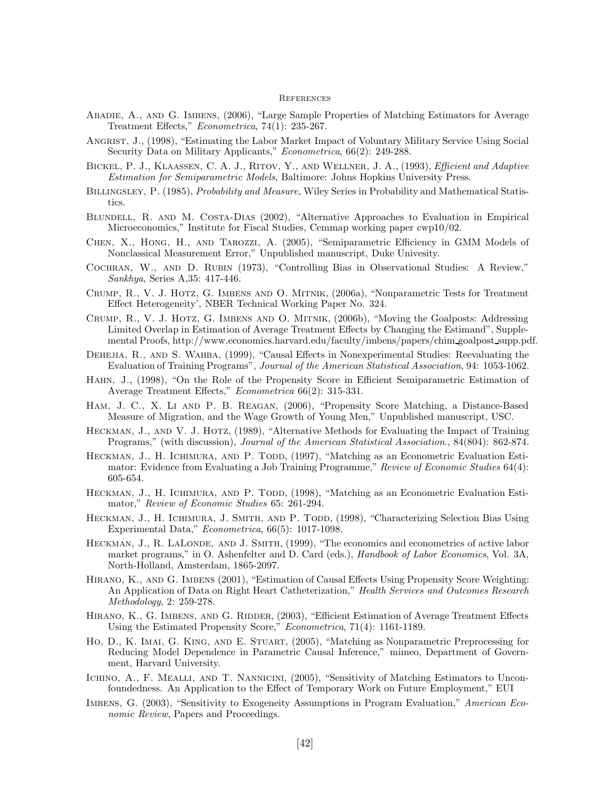#### **REFERENCES**

- Abadie, A., and G. Imbens, (2006), "Large Sample Properties of Matching Estimators for Average Treatment Effects," *Econometrica*, 74(1): 235-267.
- Angrist, J., (1998), "Estimating the Labor Market Impact of Voluntary Military Service Using Social Security Data on Military Applicants," *Econometrica*, 66(2): 249-288.
- Bickel, P. J., Klaassen, C. A. J., Ritov, Y., and Wellner, J. A., (1993), *Efficient and Adaptive Estimation for Semiparametric Models*, Baltimore: Johns Hopkins University Press.
- Billingsley, P. (1985), *Probability and Measure,* Wiley Series in Probability and Mathematical Statistics.
- Blundell, R. and M. Costa-Dias (2002), "Alternative Approaches to Evaluation in Empirical Microeconomics," Institute for Fiscal Studies, Cemmap working paper cwp10/02.
- Chen, X., Hong, H., and Tarozzi, A. (2005), "Semiparametric Efficiency in GMM Models of Nonclassical Measurement Error," Unpublished manuscript, Duke Univesity.
- Cochran, W., and D. Rubin (1973), "Controlling Bias in Observational Studies: A Review," *Sankhya*, Series A,35: 417-446.
- Crump, R., V. J. Hotz, G. Imbens and O. Mitnik, (2006a), "Nonparametric Tests for Treatment Effect Heterogeneity', NBER Technical Working Paper No. 324.
- Crump, R., V. J. Hotz, G. Imbens and O. Mitnik, (2006b), "Moving the Goalposts: Addressing Limited Overlap in Estimation of Average Treatment Effects by Changing the Estimand", Supplemental Proofs, http://www.economics.harvard.edu/faculty/imbens/papers/chim goalpost supp.pdf.
- DEHEJIA, R., AND S. WAHBA, (1999), "Causal Effects in Nonexperimental Studies: Reevaluating the Evaluation of Training Programs", *Journal of the American Statistical Association*, 94: 1053-1062.
- Hahn, J., (1998), "On the Role of the Propensity Score in Efficient Semiparametric Estimation of Average Treatment Effects," *Econometrica* 66(2): 315-331.
- Ham, J. C., X. Li and P. B. Reagan, (2006), "Propensity Score Matching, a Distance-Based Measure of Migration, and the Wage Growth of Young Men," Unpublished manuscript, USC.
- Heckman, J., and V. J. Hotz, (1989), "Alternative Methods for Evaluating the Impact of Training Programs," (with discussion), *Journal of the American Statistical Association*., 84(804): 862-874.
- HECKMAN, J., H. ICHIMURA, AND P. TODD, (1997), "Matching as an Econometric Evaluation Estimator: Evidence from Evaluating a Job Training Programme," *Review of Economic Studies* 64(4): 605-654.
- HECKMAN, J., H. ICHIMURA, AND P. TODD, (1998), "Matching as an Econometric Evaluation Estimator," *Review of Economic Studies* 65: 261-294.
- HECKMAN, J., H. ICHIMURA, J. SMITH, AND P. TODD, (1998), "Characterizing Selection Bias Using Experimental Data," *Econometrica*, 66(5): 1017-1098.
- HECKMAN, J., R. LALONDE, AND J. SMITH, (1999), "The economics and econometrics of active labor market programs," in O. Ashenfelter and D. Card (eds.), *Handbook of Labor Economics*, Vol. 3A, North-Holland, Amsterdam, 1865-2097.
- HIRANO, K., AND G. IMBENS (2001), "Estimation of Causal Effects Using Propensity Score Weighting: An Application of Data on Right Heart Catheterization," *Health Services and Outcomes Research Methodology*, 2: 259-278.
- HIRANO, K., G. IMBENS, AND G. RIDDER, (2003), "Efficient Estimation of Average Treatment Effects Using the Estimated Propensity Score," *Econometrica*, 71(4): 1161-1189.
- Ho, D., K. Imai, G. King, and E. Stuart, (2005), "Matching as Nonparametric Preprocessing for Reducing Model Dependence in Parametric Causal Inference," mimeo, Department of Government, Harvard University.
- ICHINO, A., F. MEALLI, AND T. NANNICINI, (2005), "Sensitivity of Matching Estimators to Unconfoundedness. An Application to the Effect of Temporary Work on Future Employment," EUI
- Imbens, G. (2003), "Sensitivity to Exogeneity Assumptions in Program Evaluation," *American Economic Review*, Papers and Proceedings.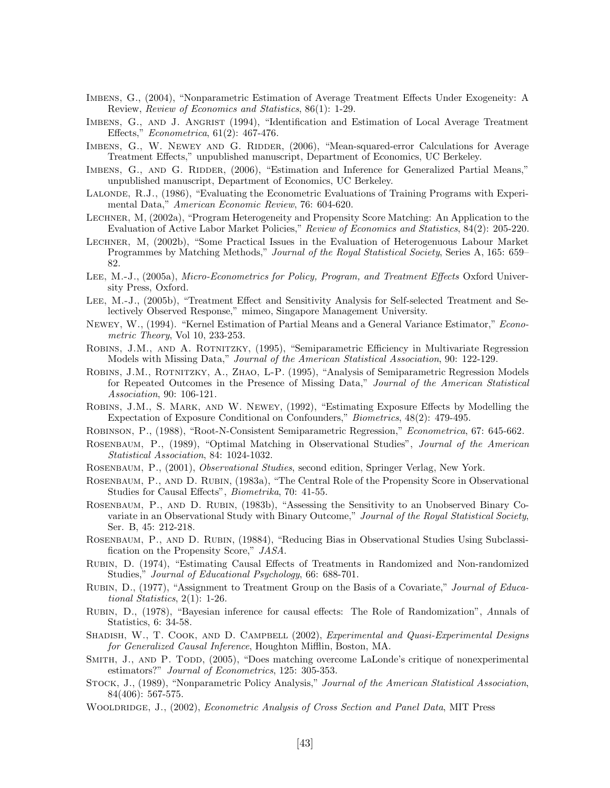- Imbens, G., (2004), "Nonparametric Estimation of Average Treatment Effects Under Exogeneity: A Review, *Review of Economics and Statistics*, 86(1): 1-29.
- IMBENS, G., AND J. ANGRIST (1994), "Identification and Estimation of Local Average Treatment Effects," *Econometrica*, 61(2): 467-476.
- IMBENS, G., W. NEWEY AND G. RIDDER, (2006), "Mean-squared-error Calculations for Average Treatment Effects," unpublished manuscript, Department of Economics, UC Berkeley.
- IMBENS, G., AND G. RIDDER, (2006), "Estimation and Inference for Generalized Partial Means," unpublished manuscript, Department of Economics, UC Berkeley.
- Lalonde, R.J., (1986), "Evaluating the Econometric Evaluations of Training Programs with Experimental Data," *American Economic Review*, 76: 604-620.
- Lechner, M, (2002a), "Program Heterogeneity and Propensity Score Matching: An Application to the Evaluation of Active Labor Market Policies," *Review of Economics and Statistics*, 84(2): 205-220.
- Lechner, M, (2002b), "Some Practical Issues in the Evaluation of Heterogenuous Labour Market Programmes by Matching Methods," *Journal of the Royal Statistical Society*, Series A, 165: 659– 82.
- Lee, M.-J., (2005a), *Micro-Econometrics for Policy, Program, and Treatment Effects* Oxford University Press, Oxford.
- Lee, M.-J., (2005b), "Treatment Effect and Sensitivity Analysis for Self-selected Treatment and Selectively Observed Response," mimeo, Singapore Management University.
- Newey, W., (1994). "Kernel Estimation of Partial Means and a General Variance Estimator," *Econometric Theory*, Vol 10, 233-253.
- Robins, J.M., and A. Rotnitzky, (1995), "Semiparametric Efficiency in Multivariate Regression Models with Missing Data," *Journal of the American Statistical Association*, 90: 122-129.
- Robins, J.M., Rotnitzky, A., Zhao, L-P. (1995), "Analysis of Semiparametric Regression Models for Repeated Outcomes in the Presence of Missing Data," *Journal of the American Statistical Association*, 90: 106-121.
- Robins, J.M., S. Mark, and W. Newey, (1992), "Estimating Exposure Effects by Modelling the Expectation of Exposure Conditional on Confounders," *Biometrics*, 48(2): 479-495.
- Robinson, P., (1988), "Root-N-Consistent Semiparametric Regression," *Econometrica*, 67: 645-662.
- Rosenbaum, P., (1989), "Optimal Matching in Observational Studies", *Journal of the American Statistical Association*, 84: 1024-1032.
- Rosenbaum, P., (2001), *Observational Studies*, second edition, Springer Verlag, New York.
- ROSENBAUM, P., AND D. RUBIN, (1983a), "The Central Role of the Propensity Score in Observational Studies for Causal Effects", *Biometrika*, 70: 41-55.
- Rosenbaum, P., and D. Rubin, (1983b), "Assessing the Sensitivity to an Unobserved Binary Covariate in an Observational Study with Binary Outcome," *Journal of the Royal Statistical Society*, Ser. B, 45: 212-218.
- Rosenbaum, P., and D. Rubin, (19884), "Reducing Bias in Observational Studies Using Subclassification on the Propensity Score," *JASA*.
- Rubin, D. (1974), "Estimating Causal Effects of Treatments in Randomized and Non-randomized Studies," *Journal of Educational Psychology*, 66: 688-701.
- Rubin, D., (1977), "Assignment to Treatment Group on the Basis of a Covariate," *Journal of Educational Statistics*, 2(1): 1-26.
- Rubin, D., (1978), "Bayesian inference for causal effects: The Role of Randomization", *A*nnals of Statistics, 6: 34-58.
- SHADISH, W., T. COOK, AND D. CAMPBELL (2002), *Experimental and Quasi-Experimental Designs for Generalized Causal Inference*, Houghton Mifflin, Boston, MA.
- SMITH, J., AND P. TODD, (2005), "Does matching overcome LaLonde's critique of nonexperimental estimators?" *Journal of Econometrics*, 125: 305-353.
- Stock, J., (1989), "Nonparametric Policy Analysis," *Journal of the American Statistical Association*, 84(406): 567-575.
- Wooldridge, J., (2002), *Econometric Analysis of Cross Section and Panel Data*, MIT Press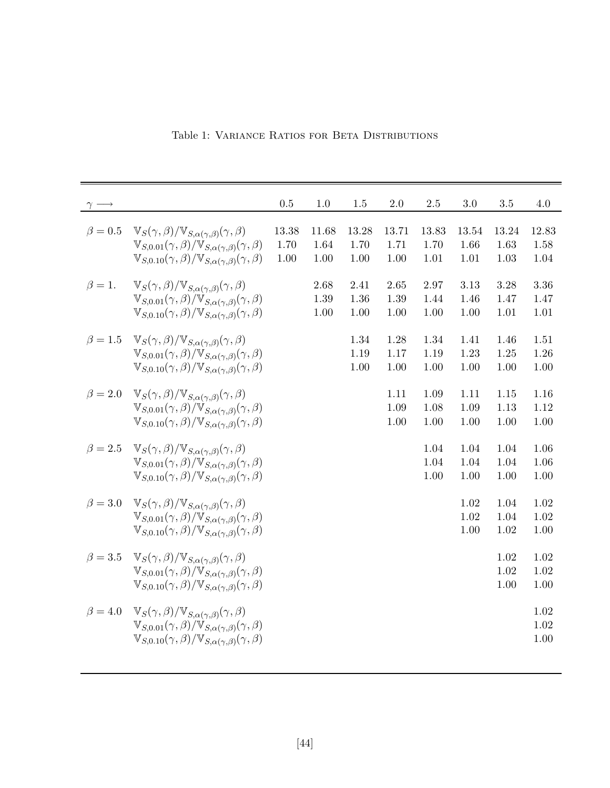|               |                                                                                                                                                                                                                                                                  | 0.5                   | 1.0                       | 1.5                   | 2.0                   | 2.5                   | 3.0                   | 3.5                   | 4.0                   |
|---------------|------------------------------------------------------------------------------------------------------------------------------------------------------------------------------------------------------------------------------------------------------------------|-----------------------|---------------------------|-----------------------|-----------------------|-----------------------|-----------------------|-----------------------|-----------------------|
| $\beta=0.5$   | $\mathbb{V}_S(\gamma,\beta)/\mathbb{V}_{S,\alpha(\gamma,\beta)}(\gamma,\beta)$<br>$\mathbb{V}_{S,0.01}(\gamma,\beta)/\mathbb{V}_{S,\alpha(\gamma,\beta)}(\gamma,\beta)$<br>$V_{S,0.10}(\gamma,\beta)/V_{S,\alpha(\gamma,\beta)}(\gamma,\beta)$                   | 13.38<br>1.70<br>1.00 | 11.68<br>1.64<br>$1.00\,$ | 13.28<br>1.70<br>1.00 | 13.71<br>1.71<br>1.00 | 13.83<br>1.70<br>1.01 | 13.54<br>1.66<br>1.01 | 13.24<br>1.63<br>1.03 | 12.83<br>1.58<br>1.04 |
| $\beta = 1.$  | $\mathbb{V}_S(\gamma,\beta)/\mathbb{V}_{S,\alpha(\gamma,\beta)}(\gamma,\beta)$<br>$\mathbb{V}_{S,0.01}(\gamma,\beta)/\mathbb{V}_{S,\alpha(\gamma,\beta)}(\gamma,\beta)$<br>$V_{S,0.10}(\gamma,\beta)/V_{S,\alpha(\gamma,\beta)}(\gamma,\beta)$                   |                       | 2.68<br>1.39<br>1.00      | 2.41<br>1.36<br>1.00  | 2.65<br>1.39<br>1.00  | 2.97<br>1.44<br>1.00  | 3.13<br>1.46<br>1.00  | 3.28<br>1.47<br>1.01  | 3.36<br>1.47<br>1.01  |
| $\beta = 1.5$ | $\mathbb{V}_S(\gamma,\beta)/\mathbb{V}_{S,\alpha(\gamma,\beta)}(\gamma,\beta)$<br>$\mathbb{V}_{S,0.01}(\gamma,\beta)/\mathbb{V}_{S,\alpha(\gamma,\beta)}(\gamma,\beta)$<br>$V_{S,0.10}(\gamma,\beta)/V_{S,\alpha(\gamma,\beta)}(\gamma,\beta)$                   |                       |                           | 1.34<br>1.19<br>1.00  | 1.28<br>1.17<br>1.00  | 1.34<br>1.19<br>1.00  | 1.41<br>1.23<br>1.00  | 1.46<br>1.25<br>1.00  | 1.51<br>1.26<br>1.00  |
| $\beta = 2.0$ | $\mathbb{V}_S(\gamma,\beta)/\mathbb{V}_{S,\alpha(\gamma,\beta)}(\gamma,\beta)$<br>$\mathbb{V}_{S,0.01}(\gamma,\beta)/\mathbb{V}_{S,\alpha(\gamma,\beta)}(\gamma,\beta)$<br>$V_{S,0.10}(\gamma,\beta)/V_{S,\alpha(\gamma,\beta)}(\gamma,\beta)$                   |                       |                           |                       | 1.11<br>1.09<br>1.00  | 1.09<br>1.08<br>1.00  | 1.11<br>1.09<br>1.00  | 1.15<br>1.13<br>1.00  | 1.16<br>1.12<br>1.00  |
| $\beta = 2.5$ | $\mathbb{V}_S(\gamma,\beta)/\mathbb{V}_{S,\alpha(\gamma,\beta)}(\gamma,\beta)$<br>$\mathbb{V}_{S,0.01}(\gamma,\beta)/\mathbb{V}_{S,\alpha(\gamma,\beta)}(\gamma,\beta)$<br>$\mathbb{V}_{S,0.10}(\gamma,\beta)/\mathbb{V}_{S,\alpha(\gamma,\beta)}(\gamma,\beta)$ |                       |                           |                       |                       | 1.04<br>1.04<br>1.00  | 1.04<br>1.04<br>1.00  | 1.04<br>1.04<br>1.00  | 1.06<br>1.06<br>1.00  |
| $\beta = 3.0$ | $\mathbb{V}_S(\gamma,\beta)/\mathbb{V}_{S,\alpha(\gamma,\beta)}(\gamma,\beta)$<br>$V_{S,0.01}(\gamma,\beta)/V_{S,\alpha(\gamma,\beta)}(\gamma,\beta)$<br>$V_{S,0.10}(\gamma,\beta)/V_{S,\alpha(\gamma,\beta)}(\gamma,\beta)$                                     |                       |                           |                       |                       |                       | 1.02<br>1.02<br>1.00  | 1.04<br>1.04<br>1.02  | 1.02<br>1.02<br>1.00  |
| $\beta = 3.5$ | $\mathbb{V}_S(\gamma,\beta)/\mathbb{V}_{S,\alpha(\gamma,\beta)}(\gamma,\beta)$<br>$V_{S,0.01}(\gamma,\beta)/V_{S,\alpha(\gamma,\beta)}(\gamma,\beta)$<br>$V_{S,0.10}(\gamma,\beta)/V_{S,\alpha(\gamma,\beta)}(\gamma,\beta)$                                     |                       |                           |                       |                       |                       |                       | 1.02<br>1.02<br>1.00  | 1.02<br>1.02<br>1.00  |
| $\beta = 4.0$ | $\mathbb{V}_S(\gamma,\beta)/\mathbb{V}_{S,\alpha(\gamma,\beta)}(\gamma,\beta)$<br>$V_{S,0.01}(\gamma,\beta)/V_{S,\alpha(\gamma,\beta)}(\gamma,\beta)$<br>$\mathbb{V}_{S,0.10}(\gamma,\beta)/\mathbb{V}_{S,\alpha(\gamma,\beta)}(\gamma,\beta)$                   |                       |                           |                       |                       |                       |                       |                       | 1.02<br>1.02<br>1.00  |

Table 1: VARIANCE RATIOS FOR BETA DISTRIBUTIONS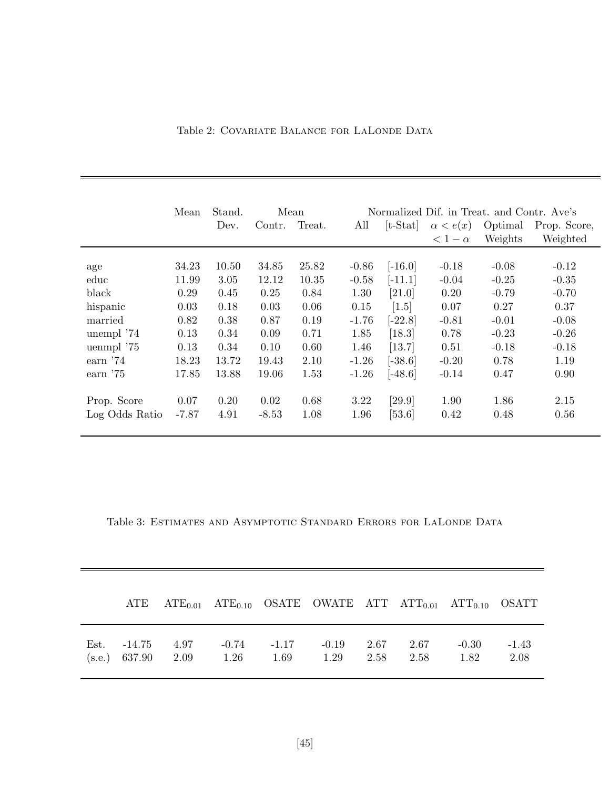| Table 2: COVARIATE BALANCE FOR LALONDE DATA |  |
|---------------------------------------------|--|
|---------------------------------------------|--|

|                | Mean  | Stand.<br>Mean |         |        | Normalized Dif. in Treat. and Contr. Ave's |            |                 |         |              |  |
|----------------|-------|----------------|---------|--------|--------------------------------------------|------------|-----------------|---------|--------------|--|
|                |       | Dev.           | Contr.  | Treat. | All                                        | $[t-Stat]$ | $\alpha < e(x)$ | Optimal | Prop. Score, |  |
|                |       |                |         |        |                                            |            | $< 1 - \alpha$  | Weights | Weighted     |  |
|                |       |                |         |        |                                            |            |                 |         |              |  |
| age            | 34.23 | 10.50          | 34.85   | 25.82  | $-0.86$                                    | $[-16.0]$  | $-0.18$         | $-0.08$ | $-0.12$      |  |
| educ           | 11.99 | 3.05           | 12.12   | 10.35  | $-0.58$                                    | $[-11.1]$  | $-0.04$         | $-0.25$ | $-0.35$      |  |
| black          | 0.29  | 0.45           | 0.25    | 0.84   | 1.30                                       | [21.0]     | 0.20            | $-0.79$ | $-0.70$      |  |
| hispanic       | 0.03  | 0.18           | 0.03    | 0.06   | 0.15                                       | $[1.5]$    | 0.07            | 0.27    | 0.37         |  |
| married        | 0.82  | 0.38           | 0.87    | 0.19   | $-1.76$                                    | $[-22.8]$  | $-0.81$         | $-0.01$ | $-0.08$      |  |
| unempl '74     | 0.13  | 0.34           | 0.09    | 0.71   | 1.85                                       | $[18.3]$   | 0.78            | $-0.23$ | $-0.26$      |  |
| uenmpl '75     | 0.13  | 0.34           | 0.10    | 0.60   | 1.46                                       | [13.7]     | 0.51            | $-0.18$ | $-0.18$      |  |
| earn $'74$     | 18.23 | 13.72          | 19.43   | 2.10   | $-1.26$                                    | $[-38.6]$  | $-0.20$         | 0.78    | 1.19         |  |
| earn $'75$     | 17.85 | 13.88          | 19.06   | 1.53   | $-1.26$                                    | $[-48.6]$  | $-0.14$         | 0.47    | 0.90         |  |
| Prop. Score    | 0.07  | 0.20           | 0.02    | 0.68   | 3.22                                       | [29.9]     | 1.90            | 1.86    | 2.15         |  |
| Log Odds Ratio | -7.87 | 4.91           | $-8.53$ | 1.08   | 1.96                                       | $[53.6]$   | 0.42            | 0.48    | 0.56         |  |

Table 3: ESTIMATES AND ASYMPTOTIC STANDARD ERRORS FOR LALONDE DATA

 $\equiv$ 

|      |                                         |      |                         | ATE $ATE_{0.01}$ $ATE_{0.10}$ OSATE OWATE ATT $ATT_{0.01}$ $ATT_{0.10}$ OSATT |              |              |                 |                 |
|------|-----------------------------------------|------|-------------------------|-------------------------------------------------------------------------------|--------------|--------------|-----------------|-----------------|
| Est. | $-14.75$ $4.97$<br>$(s.e.)$ 637.90 2.09 | 1.26 | $-0.74$ $-1.17$<br>1.69 | $-0.19$<br>1.29                                                               | 2.67<br>2.58 | 2.67<br>2.58 | $-0.30$<br>1.82 | $-1.43$<br>2.08 |